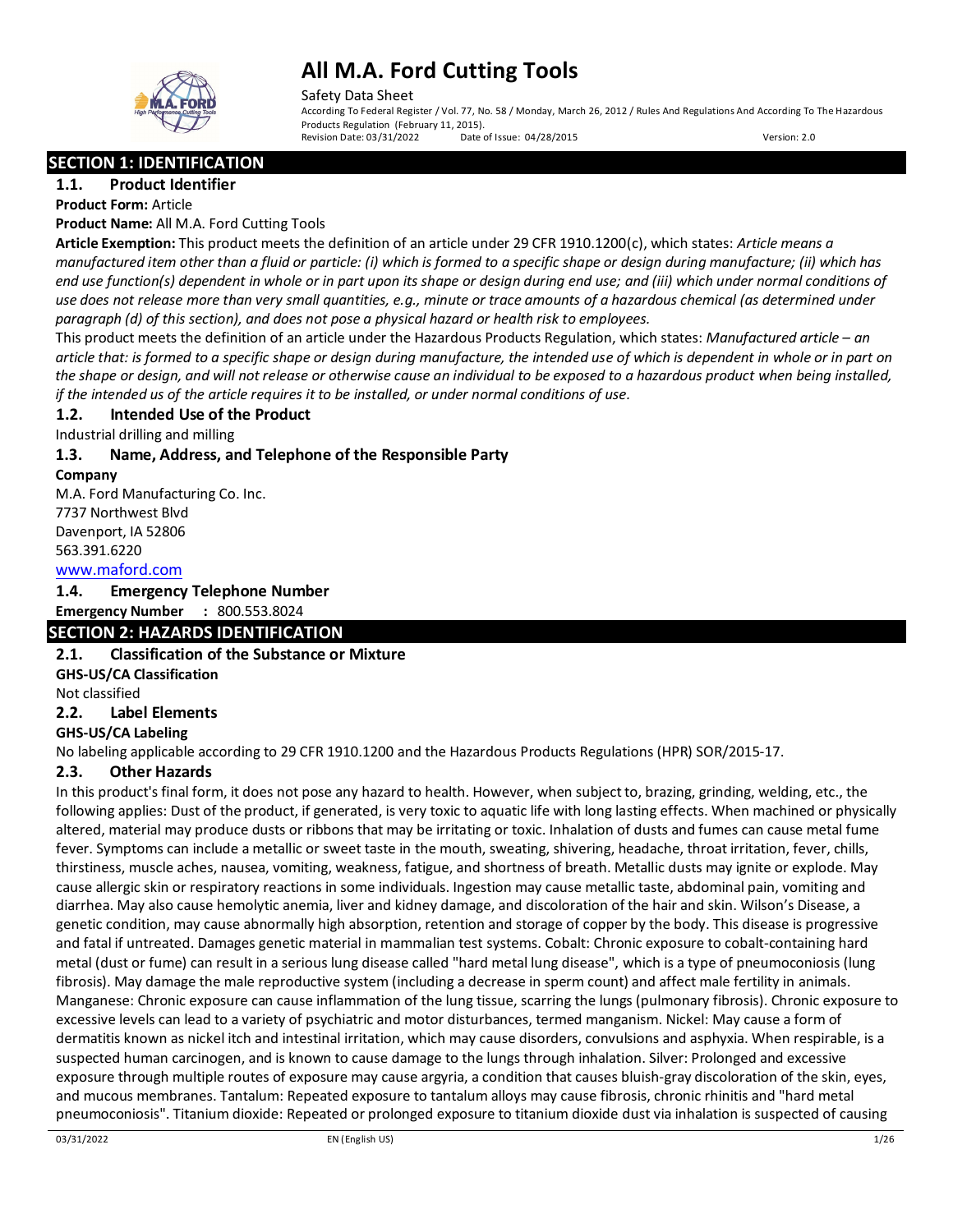

Safety Data Sheet

According To Federal Register / Vol. 77, No. 58 / Monday, March 26, 2012 / Rules And Regulations And According To The Hazardous Products Regulation (February 11, 2015).<br>Revision Date: 03/31/2022 Date of Issue: 04/28/2015 Revision Date: 03/31/2022 Date of Issue: 04/28/2015 Version: 2.0

**SECTION 1: IDENTIFICATION** 

**1.1. Product Identifier Product Form:** Article

**Product Name:** All M.A. Ford Cutting Tools

**Article Exemption:** This product meets the definition of an article under 29 CFR 1910.1200(c), which states: *Article means a manufactured item other than a fluid or particle: (i) which is formed to a specific shape or design during manufacture; (ii) which has end use function(s) dependent in whole or in part upon its shape or design during end use; and (iii) which under normal conditions of use does not release more than very small quantities, e.g., minute or trace amounts of a hazardous chemical (as determined under paragraph (d) of this section), and does not pose a physical hazard or health risk to employees.*

This product meets the definition of an article under the Hazardous Products Regulation, which states: *Manufactured article – an article that: is formed to a specific shape or design during manufacture, the intended use of which is dependent in whole or in part on the shape or design, and will not release or otherwise cause an individual to be exposed to a hazardous product when being installed, if the intended us of the article requires it to be installed, or under normal conditions of use.*

### **1.2. Intended Use of the Product**

Industrial drilling and milling

### **1.3. Name, Address, and Telephone of the Responsible Party**

**Company** 

M.A. Ford Manufacturing Co. Inc. 7737 Northwest Blvd Davenport, IA 52806 563.391.6220

### [www.maford.com](http://www.maford.com/)

**1.4. Emergency Telephone Number**

### **Emergency Number :** 800.553.8024

### **SECTION 2: HAZARDS IDENTIFICATION**

**2.1. Classification of the Substance or Mixture GHS-US/CA Classification**

Not classified

### **2.2. Label Elements**

**GHS-US/CA Labeling** 

No labeling applicable according to 29 CFR 1910.1200 and the Hazardous Products Regulations (HPR) SOR/2015-17.

### **2.3. Other Hazards**

In this product's final form, it does not pose any hazard to health. However, when subject to, brazing, grinding, welding, etc., the following applies: Dust of the product, if generated, is very toxic to aquatic life with long lasting effects. When machined or physically altered, material may produce dusts or ribbons that may be irritating or toxic. Inhalation of dusts and fumes can cause metal fume fever. Symptoms can include a metallic or sweet taste in the mouth, sweating, shivering, headache, throat irritation, fever, chills, thirstiness, muscle aches, nausea, vomiting, weakness, fatigue, and shortness of breath. Metallic dusts may ignite or explode. May cause allergic skin or respiratory reactions in some individuals. Ingestion may cause metallic taste, abdominal pain, vomiting and diarrhea. May also cause hemolytic anemia, liver and kidney damage, and discoloration of the hair and skin. Wilson's Disease, a genetic condition, may cause abnormally high absorption, retention and storage of copper by the body. This disease is progressive and fatal if untreated. Damages genetic material in mammalian test systems. Cobalt: Chronic exposure to cobalt-containing hard metal (dust or fume) can result in a serious lung disease called "hard metal lung disease", which is a type of pneumoconiosis (lung fibrosis). May damage the male reproductive system (including a decrease in sperm count) and affect male fertility in animals. Manganese: Chronic exposure can cause inflammation of the lung tissue, scarring the lungs (pulmonary fibrosis). Chronic exposure to excessive levels can lead to a variety of psychiatric and motor disturbances, termed manganism. Nickel: May cause a form of dermatitis known as nickel itch and intestinal irritation, which may cause disorders, convulsions and asphyxia. When respirable, is a suspected human carcinogen, and is known to cause damage to the lungs through inhalation. Silver: Prolonged and excessive exposure through multiple routes of exposure may cause argyria, a condition that causes bluish-gray discoloration of the skin, eyes, and mucous membranes. Tantalum: Repeated exposure to tantalum alloys may cause fibrosis, chronic rhinitis and "hard metal pneumoconiosis". Titanium dioxide: Repeated or prolonged exposure to titanium dioxide dust via inhalation is suspected of causing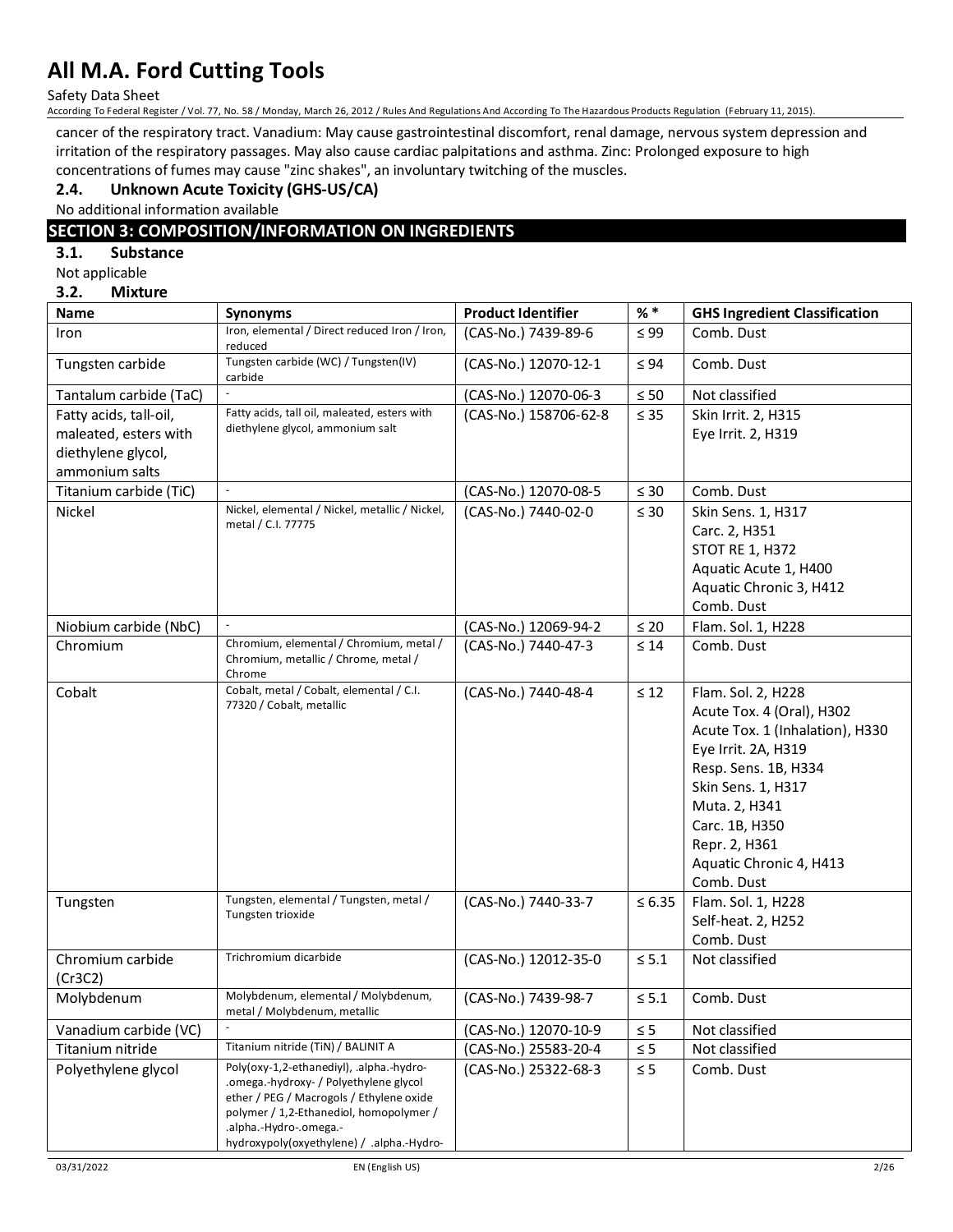Safety Data Sheet

According To Federal Register / Vol. 77, No. 58 / Monday, March 26, 2012 / Rules And Regulations And According To The Hazardous Products Regulation (February 11, 2015).

cancer of the respiratory tract. Vanadium: May cause gastrointestinal discomfort, renal damage, nervous system depression and irritation of the respiratory passages. May also cause cardiac palpitations and asthma. Zinc: Prolonged exposure to high concentrations of fumes may cause "zinc shakes", an involuntary twitching of the muscles.

### **2.4. Unknown Acute Toxicity (GHS-US/CA)**

No additional information available

### **SECTION 3: COMPOSITION/INFORMATION ON INGREDIENTS**

#### **3.1. Substance**

Not applicable

### **3.2. Mixture**

| <b>Name</b>            | <b>Synonyms</b>                                                                                                                                                                                                                                  | <b>Product Identifier</b> | $%$ $*$     | <b>GHS Ingredient Classification</b> |
|------------------------|--------------------------------------------------------------------------------------------------------------------------------------------------------------------------------------------------------------------------------------------------|---------------------------|-------------|--------------------------------------|
| Iron                   | Iron, elemental / Direct reduced Iron / Iron,<br>reduced                                                                                                                                                                                         | (CAS-No.) 7439-89-6       | $\leq 99$   | Comb. Dust                           |
| Tungsten carbide       | Tungsten carbide (WC) / Tungsten(IV)<br>carbide                                                                                                                                                                                                  | (CAS-No.) 12070-12-1      | $\leq 94$   | Comb. Dust                           |
| Tantalum carbide (TaC) | $\sim$                                                                                                                                                                                                                                           | (CAS-No.) 12070-06-3      | $\leq 50$   | Not classified                       |
| Fatty acids, tall-oil, | Fatty acids, tall oil, maleated, esters with                                                                                                                                                                                                     | (CAS-No.) 158706-62-8     | $\leq 35$   | Skin Irrit. 2, H315                  |
| maleated, esters with  | diethylene glycol, ammonium salt                                                                                                                                                                                                                 |                           |             | Eye Irrit. 2, H319                   |
| diethylene glycol,     |                                                                                                                                                                                                                                                  |                           |             |                                      |
| ammonium salts         |                                                                                                                                                                                                                                                  |                           |             |                                      |
| Titanium carbide (TiC) |                                                                                                                                                                                                                                                  | (CAS-No.) 12070-08-5      | $\leq 30$   | Comb. Dust                           |
| Nickel                 | Nickel, elemental / Nickel, metallic / Nickel,                                                                                                                                                                                                   | (CAS-No.) 7440-02-0       | $\leq 30$   | Skin Sens. 1, H317                   |
|                        | metal / C.I. 77775                                                                                                                                                                                                                               |                           |             | Carc. 2, H351                        |
|                        |                                                                                                                                                                                                                                                  |                           |             | <b>STOT RE 1, H372</b>               |
|                        |                                                                                                                                                                                                                                                  |                           |             | Aquatic Acute 1, H400                |
|                        |                                                                                                                                                                                                                                                  |                           |             | Aquatic Chronic 3, H412              |
|                        |                                                                                                                                                                                                                                                  |                           |             | Comb. Dust                           |
| Niobium carbide (NbC)  |                                                                                                                                                                                                                                                  | (CAS-No.) 12069-94-2      | $\leq 20$   | Flam. Sol. 1, H228                   |
| Chromium               | Chromium, elemental / Chromium, metal /<br>Chromium, metallic / Chrome, metal /<br>Chrome                                                                                                                                                        | (CAS-No.) 7440-47-3       | $\leq 14$   | Comb. Dust                           |
| Cobalt                 | Cobalt, metal / Cobalt, elemental / C.I.                                                                                                                                                                                                         | (CAS-No.) 7440-48-4       | $\leq 12$   | Flam. Sol. 2, H228                   |
|                        | 77320 / Cobalt, metallic                                                                                                                                                                                                                         |                           |             | Acute Tox. 4 (Oral), H302            |
|                        |                                                                                                                                                                                                                                                  |                           |             | Acute Tox. 1 (Inhalation), H330      |
|                        |                                                                                                                                                                                                                                                  |                           |             | Eye Irrit. 2A, H319                  |
|                        |                                                                                                                                                                                                                                                  |                           |             | Resp. Sens. 1B, H334                 |
|                        |                                                                                                                                                                                                                                                  |                           |             | Skin Sens. 1, H317                   |
|                        |                                                                                                                                                                                                                                                  |                           |             | Muta. 2, H341                        |
|                        |                                                                                                                                                                                                                                                  |                           |             | Carc. 1B, H350                       |
|                        |                                                                                                                                                                                                                                                  |                           |             | Repr. 2, H361                        |
|                        |                                                                                                                                                                                                                                                  |                           |             | Aquatic Chronic 4, H413              |
|                        |                                                                                                                                                                                                                                                  |                           |             | Comb. Dust                           |
| Tungsten               | Tungsten, elemental / Tungsten, metal /<br>Tungsten trioxide                                                                                                                                                                                     | (CAS-No.) 7440-33-7       | $\leq 6.35$ | Flam. Sol. 1, H228                   |
|                        |                                                                                                                                                                                                                                                  |                           |             | Self-heat. 2, H252                   |
|                        |                                                                                                                                                                                                                                                  |                           |             | Comb. Dust                           |
| Chromium carbide       | Trichromium dicarbide                                                                                                                                                                                                                            | (CAS-No.) 12012-35-0      | $\leq$ 5.1  | Not classified                       |
| (Cr3C2)                |                                                                                                                                                                                                                                                  |                           |             |                                      |
| Molybdenum             | Molybdenum, elemental / Molybdenum,<br>metal / Molybdenum, metallic                                                                                                                                                                              | (CAS-No.) 7439-98-7       | $\leq$ 5.1  | Comb. Dust                           |
| Vanadium carbide (VC)  |                                                                                                                                                                                                                                                  | (CAS-No.) 12070-10-9      | $\leq 5$    | Not classified                       |
| Titanium nitride       | Titanium nitride (TiN) / BALINIT A                                                                                                                                                                                                               | (CAS-No.) 25583-20-4      | $\leq 5$    | Not classified                       |
| Polyethylene glycol    | Poly(oxy-1,2-ethanediyl), .alpha.-hydro-<br>.omega.-hydroxy- / Polyethylene glycol<br>ether / PEG / Macrogols / Ethylene oxide<br>polymer / 1,2-Ethanediol, homopolymer /<br>.alpha.-Hydro-.omega.-<br>hydroxypoly(oxyethylene) / .alpha.-Hydro- | (CAS-No.) 25322-68-3      | $\leq 5$    | Comb. Dust                           |
|                        |                                                                                                                                                                                                                                                  |                           |             |                                      |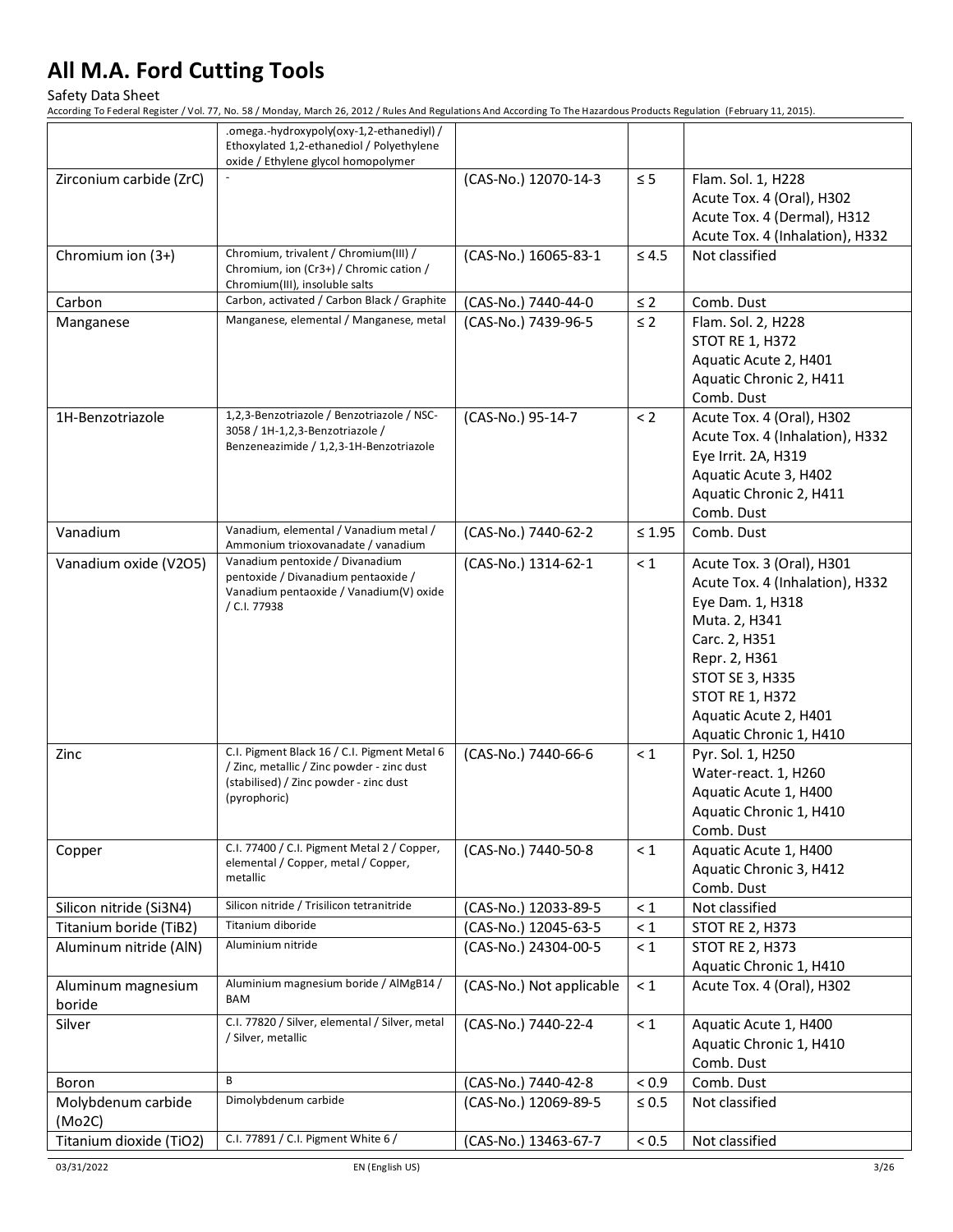Safety Data Sheet

|                              | .omega.-hydroxypoly(oxy-1,2-ethanediyl) /<br>Ethoxylated 1,2-ethanediol / Polyethylene<br>oxide / Ethylene glycol homopolymer                        |                          |              |                                                                                                                                                                                                                                      |
|------------------------------|------------------------------------------------------------------------------------------------------------------------------------------------------|--------------------------|--------------|--------------------------------------------------------------------------------------------------------------------------------------------------------------------------------------------------------------------------------------|
| Zirconium carbide (ZrC)      |                                                                                                                                                      | (CAS-No.) 12070-14-3     | $\leq 5$     | Flam. Sol. 1, H228<br>Acute Tox. 4 (Oral), H302<br>Acute Tox. 4 (Dermal), H312<br>Acute Tox. 4 (Inhalation), H332                                                                                                                    |
| Chromium ion (3+)            | Chromium, trivalent / Chromium(III) /<br>Chromium, ion (Cr3+) / Chromic cation /<br>Chromium(III), insoluble salts                                   | (CAS-No.) 16065-83-1     | $\leq 4.5$   | Not classified                                                                                                                                                                                                                       |
| Carbon                       | Carbon, activated / Carbon Black / Graphite                                                                                                          | (CAS-No.) 7440-44-0      | $\leq 2$     | Comb. Dust                                                                                                                                                                                                                           |
| Manganese                    | Manganese, elemental / Manganese, metal                                                                                                              | (CAS-No.) 7439-96-5      | $\leq$ 2     | Flam. Sol. 2, H228<br><b>STOT RE 1, H372</b><br>Aquatic Acute 2, H401<br>Aquatic Chronic 2, H411<br>Comb. Dust                                                                                                                       |
| 1H-Benzotriazole             | 1,2,3-Benzotriazole / Benzotriazole / NSC-<br>3058 / 1H-1,2,3-Benzotriazole /<br>Benzeneazimide / 1,2,3-1H-Benzotriazole                             | (CAS-No.) 95-14-7        | < 2          | Acute Tox. 4 (Oral), H302<br>Acute Tox. 4 (Inhalation), H332<br>Eye Irrit. 2A, H319<br>Aquatic Acute 3, H402<br>Aquatic Chronic 2, H411<br>Comb. Dust                                                                                |
| Vanadium                     | Vanadium, elemental / Vanadium metal /<br>Ammonium trioxovanadate / vanadium                                                                         | (CAS-No.) 7440-62-2      | $\leq 1.95$  | Comb. Dust                                                                                                                                                                                                                           |
| Vanadium oxide (V2O5)        | Vanadium pentoxide / Divanadium<br>pentoxide / Divanadium pentaoxide /<br>Vanadium pentaoxide / Vanadium(V) oxide<br>/ C.I. 77938                    | (CAS-No.) 1314-62-1      | $\leq 1$     | Acute Tox. 3 (Oral), H301<br>Acute Tox. 4 (Inhalation), H332<br>Eye Dam. 1, H318<br>Muta. 2, H341<br>Carc. 2, H351<br>Repr. 2, H361<br>STOT SE 3, H335<br><b>STOT RE 1, H372</b><br>Aquatic Acute 2, H401<br>Aquatic Chronic 1, H410 |
| Zinc                         | C.I. Pigment Black 16 / C.I. Pigment Metal 6<br>/ Zinc, metallic / Zinc powder - zinc dust<br>(stabilised) / Zinc powder - zinc dust<br>(pyrophoric) | (CAS-No.) 7440-66-6      | $\leq 1$     | Pyr. Sol. 1, H250<br>Water-react. 1, H260<br>Aquatic Acute 1, H400<br>Aquatic Chronic 1, H410<br>Comb. Dust                                                                                                                          |
| Copper                       | C.I. 77400 / C.I. Pigment Metal 2 / Copper,<br>elemental / Copper, metal / Copper,<br>metallic                                                       | (CAS-No.) 7440-50-8      | $\leq 1$     | Aquatic Acute 1, H400<br>Aquatic Chronic 3, H412<br>Comb. Dust                                                                                                                                                                       |
| Silicon nitride (Si3N4)      | Silicon nitride / Trisilicon tetranitride                                                                                                            | (CAS-No.) 12033-89-5     | $\leq 1$     | Not classified                                                                                                                                                                                                                       |
| Titanium boride (TiB2)       | Titanium diboride                                                                                                                                    | (CAS-No.) 12045-63-5     | $\leq 1$     | <b>STOT RE 2, H373</b>                                                                                                                                                                                                               |
| Aluminum nitride (AIN)       | Aluminium nitride                                                                                                                                    | (CAS-No.) 24304-00-5     | $\leq 1$     | <b>STOT RE 2, H373</b><br>Aquatic Chronic 1, H410                                                                                                                                                                                    |
| Aluminum magnesium<br>boride | Aluminium magnesium boride / AlMgB14 /<br>BAM                                                                                                        | (CAS-No.) Not applicable | $\leq 1$     | Acute Tox. 4 (Oral), H302                                                                                                                                                                                                            |
| Silver                       | C.I. 77820 / Silver, elemental / Silver, metal<br>/ Silver, metallic                                                                                 | (CAS-No.) 7440-22-4      | $\leq 1$     | Aquatic Acute 1, H400<br>Aquatic Chronic 1, H410<br>Comb. Dust                                                                                                                                                                       |
| Boron                        | B                                                                                                                                                    | (CAS-No.) 7440-42-8      | ${}_{< 0.9}$ | Comb. Dust                                                                                                                                                                                                                           |
| Molybdenum carbide<br>(Mo2C) | Dimolybdenum carbide                                                                                                                                 | (CAS-No.) 12069-89-5     | $\leq 0.5$   | Not classified                                                                                                                                                                                                                       |
| Titanium dioxide (TiO2)      | C.I. 77891 / C.I. Pigment White 6 /                                                                                                                  | (CAS-No.) 13463-67-7     | $< 0.5$      | Not classified                                                                                                                                                                                                                       |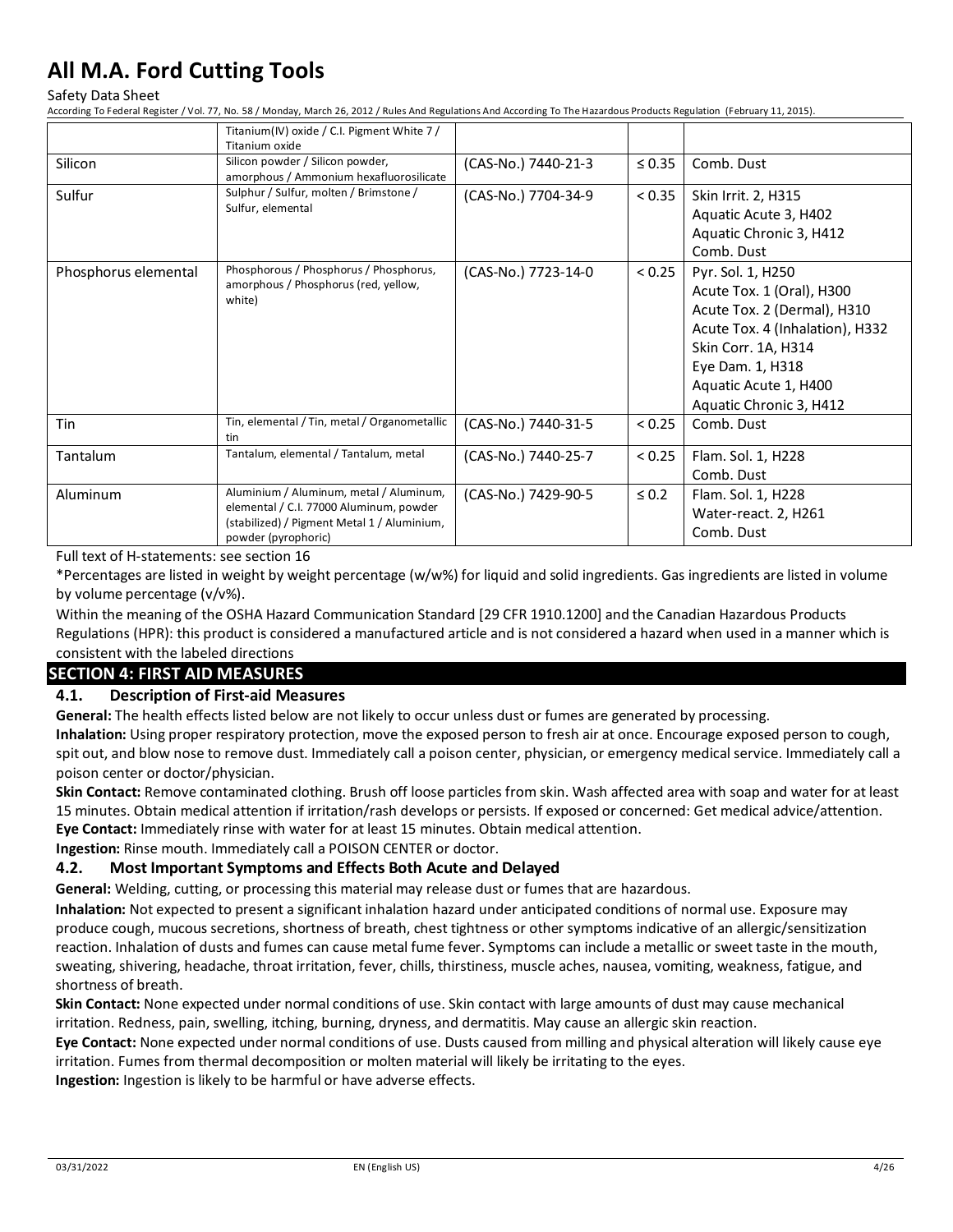#### Safety Data Sheet

According To Federal Register / Vol. 77, No. 58 / Monday, March 26, 2012 / Rules And Regulations And According To The Hazardous Products Regulation (February 11, 2015).

|                      | Titanium(IV) oxide / C.I. Pigment White 7 /<br>Titanium oxide                                                                                            |                     |             |                                                                                                                                                                                                                 |
|----------------------|----------------------------------------------------------------------------------------------------------------------------------------------------------|---------------------|-------------|-----------------------------------------------------------------------------------------------------------------------------------------------------------------------------------------------------------------|
| Silicon              | Silicon powder / Silicon powder,<br>amorphous / Ammonium hexafluorosilicate                                                                              | (CAS-No.) 7440-21-3 | $\leq 0.35$ | Comb. Dust                                                                                                                                                                                                      |
| Sulfur               | Sulphur / Sulfur, molten / Brimstone /<br>Sulfur, elemental                                                                                              | (CAS-No.) 7704-34-9 | < 0.35      | Skin Irrit. 2, H315<br>Aquatic Acute 3, H402<br>Aquatic Chronic 3, H412<br>Comb. Dust                                                                                                                           |
| Phosphorus elemental | Phosphorous / Phosphorus / Phosphorus,<br>amorphous / Phosphorus (red, yellow,<br>white)                                                                 | (CAS-No.) 7723-14-0 | < 0.25      | Pyr. Sol. 1, H250<br>Acute Tox. 1 (Oral), H300<br>Acute Tox. 2 (Dermal), H310<br>Acute Tox. 4 (Inhalation), H332<br>Skin Corr. 1A, H314<br>Eye Dam. 1, H318<br>Aquatic Acute 1, H400<br>Aquatic Chronic 3, H412 |
| Tin                  | Tin, elemental / Tin, metal / Organometallic<br>tin                                                                                                      | (CAS-No.) 7440-31-5 | < 0.25      | Comb. Dust                                                                                                                                                                                                      |
| <b>Tantalum</b>      | Tantalum, elemental / Tantalum, metal                                                                                                                    | (CAS-No.) 7440-25-7 | < 0.25      | Flam. Sol. 1, H228<br>Comb. Dust                                                                                                                                                                                |
| Aluminum             | Aluminium / Aluminum, metal / Aluminum,<br>elemental / C.I. 77000 Aluminum, powder<br>(stabilized) / Pigment Metal 1 / Aluminium,<br>powder (pyrophoric) | (CAS-No.) 7429-90-5 | $\leq 0.2$  | Flam. Sol. 1, H228<br>Water-react. 2, H261<br>Comb. Dust                                                                                                                                                        |

Full text of H-statements: see section 16

\*Percentages are listed in weight by weight percentage (w/w%) for liquid and solid ingredients. Gas ingredients are listed in volume by volume percentage (v/v%).

Within the meaning of the OSHA Hazard Communication Standard [29 CFR 1910.1200] and the Canadian Hazardous Products Regulations (HPR): this product is considered a manufactured article and is not considered a hazard when used in a manner which is consistent with the labeled directions

### **SECTION 4: FIRST AID MEASURES**

#### **4.1. Description of First-aid Measures**

**General:** The health effects listed below are not likely to occur unless dust or fumes are generated by processing. **Inhalation:** Using proper respiratory protection, move the exposed person to fresh air at once. Encourage exposed person to cough, spit out, and blow nose to remove dust. Immediately call a poison center, physician, or emergency medical service. Immediately call a poison center or doctor/physician.

**Skin Contact:** Remove contaminated clothing. Brush off loose particles from skin. Wash affected area with soap and water for at least 15 minutes. Obtain medical attention if irritation/rash develops or persists. If exposed or concerned: Get medical advice/attention. **Eye Contact:** Immediately rinse with water for at least 15 minutes. Obtain medical attention.

**Ingestion:** Rinse mouth. Immediately call a POISON CENTER or doctor.

#### **4.2. Most Important Symptoms and Effects Both Acute and Delayed**

**General:** Welding, cutting, or processing this material may release dust or fumes that are hazardous.

**Inhalation:** Not expected to present a significant inhalation hazard under anticipated conditions of normal use. Exposure may produce cough, mucous secretions, shortness of breath, chest tightness or other symptoms indicative of an allergic/sensitization reaction. Inhalation of dusts and fumes can cause metal fume fever. Symptoms can include a metallic or sweet taste in the mouth, sweating, shivering, headache, throat irritation, fever, chills, thirstiness, muscle aches, nausea, vomiting, weakness, fatigue, and shortness of breath.

**Skin Contact:** None expected under normal conditions of use. Skin contact with large amounts of dust may cause mechanical irritation. Redness, pain, swelling, itching, burning, dryness, and dermatitis. May cause an allergic skin reaction.

**Eye Contact:** None expected under normal conditions of use. Dusts caused from milling and physical alteration will likely cause eye irritation. Fumes from thermal decomposition or molten material will likely be irritating to the eyes.

**Ingestion:** Ingestion is likely to be harmful or have adverse effects.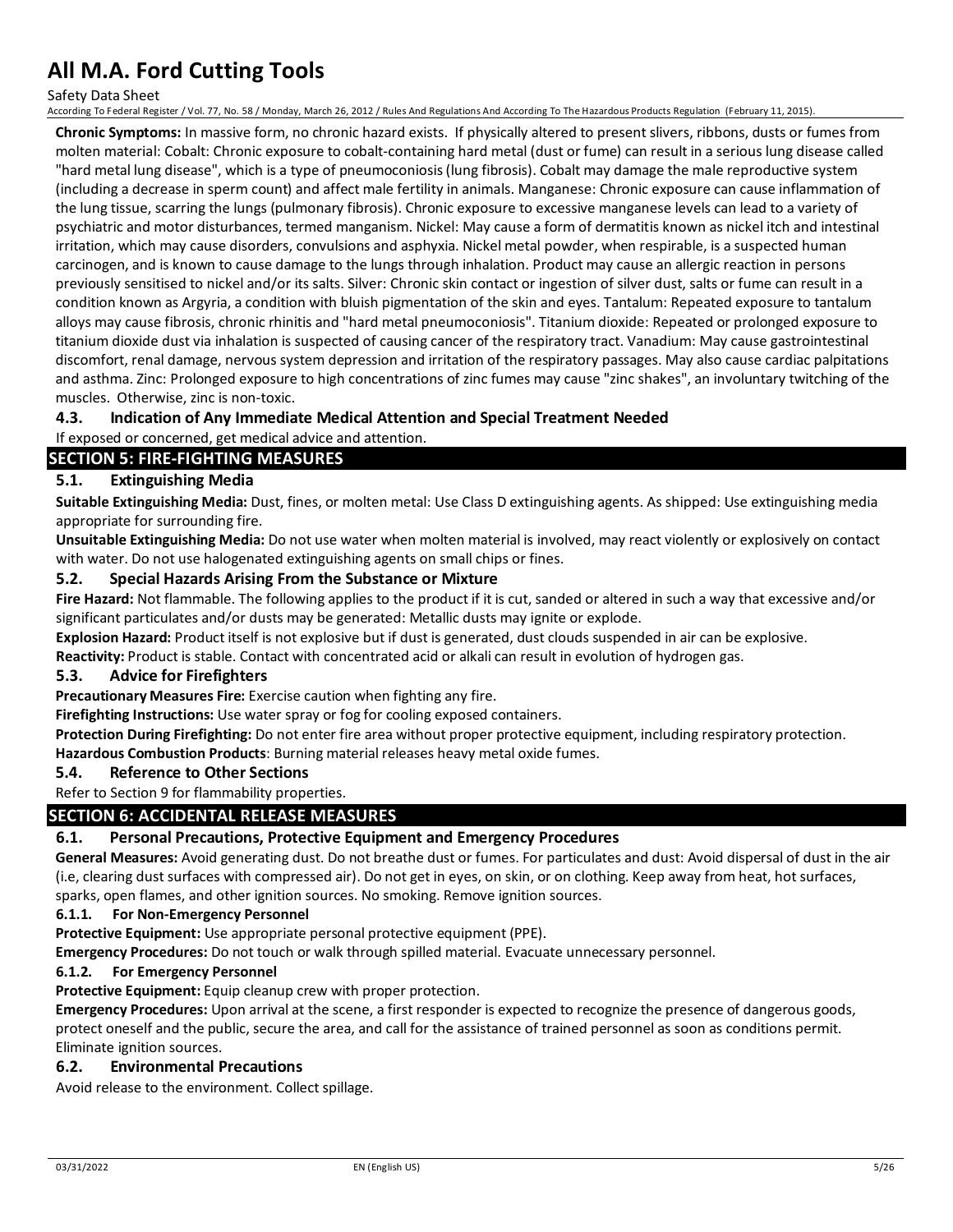Safety Data Sheet

According To Federal Register / Vol. 77, No. 58 / Monday, March 26, 2012 / Rules And Regulations And According To The Hazardous Products Regulation (February 11, 2015).

**Chronic Symptoms:** In massive form, no chronic hazard exists. If physically altered to present slivers, ribbons, dusts or fumes from molten material: Cobalt: Chronic exposure to cobalt-containing hard metal (dust or fume) can result in a serious lung disease called "hard metal lung disease", which is a type of pneumoconiosis (lung fibrosis). Cobalt may damage the male reproductive system (including a decrease in sperm count) and affect male fertility in animals. Manganese: Chronic exposure can cause inflammation of the lung tissue, scarring the lungs (pulmonary fibrosis). Chronic exposure to excessive manganese levels can lead to a variety of psychiatric and motor disturbances, termed manganism. Nickel: May cause a form of dermatitis known as nickel itch and intestinal irritation, which may cause disorders, convulsions and asphyxia. Nickel metal powder, when respirable, is a suspected human carcinogen, and is known to cause damage to the lungs through inhalation. Product may cause an allergic reaction in persons previously sensitised to nickel and/or its salts. Silver: Chronic skin contact or ingestion of silver dust, salts or fume can result in a condition known as Argyria, a condition with bluish pigmentation of the skin and eyes. Tantalum: Repeated exposure to tantalum alloys may cause fibrosis, chronic rhinitis and "hard metal pneumoconiosis". Titanium dioxide: Repeated or prolonged exposure to titanium dioxide dust via inhalation is suspected of causing cancer of the respiratory tract. Vanadium: May cause gastrointestinal discomfort, renal damage, nervous system depression and irritation of the respiratory passages. May also cause cardiac palpitations and asthma. Zinc: Prolonged exposure to high concentrations of zinc fumes may cause "zinc shakes", an involuntary twitching of the muscles. Otherwise, zinc is non-toxic.

### **4.3. Indication of Any Immediate Medical Attention and Special Treatment Needed**

If exposed or concerned, get medical advice and attention.

### **SECTION 5: FIRE-FIGHTING MEASURES**

### **5.1. Extinguishing Media**

**Suitable Extinguishing Media:** Dust, fines, or molten metal: Use Class D extinguishing agents. As shipped: Use extinguishing media appropriate for surrounding fire.

**Unsuitable Extinguishing Media:** Do not use water when molten material is involved, may react violently or explosively on contact with water. Do not use halogenated extinguishing agents on small chips or fines.

#### **5.2. Special Hazards Arising From the Substance or Mixture**

**Fire Hazard:** Not flammable. The following applies to the product if it is cut, sanded or altered in such a way that excessive and/or significant particulates and/or dusts may be generated: Metallic dusts may ignite or explode.

**Explosion Hazard:** Product itself is not explosive but if dust is generated, dust clouds suspended in air can be explosive.

**Reactivity:** Product is stable. Contact with concentrated acid or alkali can result in evolution of hydrogen gas.

#### **5.3. Advice for Firefighters**

**Precautionary Measures Fire:** Exercise caution when fighting any fire.

**Firefighting Instructions:** Use water spray or fog for cooling exposed containers.

**Protection During Firefighting:** Do not enter fire area without proper protective equipment, including respiratory protection.

**Hazardous Combustion Products**: Burning material releases heavy metal oxide fumes.

### **5.4. Reference to Other Sections**

### Refer to Section 9 for flammability properties.

#### **SECTION 6: ACCIDENTAL RELEASE MEASURES**

#### **6.1. Personal Precautions, Protective Equipment and Emergency Procedures**

**General Measures:** Avoid generating dust. Do not breathe dust or fumes. For particulates and dust: Avoid dispersal of dust in the air (i.e, clearing dust surfaces with compressed air). Do not get in eyes, on skin, or on clothing. Keep away from heat, hot surfaces, sparks, open flames, and other ignition sources. No smoking. Remove ignition sources.

#### **6.1.1. For Non-Emergency Personnel**

**Protective Equipment:** Use appropriate personal protective equipment (PPE).

**Emergency Procedures:** Do not touch or walk through spilled material. Evacuate unnecessary personnel.

#### **6.1.2. For Emergency Personnel**

**Protective Equipment:** Equip cleanup crew with proper protection.

**Emergency Procedures:** Upon arrival at the scene, a first responder is expected to recognize the presence of dangerous goods, protect oneself and the public, secure the area, and call for the assistance of trained personnel as soon as conditions permit. Eliminate ignition sources.

#### **6.2. Environmental Precautions**

Avoid release to the environment. Collect spillage.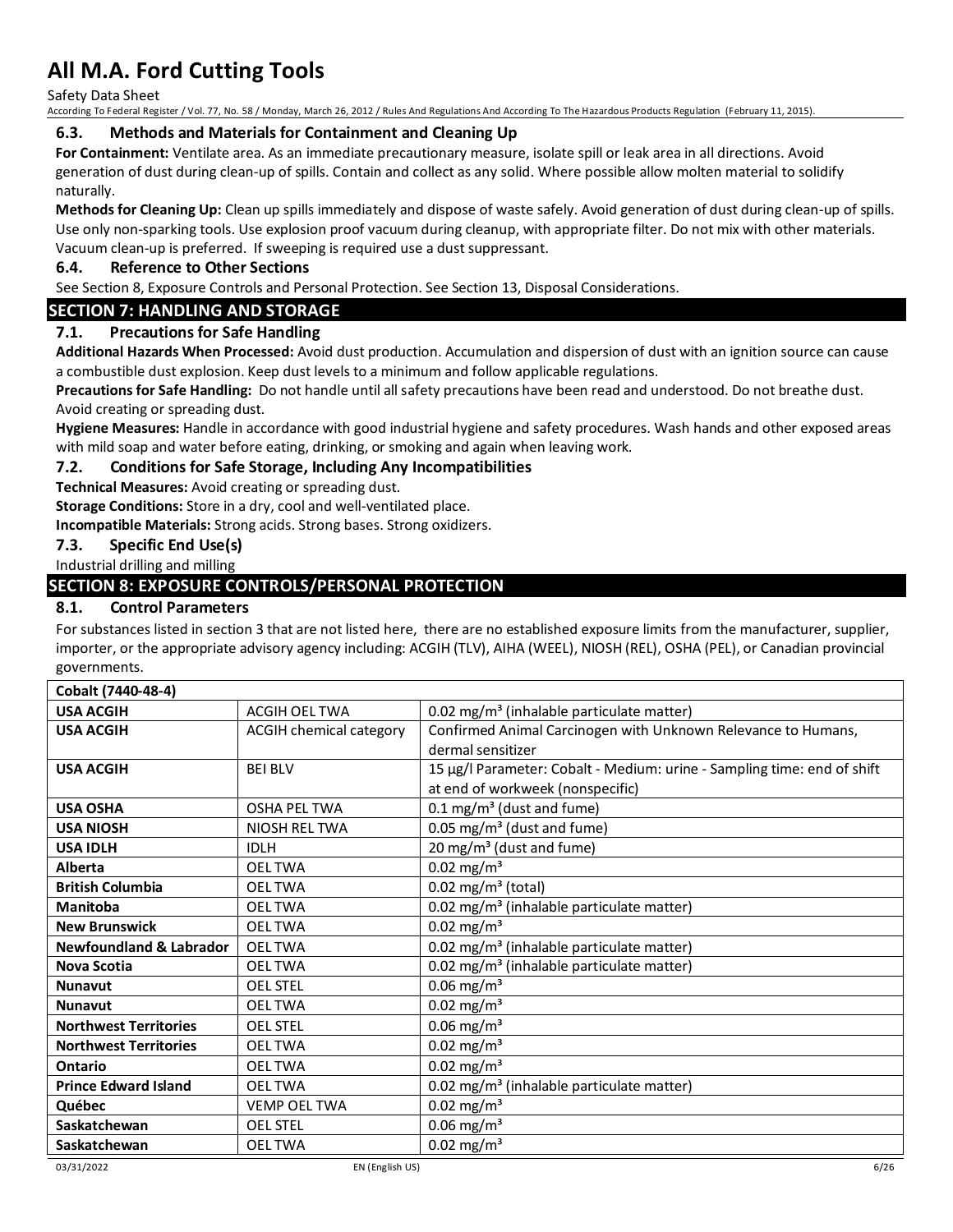Safety Data Sheet

According To Federal Register / Vol. 77, No. 58 / Monday, March 26, 2012 / Rules And Regulations And According To The Hazardous Products Regulation (February 11, 2015).

#### **6.3. Methods and Materials for Containment and Cleaning Up**

**For Containment:** Ventilate area. As an immediate precautionary measure, isolate spill or leak area in all directions. Avoid generation of dust during clean-up of spills. Contain and collect as any solid. Where possible allow molten material to solidify naturally.

**Methods for Cleaning Up:** Clean up spills immediately and dispose of waste safely. Avoid generation of dust during clean-up of spills. Use only non-sparking tools. Use explosion proof vacuum during cleanup, with appropriate filter. Do not mix with other materials. Vacuum clean-up is preferred. If sweeping is required use a dust suppressant.

#### **6.4. Reference to Other Sections**

See Section 8, Exposure Controls and Personal Protection. See Section 13, Disposal Considerations.

### **SECTION 7: HANDLING AND STORAGE**

### **7.1. Precautions for Safe Handling**

**Additional Hazards When Processed:** Avoid dust production. Accumulation and dispersion of dust with an ignition source can cause a combustible dust explosion. Keep dust levels to a minimum and follow applicable regulations.

**Precautions for Safe Handling:** Do not handle until all safety precautions have been read and understood. Do not breathe dust. Avoid creating or spreading dust.

**Hygiene Measures:** Handle in accordance with good industrial hygiene and safety procedures. Wash hands and other exposed areas with mild soap and water before eating, drinking, or smoking and again when leaving work.

#### **7.2. Conditions for Safe Storage, Including Any Incompatibilities**

**Technical Measures:** Avoid creating or spreading dust.

**Storage Conditions:** Store in a dry, cool and well-ventilated place.

**Incompatible Materials:** Strong acids. Strong bases. Strong oxidizers.

### **7.3. Specific End Use(s)**

### Industrial drilling and milling

### **SECTION 8: EXPOSURE CONTROLS/PERSONAL PROTECTION**

#### **8.1. Control Parameters**

For substances listed in section 3 that are not listed here, there are no established exposure limits from the manufacturer, supplier, importer, or the appropriate advisory agency including: ACGIH (TLV), AIHA (WEEL), NIOSH (REL), OSHA (PEL), or Canadian provincial governments.

| Cobalt (7440-48-4)                 |                         |                                                                         |  |  |  |
|------------------------------------|-------------------------|-------------------------------------------------------------------------|--|--|--|
| <b>USA ACGIH</b>                   | <b>ACGIH OEL TWA</b>    | 0.02 mg/m <sup>3</sup> (inhalable particulate matter)                   |  |  |  |
| <b>USA ACGIH</b>                   | ACGIH chemical category | Confirmed Animal Carcinogen with Unknown Relevance to Humans,           |  |  |  |
|                                    |                         | dermal sensitizer                                                       |  |  |  |
| <b>USA ACGIH</b>                   | <b>BEI BLV</b>          | 15 µg/l Parameter: Cobalt - Medium: urine - Sampling time: end of shift |  |  |  |
|                                    |                         | at end of workweek (nonspecific)                                        |  |  |  |
| <b>USA OSHA</b>                    | <b>OSHA PEL TWA</b>     | $0.1 \text{ mg/m}^3$ (dust and fume)                                    |  |  |  |
| <b>USA NIOSH</b>                   | NIOSH REL TWA           | 0.05 mg/m <sup>3</sup> (dust and fume)                                  |  |  |  |
| <b>USA IDLH</b>                    | <b>IDLH</b>             | 20 mg/m <sup>3</sup> (dust and fume)                                    |  |  |  |
| Alberta                            | <b>OELTWA</b>           | $0.02$ mg/m <sup>3</sup>                                                |  |  |  |
| <b>British Columbia</b>            | <b>OEL TWA</b>          | $0.02$ mg/m <sup>3</sup> (total)                                        |  |  |  |
| <b>Manitoba</b>                    | <b>OEL TWA</b>          | 0.02 mg/m <sup>3</sup> (inhalable particulate matter)                   |  |  |  |
| <b>New Brunswick</b>               | <b>OEL TWA</b>          | $0.02$ mg/m <sup>3</sup>                                                |  |  |  |
| <b>Newfoundland &amp; Labrador</b> | <b>OEL TWA</b>          | 0.02 mg/m <sup>3</sup> (inhalable particulate matter)                   |  |  |  |
| Nova Scotia                        | <b>OEL TWA</b>          | 0.02 mg/m <sup>3</sup> (inhalable particulate matter)                   |  |  |  |
| <b>Nunavut</b>                     | <b>OEL STEL</b>         | $0.06$ mg/m <sup>3</sup>                                                |  |  |  |
| <b>Nunavut</b>                     | <b>OELTWA</b>           | $0.02$ mg/m <sup>3</sup>                                                |  |  |  |
| <b>Northwest Territories</b>       | <b>OEL STEL</b>         | $0.06$ mg/m <sup>3</sup>                                                |  |  |  |
| <b>Northwest Territories</b>       | <b>OEL TWA</b>          | $0.02$ mg/m <sup>3</sup>                                                |  |  |  |
| Ontario                            | <b>OELTWA</b>           | $0.02$ mg/m <sup>3</sup>                                                |  |  |  |
| <b>Prince Edward Island</b>        | <b>OEL TWA</b>          | 0.02 mg/m <sup>3</sup> (inhalable particulate matter)                   |  |  |  |
| Québec                             | <b>VEMP OEL TWA</b>     | $0.02$ mg/m <sup>3</sup>                                                |  |  |  |
| Saskatchewan                       | <b>OEL STEL</b>         | $0.06$ mg/m <sup>3</sup>                                                |  |  |  |
| Saskatchewan                       | <b>OELTWA</b>           | $0.02$ mg/m <sup>3</sup>                                                |  |  |  |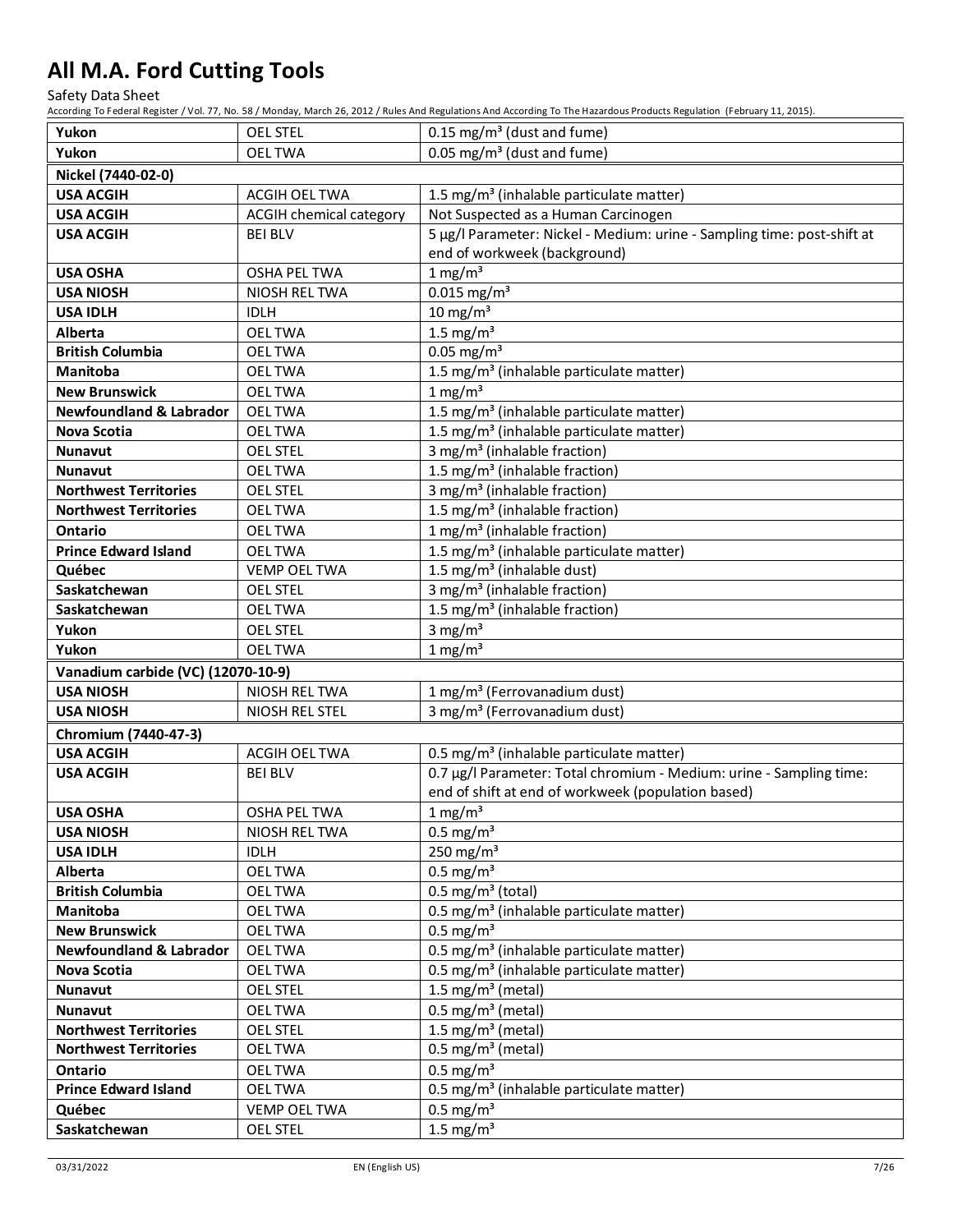Safety Data Sheet

| Yukon                              | <b>OEL STEL</b>                | $0.15$ mg/m <sup>3</sup> (dust and fume)                                                                                    |  |  |
|------------------------------------|--------------------------------|-----------------------------------------------------------------------------------------------------------------------------|--|--|
| Yukon                              | <b>OELTWA</b>                  | 0.05 mg/m <sup>3</sup> (dust and fume)                                                                                      |  |  |
| Nickel (7440-02-0)                 |                                |                                                                                                                             |  |  |
| <b>USA ACGIH</b>                   | ACGIH OEL TWA                  | 1.5 mg/m <sup>3</sup> (inhalable particulate matter)                                                                        |  |  |
| <b>USA ACGIH</b>                   | <b>ACGIH chemical category</b> | Not Suspected as a Human Carcinogen                                                                                         |  |  |
| <b>USA ACGIH</b>                   | <b>BEI BLV</b>                 | 5 µg/l Parameter: Nickel - Medium: urine - Sampling time: post-shift at                                                     |  |  |
|                                    |                                | end of workweek (background)                                                                                                |  |  |
| <b>USA OSHA</b>                    | OSHA PEL TWA                   | 1 mg/m <sup>3</sup>                                                                                                         |  |  |
| <b>USA NIOSH</b>                   | NIOSH REL TWA                  | $0.015$ mg/m <sup>3</sup>                                                                                                   |  |  |
| <b>USA IDLH</b>                    | <b>IDLH</b>                    | $10 \text{ mg/m}^3$                                                                                                         |  |  |
| Alberta                            | <b>OELTWA</b>                  | 1.5 mg/ $m3$                                                                                                                |  |  |
| <b>British Columbia</b>            | <b>OELTWA</b>                  | $0.05$ mg/m <sup>3</sup>                                                                                                    |  |  |
| <b>Manitoba</b>                    | <b>OEL TWA</b>                 | 1.5 mg/m <sup>3</sup> (inhalable particulate matter)                                                                        |  |  |
| <b>New Brunswick</b>               | <b>OEL TWA</b>                 | $1$ mg/m <sup>3</sup>                                                                                                       |  |  |
| <b>Newfoundland &amp; Labrador</b> | <b>OELTWA</b>                  | 1.5 mg/m <sup>3</sup> (inhalable particulate matter)                                                                        |  |  |
| Nova Scotia                        | <b>OELTWA</b>                  | 1.5 mg/m <sup>3</sup> (inhalable particulate matter)                                                                        |  |  |
| <b>Nunavut</b>                     | <b>OEL STEL</b>                | 3 mg/m <sup>3</sup> (inhalable fraction)                                                                                    |  |  |
| <b>Nunavut</b>                     | <b>OEL TWA</b>                 | 1.5 mg/m <sup>3</sup> (inhalable fraction)                                                                                  |  |  |
| <b>Northwest Territories</b>       | <b>OEL STEL</b>                | 3 mg/m <sup>3</sup> (inhalable fraction)                                                                                    |  |  |
| <b>Northwest Territories</b>       | <b>OELTWA</b>                  | 1.5 mg/m <sup>3</sup> (inhalable fraction)                                                                                  |  |  |
| <b>Ontario</b>                     | <b>OELTWA</b>                  | 1 mg/m <sup>3</sup> (inhalable fraction)                                                                                    |  |  |
| <b>Prince Edward Island</b>        | <b>OELTWA</b>                  | 1.5 mg/m <sup>3</sup> (inhalable particulate matter)                                                                        |  |  |
| Québec                             | <b>VEMP OEL TWA</b>            | 1.5 mg/m <sup>3</sup> (inhalable dust)                                                                                      |  |  |
| Saskatchewan                       | <b>OEL STEL</b>                | 3 mg/m <sup>3</sup> (inhalable fraction)                                                                                    |  |  |
| Saskatchewan                       | <b>OELTWA</b>                  | 1.5 mg/m <sup>3</sup> (inhalable fraction)                                                                                  |  |  |
| Yukon                              | <b>OEL STEL</b>                | 3 mg/ $m3$                                                                                                                  |  |  |
|                                    |                                |                                                                                                                             |  |  |
| Yukon                              | <b>OEL TWA</b>                 | $1 \text{ mg/m}^3$                                                                                                          |  |  |
| Vanadium carbide (VC) (12070-10-9) |                                |                                                                                                                             |  |  |
| <b>USA NIOSH</b>                   | NIOSH REL TWA                  | 1 mg/m <sup>3</sup> (Ferrovanadium dust)                                                                                    |  |  |
| <b>USA NIOSH</b>                   | NIOSH REL STEL                 | 3 mg/m <sup>3</sup> (Ferrovanadium dust)                                                                                    |  |  |
| Chromium (7440-47-3)               |                                |                                                                                                                             |  |  |
| <b>USA ACGIH</b>                   | ACGIH OEL TWA                  |                                                                                                                             |  |  |
| <b>USA ACGIH</b>                   | <b>BEI BLV</b>                 | 0.5 mg/m <sup>3</sup> (inhalable particulate matter)<br>0.7 µg/l Parameter: Total chromium - Medium: urine - Sampling time: |  |  |
|                                    |                                | end of shift at end of workweek (population based)                                                                          |  |  |
| <b>USA OSHA</b>                    | OSHA PEL TWA                   | $1 \text{ mg/m}^3$                                                                                                          |  |  |
| <b>USA NIOSH</b>                   | NIOSH REL TWA                  | $0.5$ mg/m <sup>3</sup>                                                                                                     |  |  |
| <b>USA IDLH</b>                    | <b>IDLH</b>                    | 250 mg/m $3$                                                                                                                |  |  |
| Alberta                            | <b>OELTWA</b>                  | $0.5 \text{ mg/m}^3$                                                                                                        |  |  |
| <b>British Columbia</b>            | <b>OEL TWA</b>                 | $0.5 \text{ mg/m}^3$ (total)                                                                                                |  |  |
| Manitoba                           | <b>OEL TWA</b>                 | 0.5 mg/m <sup>3</sup> (inhalable particulate matter)                                                                        |  |  |
| <b>New Brunswick</b>               | <b>OEL TWA</b>                 | $0.5$ mg/m <sup>3</sup>                                                                                                     |  |  |
| <b>Newfoundland &amp; Labrador</b> | <b>OELTWA</b>                  | 0.5 mg/m <sup>3</sup> (inhalable particulate matter)                                                                        |  |  |
| Nova Scotia                        | <b>OELTWA</b>                  | 0.5 mg/m <sup>3</sup> (inhalable particulate matter)                                                                        |  |  |
| Nunavut                            | <b>OEL STEL</b>                | 1.5 mg/m <sup>3</sup> (metal)                                                                                               |  |  |
| Nunavut                            | <b>OEL TWA</b>                 | $0.5$ mg/m <sup>3</sup> (metal)                                                                                             |  |  |
| <b>Northwest Territories</b>       | <b>OEL STEL</b>                | 1.5 mg/m <sup>3</sup> (metal)                                                                                               |  |  |
| <b>Northwest Territories</b>       | <b>OELTWA</b>                  | $0.5 \text{ mg/m}^3$ (metal)                                                                                                |  |  |
| Ontario                            | <b>OELTWA</b>                  | $0.5$ mg/m <sup>3</sup>                                                                                                     |  |  |
| <b>Prince Edward Island</b>        | <b>OELTWA</b>                  | 0.5 mg/m <sup>3</sup> (inhalable particulate matter)                                                                        |  |  |
| Québec<br>Saskatchewan             | <b>VEMP OEL TWA</b>            | $0.5$ mg/m <sup>3</sup><br>1.5 mg/ $m3$                                                                                     |  |  |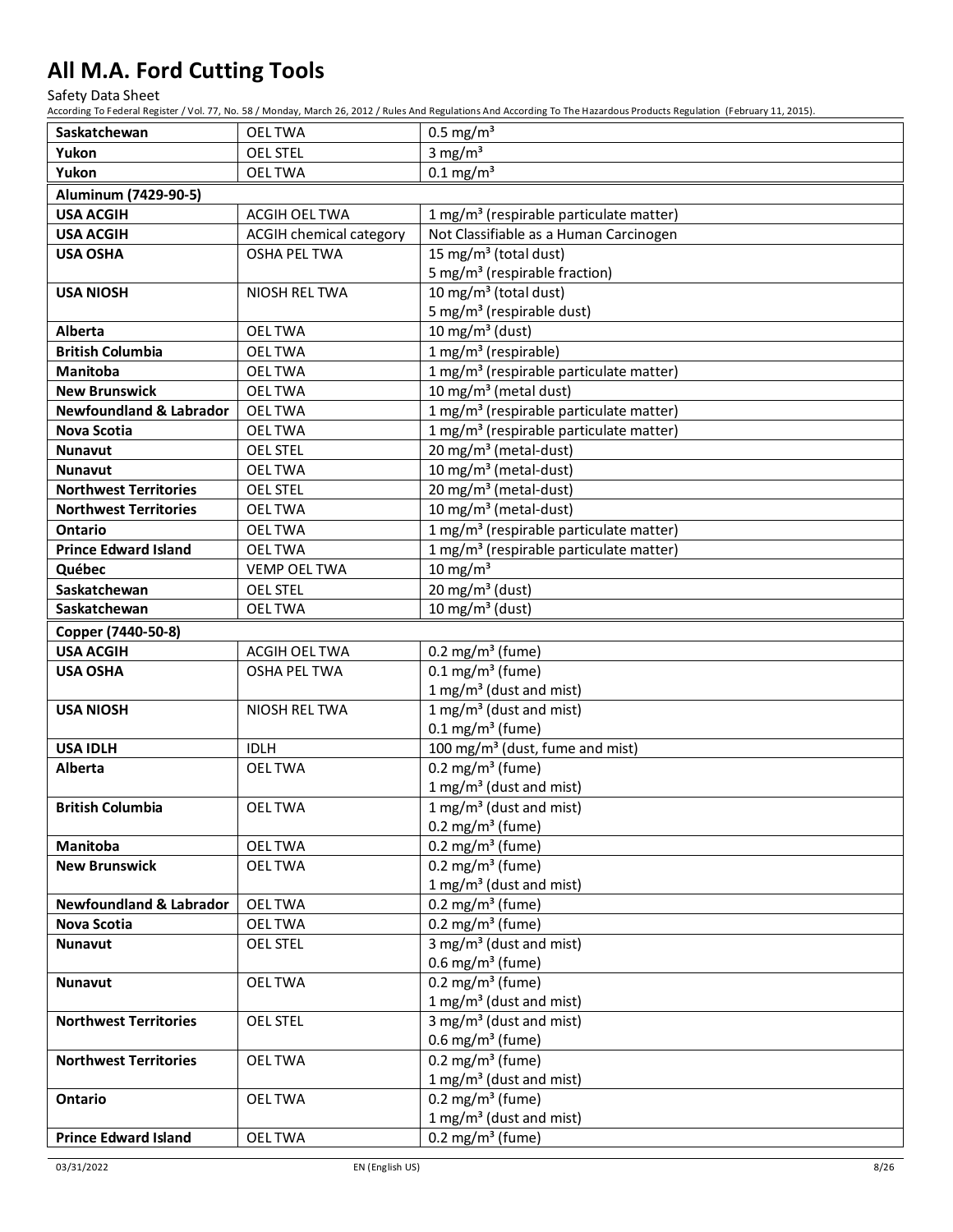Safety Data Sheet

| Saskatchewan                       | <b>OELTWA</b>                  | $0.5 \text{ mg/m}^3$                                |  |  |  |  |
|------------------------------------|--------------------------------|-----------------------------------------------------|--|--|--|--|
| Yukon                              | <b>OEL STEL</b>                | 3 mg/ $m3$                                          |  |  |  |  |
| Yukon                              | <b>OELTWA</b>                  | $0.1$ mg/m <sup>3</sup>                             |  |  |  |  |
| Aluminum (7429-90-5)               |                                |                                                     |  |  |  |  |
| <b>USA ACGIH</b>                   | <b>ACGIH OEL TWA</b>           | 1 mg/m <sup>3</sup> (respirable particulate matter) |  |  |  |  |
| <b>USA ACGIH</b>                   | <b>ACGIH chemical category</b> | Not Classifiable as a Human Carcinogen              |  |  |  |  |
| <b>USA OSHA</b>                    | <b>OSHA PEL TWA</b>            | 15 mg/m <sup>3</sup> (total dust)                   |  |  |  |  |
|                                    |                                | 5 mg/m <sup>3</sup> (respirable fraction)           |  |  |  |  |
| <b>USA NIOSH</b>                   | NIOSH REL TWA                  | 10 mg/m <sup>3</sup> (total dust)                   |  |  |  |  |
|                                    |                                | 5 mg/m <sup>3</sup> (respirable dust)               |  |  |  |  |
| Alberta                            | <b>OELTWA</b>                  | 10 mg/m $3$ (dust)                                  |  |  |  |  |
| <b>British Columbia</b>            | <b>OELTWA</b>                  | $1 mg/m3$ (respirable)                              |  |  |  |  |
| Manitoba                           | <b>OELTWA</b>                  | 1 mg/m <sup>3</sup> (respirable particulate matter) |  |  |  |  |
| <b>New Brunswick</b>               | <b>OELTWA</b>                  | 10 mg/m <sup>3</sup> (metal dust)                   |  |  |  |  |
| <b>Newfoundland &amp; Labrador</b> | <b>OELTWA</b>                  | 1 mg/m <sup>3</sup> (respirable particulate matter) |  |  |  |  |
| <b>Nova Scotia</b>                 | <b>OELTWA</b>                  | 1 mg/m <sup>3</sup> (respirable particulate matter) |  |  |  |  |
| <b>Nunavut</b>                     | <b>OEL STEL</b>                | 20 mg/m <sup>3</sup> (metal-dust)                   |  |  |  |  |
| <b>Nunavut</b>                     | <b>OEL TWA</b>                 | 10 mg/m <sup>3</sup> (metal-dust)                   |  |  |  |  |
| <b>Northwest Territories</b>       | <b>OEL STEL</b>                | 20 mg/m <sup>3</sup> (metal-dust)                   |  |  |  |  |
| <b>Northwest Territories</b>       | <b>OELTWA</b>                  | 10 mg/m <sup>3</sup> (metal-dust)                   |  |  |  |  |
| <b>Ontario</b>                     | <b>OELTWA</b>                  | 1 mg/m <sup>3</sup> (respirable particulate matter) |  |  |  |  |
| <b>Prince Edward Island</b>        | <b>OELTWA</b>                  | 1 mg/m <sup>3</sup> (respirable particulate matter) |  |  |  |  |
| Québec                             | <b>VEMP OEL TWA</b>            | 10 mg/m $3$                                         |  |  |  |  |
| Saskatchewan                       | <b>OEL STEL</b>                | 20 mg/m <sup>3</sup> (dust)                         |  |  |  |  |
| Saskatchewan                       | <b>OELTWA</b>                  | 10 mg/m <sup>3</sup> (dust)                         |  |  |  |  |
| Copper (7440-50-8)                 |                                |                                                     |  |  |  |  |
| <b>USA ACGIH</b>                   | <b>ACGIH OEL TWA</b>           | 0.2 mg/m <sup>3</sup> (fume)                        |  |  |  |  |
| <b>USA OSHA</b>                    | <b>OSHA PEL TWA</b>            | $0.1$ mg/m <sup>3</sup> (fume)                      |  |  |  |  |
|                                    |                                | 1 mg/m <sup>3</sup> (dust and mist)                 |  |  |  |  |
| <b>USA NIOSH</b>                   | NIOSH REL TWA                  | 1 mg/m <sup>3</sup> (dust and mist)                 |  |  |  |  |
|                                    |                                | $0.1 \text{ mg/m}^3$ (fume)                         |  |  |  |  |
| <b>USA IDLH</b>                    | <b>IDLH</b>                    | 100 mg/m <sup>3</sup> (dust, fume and mist)         |  |  |  |  |
| Alberta                            | <b>OELTWA</b>                  | $0.2$ mg/m <sup>3</sup> (fume)                      |  |  |  |  |
|                                    |                                | 1 mg/m <sup>3</sup> (dust and mist)                 |  |  |  |  |
| <b>British Columbia</b>            | <b>OELTWA</b>                  | 1 mg/m <sup>3</sup> (dust and mist)                 |  |  |  |  |
|                                    |                                | 0.2 mg/m <sup>3</sup> (fume)                        |  |  |  |  |
| Manitoba                           | <b>OELTWA</b>                  | 0.2 mg/m <sup>3</sup> (fume)                        |  |  |  |  |
| <b>New Brunswick</b>               | <b>OELTWA</b>                  | 0.2 mg/m <sup>3</sup> (fume)                        |  |  |  |  |
|                                    |                                | 1 mg/m <sup>3</sup> (dust and mist)                 |  |  |  |  |
| <b>Newfoundland &amp; Labrador</b> | <b>OELTWA</b>                  | 0.2 mg/m <sup>3</sup> (fume)                        |  |  |  |  |
| Nova Scotia                        | <b>OELTWA</b>                  | 0.2 mg/m <sup>3</sup> (fume)                        |  |  |  |  |
| Nunavut                            | <b>OEL STEL</b>                | $3$ mg/m <sup>3</sup> (dust and mist)               |  |  |  |  |
|                                    |                                | 0.6 mg/m <sup>3</sup> (fume)                        |  |  |  |  |
| Nunavut                            | <b>OELTWA</b>                  | 0.2 mg/m <sup>3</sup> (fume)                        |  |  |  |  |
|                                    |                                | 1 mg/m <sup>3</sup> (dust and mist)                 |  |  |  |  |
| <b>Northwest Territories</b>       | <b>OEL STEL</b>                | $3$ mg/m <sup>3</sup> (dust and mist)               |  |  |  |  |
|                                    |                                | 0.6 mg/m <sup>3</sup> (fume)                        |  |  |  |  |
| <b>Northwest Territories</b>       | <b>OELTWA</b>                  | 0.2 mg/m <sup>3</sup> (fume)                        |  |  |  |  |
|                                    |                                | 1 mg/m <sup>3</sup> (dust and mist)                 |  |  |  |  |
| Ontario                            | <b>OELTWA</b>                  | 0.2 mg/m <sup>3</sup> (fume)                        |  |  |  |  |
|                                    |                                | 1 mg/m <sup>3</sup> (dust and mist)                 |  |  |  |  |
| <b>Prince Edward Island</b>        | <b>OELTWA</b>                  | 0.2 mg/m <sup>3</sup> (fume)                        |  |  |  |  |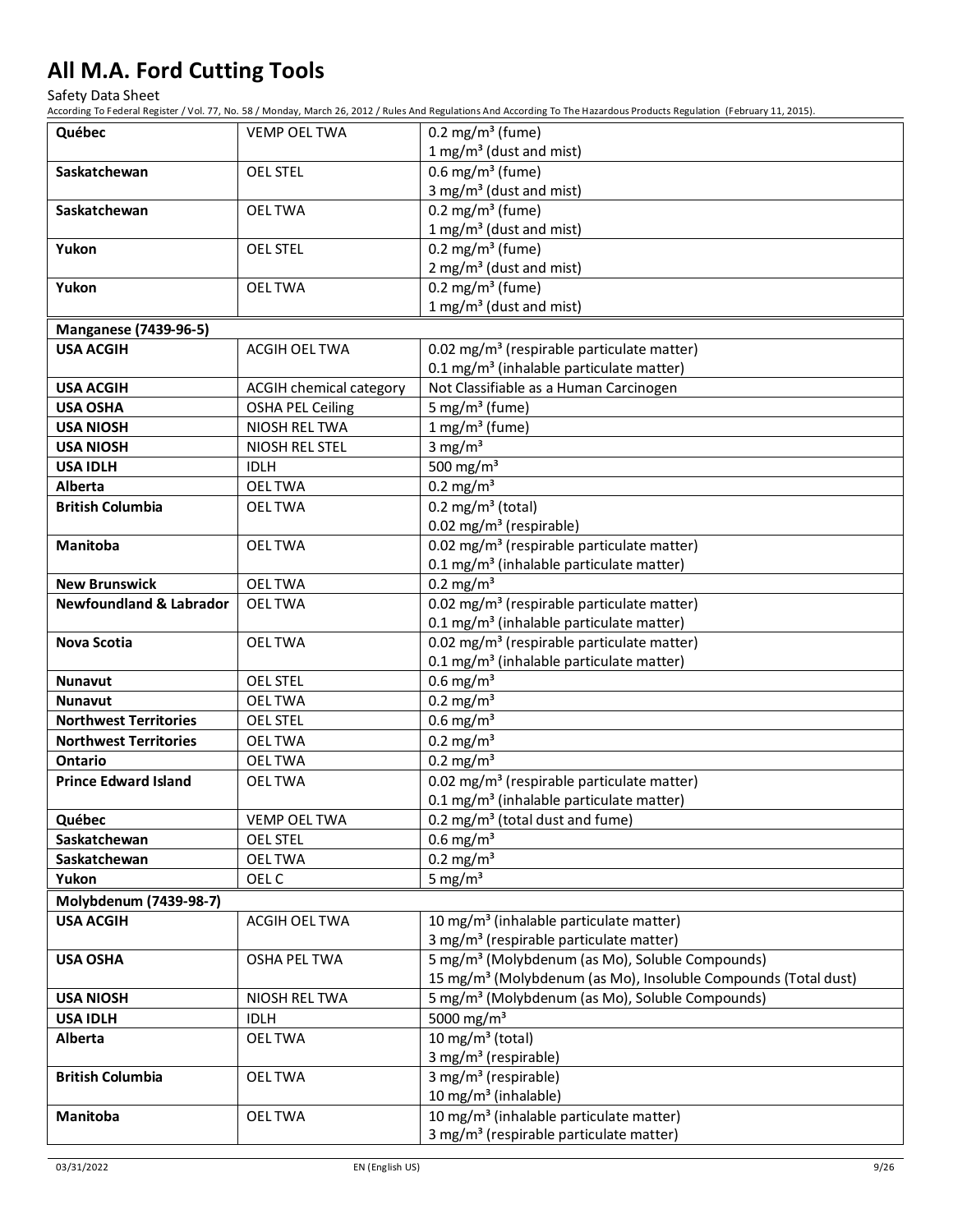Safety Data Sheet

| Québec                                                     | <b>VEMP OEL TWA</b>            | 0.2 mg/m <sup>3</sup> (fume)                                                                                   |  |  |
|------------------------------------------------------------|--------------------------------|----------------------------------------------------------------------------------------------------------------|--|--|
|                                                            |                                | 1 mg/m <sup>3</sup> (dust and mist)                                                                            |  |  |
| Saskatchewan                                               | <b>OEL STEL</b>                | 0.6 mg/m <sup>3</sup> (fume)                                                                                   |  |  |
|                                                            |                                | 3 mg/m <sup>3</sup> (dust and mist)                                                                            |  |  |
| Saskatchewan                                               | <b>OELTWA</b>                  | $0.2 \text{ mg/m}^3$ (fume)                                                                                    |  |  |
|                                                            |                                | 1 mg/m <sup>3</sup> (dust and mist)                                                                            |  |  |
| Yukon                                                      | <b>OEL STEL</b>                | 0.2 mg/m <sup>3</sup> (fume)                                                                                   |  |  |
|                                                            |                                | $2 \text{ mg/m}^3$ (dust and mist)                                                                             |  |  |
| Yukon                                                      | <b>OEL TWA</b>                 | 0.2 mg/m <sup>3</sup> (fume)                                                                                   |  |  |
|                                                            |                                | 1 mg/m <sup>3</sup> (dust and mist)                                                                            |  |  |
| <b>Manganese (7439-96-5)</b>                               |                                |                                                                                                                |  |  |
| <b>USA ACGIH</b>                                           | <b>ACGIH OEL TWA</b>           | 0.02 mg/m <sup>3</sup> (respirable particulate matter)<br>0.1 mg/m <sup>3</sup> (inhalable particulate matter) |  |  |
| <b>USA ACGIH</b>                                           | ACGIH chemical category        | Not Classifiable as a Human Carcinogen                                                                         |  |  |
| <b>USA OSHA</b>                                            | <b>OSHA PEL Ceiling</b>        | 5 mg/m <sup>3</sup> (fume)                                                                                     |  |  |
| <b>USA NIOSH</b>                                           | NIOSH REL TWA                  | $1$ mg/m <sup>3</sup> (fume)                                                                                   |  |  |
| <b>USA NIOSH</b>                                           | NIOSH REL STEL                 | 3 mg/ $m3$                                                                                                     |  |  |
| <b>USA IDLH</b>                                            | <b>IDLH</b>                    | 500 mg/m $3$                                                                                                   |  |  |
| <b>Alberta</b>                                             | <b>OELTWA</b>                  | $0.2$ mg/m <sup>3</sup>                                                                                        |  |  |
| <b>British Columbia</b>                                    | <b>OELTWA</b>                  | $0.2 \text{ mg/m}^3$ (total)                                                                                   |  |  |
|                                                            |                                | 0.02 mg/m <sup>3</sup> (respirable)                                                                            |  |  |
| Manitoba                                                   | <b>OELTWA</b>                  | 0.02 mg/m <sup>3</sup> (respirable particulate matter)                                                         |  |  |
|                                                            |                                | 0.1 mg/m <sup>3</sup> (inhalable particulate matter)                                                           |  |  |
| <b>New Brunswick</b><br><b>Newfoundland &amp; Labrador</b> | <b>OELTWA</b><br><b>OELTWA</b> | $0.2$ mg/m <sup>3</sup>                                                                                        |  |  |
|                                                            |                                | 0.02 mg/m <sup>3</sup> (respirable particulate matter)<br>0.1 mg/m <sup>3</sup> (inhalable particulate matter) |  |  |
| <b>Nova Scotia</b>                                         | <b>OELTWA</b>                  | 0.02 mg/m <sup>3</sup> (respirable particulate matter)                                                         |  |  |
|                                                            |                                | 0.1 mg/m <sup>3</sup> (inhalable particulate matter)                                                           |  |  |
| <b>Nunavut</b>                                             | <b>OEL STEL</b>                | $0.6$ mg/m <sup>3</sup>                                                                                        |  |  |
| <b>Nunavut</b>                                             | <b>OELTWA</b>                  | $0.2 \text{ mg/m}^3$                                                                                           |  |  |
| <b>Northwest Territories</b>                               | <b>OEL STEL</b>                | $0.6$ mg/m <sup>3</sup>                                                                                        |  |  |
| <b>Northwest Territories</b>                               | <b>OELTWA</b>                  | $0.2 \text{ mg/m}^3$                                                                                           |  |  |
| <b>Ontario</b>                                             | <b>OELTWA</b>                  | $0.2$ mg/m <sup>3</sup>                                                                                        |  |  |
| <b>Prince Edward Island</b>                                | <b>OELTWA</b>                  | 0.02 mg/m <sup>3</sup> (respirable particulate matter)                                                         |  |  |
|                                                            |                                | 0.1 mg/m <sup>3</sup> (inhalable particulate matter)                                                           |  |  |
| Québec                                                     | <b>VEMP OEL TWA</b>            | $0.2 \text{ mg/m}^3$ (total dust and fume)                                                                     |  |  |
| Saskatchewan                                               | <b>OEL STEL</b>                | $0.6$ mg/m <sup>3</sup>                                                                                        |  |  |
| Saskatchewan                                               | <b>OELTWA</b>                  | $0.2 \text{ mg/m}^3$                                                                                           |  |  |
| Yukon                                                      | OEL C                          | 5 mg/ $m3$                                                                                                     |  |  |
| Molybdenum (7439-98-7)                                     |                                |                                                                                                                |  |  |
| <b>USA ACGIH</b>                                           | ACGIH OEL TWA                  | 10 mg/m <sup>3</sup> (inhalable particulate matter)<br>3 mg/m <sup>3</sup> (respirable particulate matter)     |  |  |
| <b>USA OSHA</b>                                            | <b>OSHA PEL TWA</b>            | 5 mg/m <sup>3</sup> (Molybdenum (as Mo), Soluble Compounds)                                                    |  |  |
|                                                            |                                | 15 mg/m <sup>3</sup> (Molybdenum (as Mo), Insoluble Compounds (Total dust)                                     |  |  |
| <b>USA NIOSH</b>                                           | NIOSH REL TWA                  | 5 mg/m <sup>3</sup> (Molybdenum (as Mo), Soluble Compounds)                                                    |  |  |
| <b>USA IDLH</b>                                            | <b>IDLH</b>                    | 5000 mg/m <sup>3</sup>                                                                                         |  |  |
| Alberta                                                    | <b>OELTWA</b>                  | 10 mg/m $3$ (total)                                                                                            |  |  |
|                                                            |                                | 3 mg/m <sup>3</sup> (respirable)                                                                               |  |  |
| <b>British Columbia</b>                                    | <b>OELTWA</b>                  | 3 mg/m <sup>3</sup> (respirable)                                                                               |  |  |
|                                                            |                                | 10 mg/m <sup>3</sup> (inhalable)                                                                               |  |  |
| Manitoba                                                   | <b>OELTWA</b>                  | 10 mg/m <sup>3</sup> (inhalable particulate matter)                                                            |  |  |
|                                                            |                                | 3 mg/m <sup>3</sup> (respirable particulate matter)                                                            |  |  |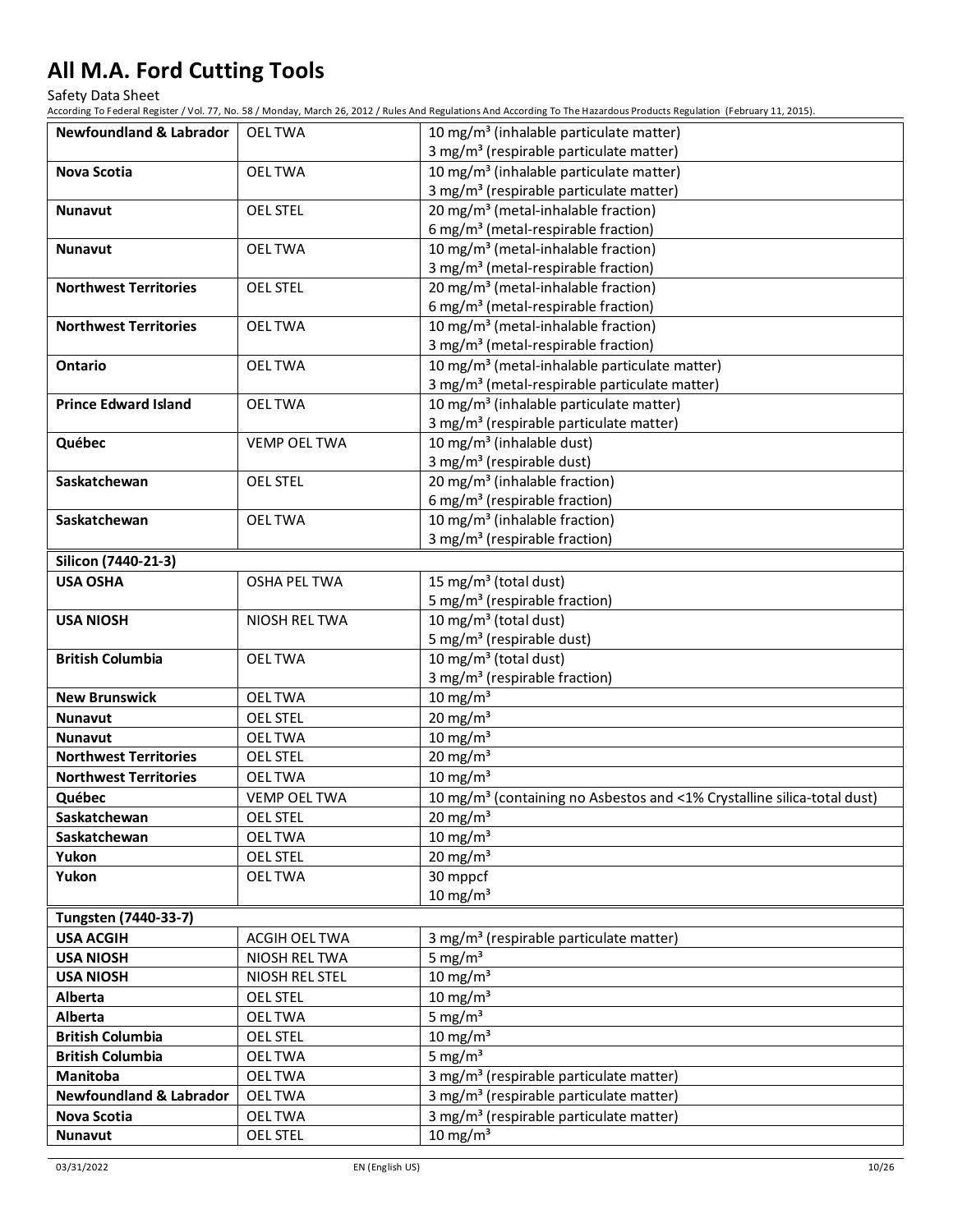Safety Data Sheet

| <b>Newfoundland &amp; Labrador</b>       | <b>OELTWA</b>       | 10 mg/m <sup>3</sup> (inhalable particulate matter)                                    |
|------------------------------------------|---------------------|----------------------------------------------------------------------------------------|
|                                          |                     | 3 mg/m <sup>3</sup> (respirable particulate matter)                                    |
| Nova Scotia                              | <b>OELTWA</b>       | 10 mg/m <sup>3</sup> (inhalable particulate matter)                                    |
|                                          |                     | 3 mg/m <sup>3</sup> (respirable particulate matter)                                    |
| <b>Nunavut</b>                           | <b>OEL STEL</b>     | 20 mg/m <sup>3</sup> (metal-inhalable fraction)                                        |
|                                          |                     | 6 mg/m <sup>3</sup> (metal-respirable fraction)                                        |
| <b>Nunavut</b>                           | <b>OELTWA</b>       | 10 mg/m <sup>3</sup> (metal-inhalable fraction)                                        |
|                                          |                     | 3 mg/m <sup>3</sup> (metal-respirable fraction)                                        |
| <b>Northwest Territories</b>             | <b>OEL STEL</b>     | 20 mg/m <sup>3</sup> (metal-inhalable fraction)                                        |
|                                          |                     | 6 mg/m <sup>3</sup> (metal-respirable fraction)                                        |
| <b>Northwest Territories</b>             | <b>OEL TWA</b>      | 10 mg/m <sup>3</sup> (metal-inhalable fraction)                                        |
|                                          |                     | 3 mg/m <sup>3</sup> (metal-respirable fraction)                                        |
| Ontario                                  | <b>OELTWA</b>       | 10 mg/m <sup>3</sup> (metal-inhalable particulate matter)                              |
|                                          |                     | 3 mg/m <sup>3</sup> (metal-respirable particulate matter)                              |
| <b>Prince Edward Island</b>              | <b>OELTWA</b>       | 10 mg/m <sup>3</sup> (inhalable particulate matter)                                    |
|                                          |                     | 3 mg/m <sup>3</sup> (respirable particulate matter)                                    |
| Québec                                   | <b>VEMP OEL TWA</b> | 10 mg/m <sup>3</sup> (inhalable dust)                                                  |
|                                          |                     | 3 mg/m <sup>3</sup> (respirable dust)                                                  |
| Saskatchewan                             | <b>OEL STEL</b>     | 20 mg/m <sup>3</sup> (inhalable fraction)                                              |
| Saskatchewan                             |                     | 6 mg/m <sup>3</sup> (respirable fraction)<br>10 mg/m <sup>3</sup> (inhalable fraction) |
|                                          | <b>OELTWA</b>       | 3 mg/m <sup>3</sup> (respirable fraction)                                              |
|                                          |                     |                                                                                        |
| Silicon (7440-21-3)                      |                     |                                                                                        |
| <b>USA OSHA</b>                          | <b>OSHA PEL TWA</b> | 15 mg/m <sup>3</sup> (total dust)                                                      |
| <b>USA NIOSH</b>                         | NIOSH REL TWA       | 5 mg/m <sup>3</sup> (respirable fraction)<br>10 mg/m <sup>3</sup> (total dust)         |
|                                          |                     | 5 mg/m <sup>3</sup> (respirable dust)                                                  |
| <b>British Columbia</b><br><b>OELTWA</b> |                     | 10 mg/m <sup>3</sup> (total dust)                                                      |
|                                          |                     | 3 mg/m <sup>3</sup> (respirable fraction)                                              |
| <b>New Brunswick</b>                     | <b>OELTWA</b>       | $10 \text{ mg/m}^3$                                                                    |
| <b>Nunavut</b>                           | <b>OEL STEL</b>     | 20 mg/m <sup>3</sup>                                                                   |
| <b>Nunavut</b>                           | <b>OELTWA</b>       | $10 \text{ mg/m}^3$                                                                    |
| <b>Northwest Territories</b>             | <b>OEL STEL</b>     | 20 mg/m <sup>3</sup>                                                                   |
| <b>Northwest Territories</b>             | <b>OELTWA</b>       | 10 mg/m $3$                                                                            |
| Québec                                   | <b>VEMP OEL TWA</b> | 10 mg/m <sup>3</sup> (containing no Asbestos and <1% Crystalline silica-total dust)    |
| Saskatchewan                             | <b>OEL STEL</b>     | $20 \text{ mg/m}^3$                                                                    |
| Saskatchewan                             | <b>OELTWA</b>       | 10 mg/m <sup>3</sup>                                                                   |
| Yukon                                    | <b>OEL STEL</b>     | 20 mg/m $3$                                                                            |
| Yukon                                    | <b>OELTWA</b>       | 30 mppcf                                                                               |
|                                          |                     | $10 \text{ mg/m}^3$                                                                    |
| Tungsten (7440-33-7)                     |                     |                                                                                        |
| <b>USA ACGIH</b>                         | ACGIH OEL TWA       | 3 mg/m <sup>3</sup> (respirable particulate matter)                                    |
| <b>USA NIOSH</b>                         | NIOSH REL TWA       | 5 mg/ $m3$                                                                             |
| <b>USA NIOSH</b>                         | NIOSH REL STEL      | 10 mg/m $3$                                                                            |
| Alberta                                  | <b>OEL STEL</b>     | 10 mg/m $3$                                                                            |
| Alberta                                  | <b>OELTWA</b>       | 5 mg/ $m3$                                                                             |
| <b>British Columbia</b>                  | <b>OEL STEL</b>     | 10 mg/m $3$                                                                            |
| <b>British Columbia</b>                  | <b>OEL TWA</b>      | 5 mg/ $m3$                                                                             |
| Manitoba                                 | <b>OELTWA</b>       | 3 mg/m <sup>3</sup> (respirable particulate matter)                                    |
| <b>Newfoundland &amp; Labrador</b>       | <b>OELTWA</b>       | 3 mg/m <sup>3</sup> (respirable particulate matter)                                    |
| <b>Nova Scotia</b>                       | <b>OELTWA</b>       | 3 mg/m <sup>3</sup> (respirable particulate matter)                                    |
| Nunavut                                  | <b>OEL STEL</b>     | 10 mg/m $3$                                                                            |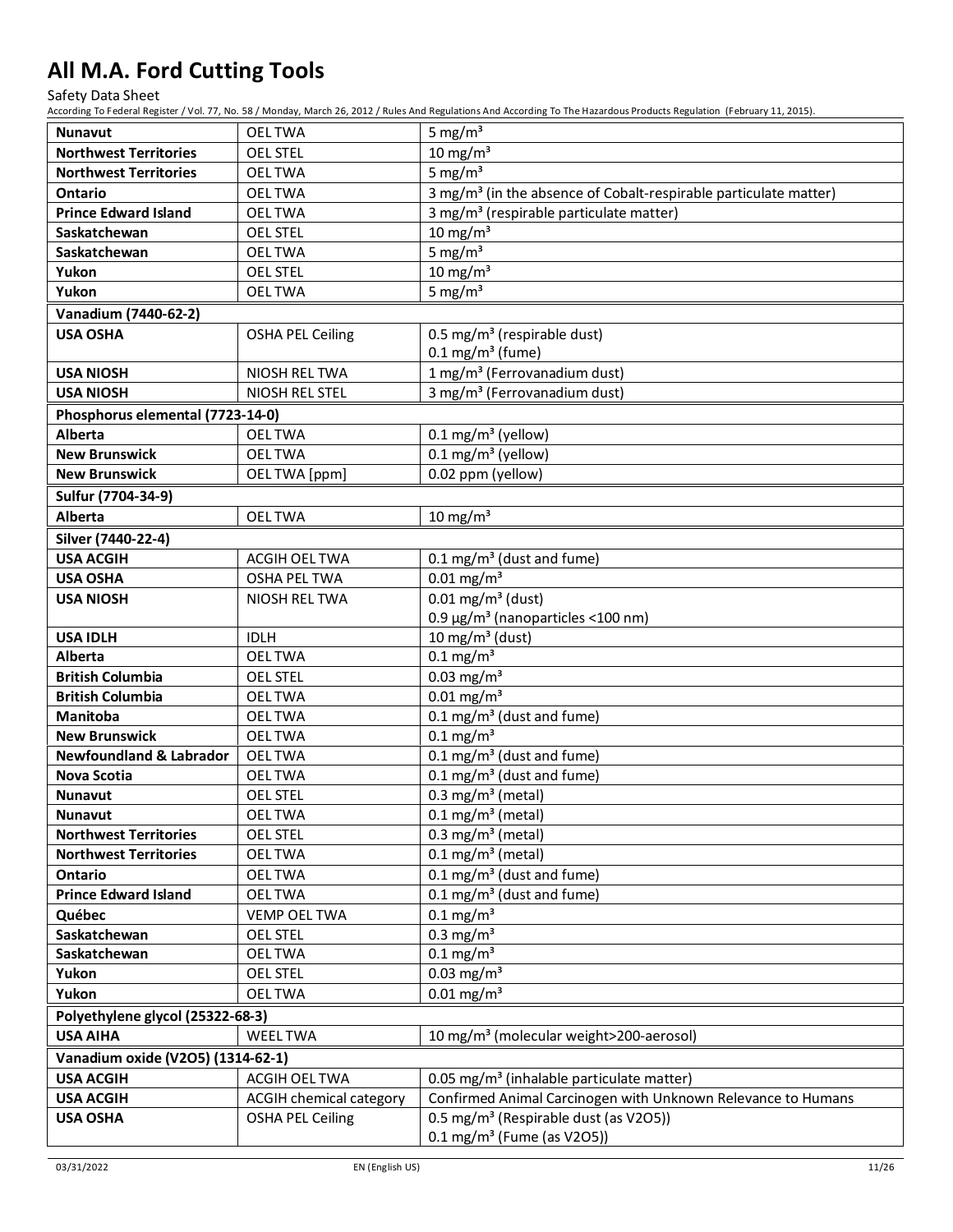Safety Data Sheet

| <b>Nunavut</b>                     | <b>OELTWA</b>                  | 5 mg/ $m3$                                                                   |
|------------------------------------|--------------------------------|------------------------------------------------------------------------------|
| <b>Northwest Territories</b>       | <b>OEL STEL</b>                | $10 \text{ mg/m}^3$                                                          |
| <b>Northwest Territories</b>       | <b>OELTWA</b>                  | 5 mg/ $m3$                                                                   |
| <b>Ontario</b>                     | <b>OELTWA</b>                  | 3 mg/m <sup>3</sup> (in the absence of Cobalt-respirable particulate matter) |
| <b>Prince Edward Island</b>        | <b>OELTWA</b>                  | 3 mg/m <sup>3</sup> (respirable particulate matter)                          |
| Saskatchewan                       | <b>OEL STEL</b>                | $10 \text{ mg/m}^3$                                                          |
| Saskatchewan                       | <b>OELTWA</b>                  | 5 mg/ $m3$                                                                   |
| Yukon                              | <b>OEL STEL</b>                | $10 \text{ mg/m}^3$                                                          |
| Yukon                              | <b>OELTWA</b>                  | 5 mg/ $m3$                                                                   |
| Vanadium (7440-62-2)               |                                |                                                                              |
| <b>USA OSHA</b>                    | <b>OSHA PEL Ceiling</b>        | 0.5 mg/m <sup>3</sup> (respirable dust)<br>$0.1 \text{ mg/m}^3$ (fume)       |
| <b>USA NIOSH</b>                   | NIOSH REL TWA                  | 1 mg/m <sup>3</sup> (Ferrovanadium dust)                                     |
| <b>USA NIOSH</b>                   | NIOSH REL STEL                 | 3 mg/m <sup>3</sup> (Ferrovanadium dust)                                     |
| Phosphorus elemental (7723-14-0)   |                                |                                                                              |
| Alberta                            | <b>OEL TWA</b>                 | 0.1 mg/m <sup>3</sup> (yellow)                                               |
| <b>New Brunswick</b>               | <b>OELTWA</b>                  | $0.1 \text{ mg/m}^3$ (yellow)                                                |
| <b>New Brunswick</b>               | OEL TWA [ppm]                  | 0.02 ppm (yellow)                                                            |
| Sulfur (7704-34-9)                 |                                |                                                                              |
| <b>Alberta</b>                     | <b>OELTWA</b>                  | $10 \text{ mg/m}^3$                                                          |
| Silver (7440-22-4)                 |                                |                                                                              |
| <b>USA ACGIH</b>                   | <b>ACGIH OEL TWA</b>           | 0.1 mg/m <sup>3</sup> (dust and fume)                                        |
| <b>USA OSHA</b>                    | <b>OSHA PEL TWA</b>            | $0.01$ mg/m <sup>3</sup>                                                     |
| <b>USA NIOSH</b>                   | NIOSH REL TWA                  | $0.01 \,\mathrm{mg/m^3}$ (dust)                                              |
|                                    |                                | 0.9 µg/m <sup>3</sup> (nanoparticles <100 nm)                                |
| <b>USA IDLH</b>                    | <b>IDLH</b>                    | 10 mg/m <sup>3</sup> (dust)                                                  |
| Alberta                            | <b>OELTWA</b>                  | $0.1 \text{ mg/m}^3$                                                         |
| <b>British Columbia</b>            | <b>OEL STEL</b>                | $0.03$ mg/m <sup>3</sup>                                                     |
| <b>British Columbia</b>            | <b>OELTWA</b>                  | $0.01$ mg/m <sup>3</sup>                                                     |
| <b>Manitoba</b>                    | <b>OELTWA</b>                  | 0.1 mg/m <sup>3</sup> (dust and fume)                                        |
| <b>New Brunswick</b>               | <b>OELTWA</b>                  | $0.1 \,\mathrm{mg/m^3}$                                                      |
| <b>Newfoundland &amp; Labrador</b> | <b>OEL TWA</b>                 | $0.1 \text{ mg/m}^3$ (dust and fume)                                         |
| Nova Scotia                        | <b>OELTWA</b>                  | $0.1 \text{ mg/m}^3$ (dust and fume)                                         |
| <b>Nunavut</b>                     | <b>OEL STEL</b>                | 0.3 mg/m <sup>3</sup> (metal)                                                |
| <b>Nunavut</b>                     | <b>OEL TWA</b>                 | $0.1 \text{ mg/m}^3$ (metal)                                                 |
| <b>Northwest Territories</b>       | <b>OEL STEL</b>                | $0.3$ mg/m <sup>3</sup> (metal)                                              |
| <b>Northwest Territories</b>       | <b>OELTWA</b>                  | $0.1$ mg/m <sup>3</sup> (metal)                                              |
| Ontario                            | <b>OELTWA</b>                  | $0.1 \text{ mg/m}^3$ (dust and fume)                                         |
| <b>Prince Edward Island</b>        | <b>OELTWA</b>                  | $0.1 \text{ mg/m}^3$ (dust and fume)                                         |
| Québec                             | <b>VEMP OEL TWA</b>            | $0.1 \text{ mg/m}^3$                                                         |
| Saskatchewan                       | <b>OEL STEL</b>                | $0.3$ mg/m <sup>3</sup>                                                      |
| Saskatchewan                       | <b>OELTWA</b>                  | $0.1 \text{ mg/m}^3$                                                         |
| Yukon                              | <b>OEL STEL</b>                | $0.03$ mg/m <sup>3</sup>                                                     |
| Yukon                              | <b>OELTWA</b>                  | $0.01$ mg/m <sup>3</sup>                                                     |
| Polyethylene glycol (25322-68-3)   |                                |                                                                              |
| <b>USA AIHA</b>                    | <b>WEEL TWA</b>                | 10 mg/m <sup>3</sup> (molecular weight>200-aerosol)                          |
| Vanadium oxide (V2O5) (1314-62-1)  |                                |                                                                              |
| <b>USA ACGIH</b>                   | ACGIH OEL TWA                  | 0.05 mg/m <sup>3</sup> (inhalable particulate matter)                        |
| <b>USA ACGIH</b>                   | <b>ACGIH chemical category</b> | Confirmed Animal Carcinogen with Unknown Relevance to Humans                 |
| <b>USA OSHA</b>                    | <b>OSHA PEL Ceiling</b>        | 0.5 mg/m <sup>3</sup> (Respirable dust (as V2O5))                            |
|                                    |                                | $0.1 \text{ mg/m}^3$ (Fume (as V2O5))                                        |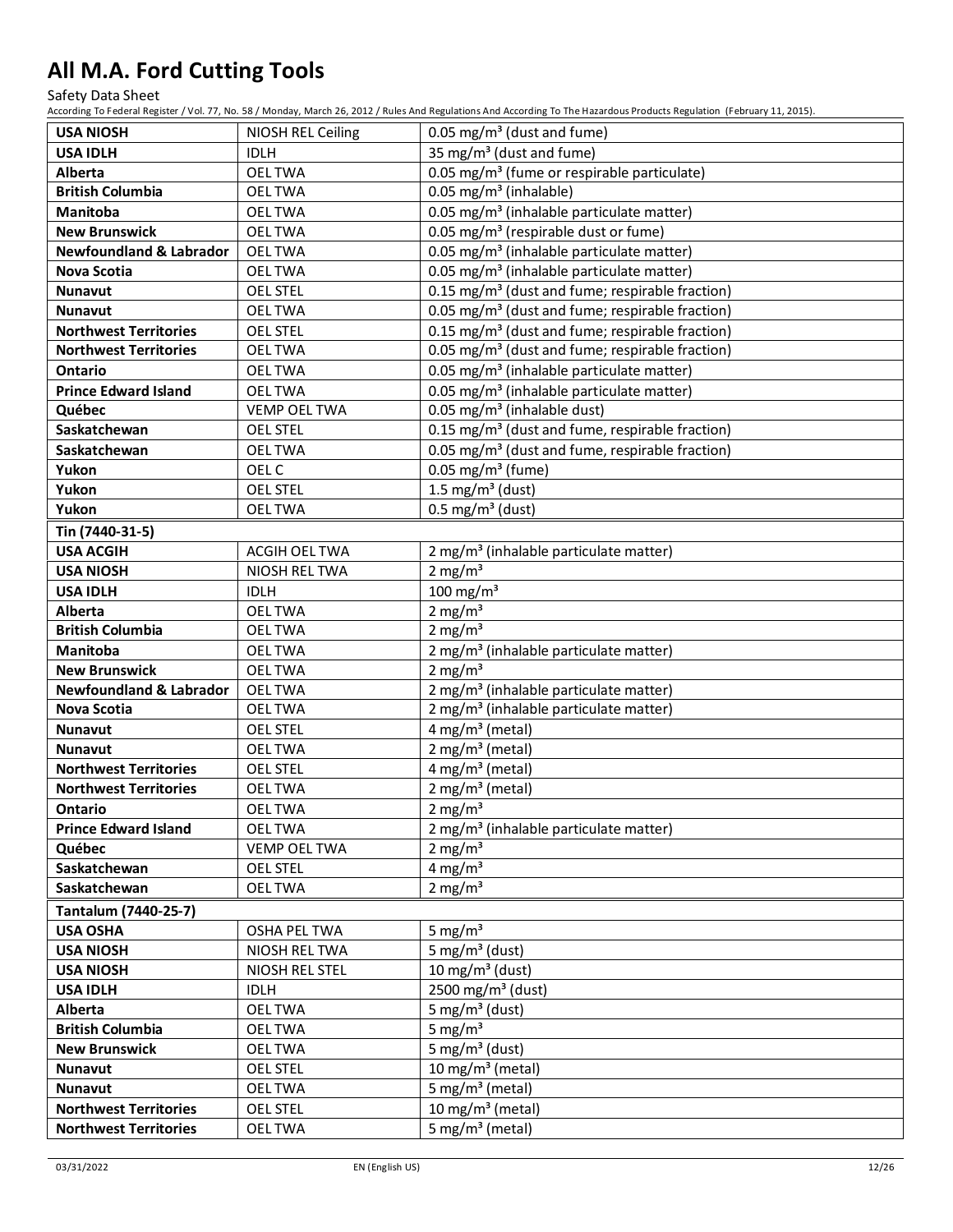Safety Data Sheet

| <b>USA NIOSH</b>                    | NIOSH REL Ceiling                    | 0.05 mg/m <sup>3</sup> (dust and fume)                                      |
|-------------------------------------|--------------------------------------|-----------------------------------------------------------------------------|
| <b>USA IDLH</b>                     | <b>IDLH</b>                          | 35 mg/m <sup>3</sup> (dust and fume)                                        |
| Alberta                             | <b>OELTWA</b>                        | 0.05 mg/m <sup>3</sup> (fume or respirable particulate)                     |
| <b>British Columbia</b>             | <b>OELTWA</b>                        | 0.05 mg/m <sup>3</sup> (inhalable)                                          |
| <b>Manitoba</b>                     | <b>OELTWA</b>                        | 0.05 mg/m <sup>3</sup> (inhalable particulate matter)                       |
| <b>New Brunswick</b>                | <b>OELTWA</b>                        | 0.05 mg/m <sup>3</sup> (respirable dust or fume)                            |
| <b>Newfoundland &amp; Labrador</b>  | <b>OELTWA</b>                        | 0.05 mg/m <sup>3</sup> (inhalable particulate matter)                       |
| Nova Scotia                         | <b>OELTWA</b>                        | 0.05 mg/m <sup>3</sup> (inhalable particulate matter)                       |
| Nunavut                             | <b>OEL STEL</b>                      | 0.15 mg/m <sup>3</sup> (dust and fume; respirable fraction)                 |
| <b>Nunavut</b>                      | <b>OELTWA</b>                        | 0.05 mg/m <sup>3</sup> (dust and fume; respirable fraction)                 |
| <b>Northwest Territories</b>        | <b>OEL STEL</b>                      | 0.15 mg/m <sup>3</sup> (dust and fume; respirable fraction)                 |
| <b>Northwest Territories</b>        | <b>OELTWA</b>                        | 0.05 mg/m <sup>3</sup> (dust and fume; respirable fraction)                 |
| <b>Ontario</b>                      | <b>OELTWA</b>                        | 0.05 mg/m <sup>3</sup> (inhalable particulate matter)                       |
| <b>Prince Edward Island</b>         | <b>OELTWA</b>                        | 0.05 mg/m <sup>3</sup> (inhalable particulate matter)                       |
| Québec                              | <b>VEMP OEL TWA</b>                  | 0.05 mg/m <sup>3</sup> (inhalable dust)                                     |
| Saskatchewan                        | <b>OEL STEL</b>                      | 0.15 mg/m <sup>3</sup> (dust and fume, respirable fraction)                 |
| Saskatchewan                        | <b>OELTWA</b>                        | 0.05 mg/m <sup>3</sup> (dust and fume, respirable fraction)                 |
| Yukon                               | OEL C                                | 0.05 mg/m <sup>3</sup> (fume)                                               |
| Yukon                               | <b>OEL STEL</b>                      | 1.5 mg/m <sup>3</sup> (dust)                                                |
| Yukon                               | <b>OELTWA</b>                        | $0.5 \text{ mg/m}^3$ (dust)                                                 |
|                                     |                                      |                                                                             |
| Tin (7440-31-5)<br><b>USA ACGIH</b> | ACGIH OEL TWA                        |                                                                             |
| <b>USA NIOSH</b>                    | NIOSH REL TWA                        | 2 mg/m <sup>3</sup> (inhalable particulate matter)<br>$2$ mg/m <sup>3</sup> |
| <b>USA IDLH</b>                     | <b>IDLH</b>                          | 100 mg/m $3$                                                                |
| Alberta                             | <b>OELTWA</b>                        | $2 \text{ mg/m}^3$                                                          |
| <b>British Columbia</b>             | <b>OELTWA</b>                        | 2 mg/m <sup>3</sup>                                                         |
| Manitoba                            | <b>OELTWA</b>                        |                                                                             |
| <b>New Brunswick</b>                | <b>OELTWA</b>                        | 2 mg/m <sup>3</sup> (inhalable particulate matter)<br>2 mg/m <sup>3</sup>   |
| <b>Newfoundland &amp; Labrador</b>  | <b>OELTWA</b>                        | 2 mg/m <sup>3</sup> (inhalable particulate matter)                          |
| Nova Scotia                         | <b>OELTWA</b>                        | 2 mg/m <sup>3</sup> (inhalable particulate matter)                          |
| <b>Nunavut</b>                      | <b>OEL STEL</b>                      | 4 mg/m <sup>3</sup> (metal)                                                 |
| <b>Nunavut</b>                      | <b>OELTWA</b>                        | $2$ mg/m <sup>3</sup> (metal)                                               |
| <b>Northwest Territories</b>        | <b>OEL STEL</b>                      | 4 mg/m <sup>3</sup> (metal)                                                 |
| <b>Northwest Territories</b>        | <b>OELTWA</b>                        | $2$ mg/m <sup>3</sup> (metal)                                               |
| Ontario                             | <b>OEL TWA</b>                       | $2 \text{ mg/m}^3$                                                          |
| <b>Prince Edward Island</b>         | <b>OEL TWA</b>                       | 2 mg/m <sup>3</sup> (inhalable particulate matter)                          |
| Québec                              | <b>VEMP OEL TWA</b>                  | 2 mg/m <sup>3</sup>                                                         |
| Saskatchewan                        | <b>OEL STEL</b>                      | 4 mg/ $m3$                                                                  |
| Saskatchewan                        | <b>OEL TWA</b>                       | 2 mg/ $m3$                                                                  |
|                                     |                                      |                                                                             |
| Tantalum (7440-25-7)                |                                      | 5 mg/ $m3$                                                                  |
| <b>USA OSHA</b><br><b>USA NIOSH</b> | <b>OSHA PEL TWA</b><br>NIOSH REL TWA | 5 mg/m <sup>3</sup> (dust)                                                  |
| <b>USA NIOSH</b>                    | NIOSH REL STEL                       | 10 mg/m <sup>3</sup> (dust)                                                 |
| <b>USA IDLH</b>                     |                                      | 2500 mg/m <sup>3</sup> (dust)                                               |
| Alberta                             | <b>IDLH</b>                          | 5 mg/m <sup>3</sup> (dust)                                                  |
|                                     | <b>OEL TWA</b>                       |                                                                             |
| <b>British Columbia</b>             | <b>OEL TWA</b>                       | 5 mg/ $m3$                                                                  |
| <b>New Brunswick</b>                | <b>OELTWA</b>                        | 5 mg/m <sup>3</sup> (dust)                                                  |
| <b>Nunavut</b>                      | <b>OEL STEL</b>                      | 10 mg/m <sup>3</sup> (metal)                                                |
| <b>Nunavut</b>                      | <b>OELTWA</b>                        | 5 mg/m <sup>3</sup> (metal)                                                 |
| <b>Northwest Territories</b>        | <b>OEL STEL</b>                      | 10 mg/m <sup>3</sup> (metal)                                                |
| <b>Northwest Territories</b>        | <b>OELTWA</b>                        | 5 mg/m <sup>3</sup> (metal)                                                 |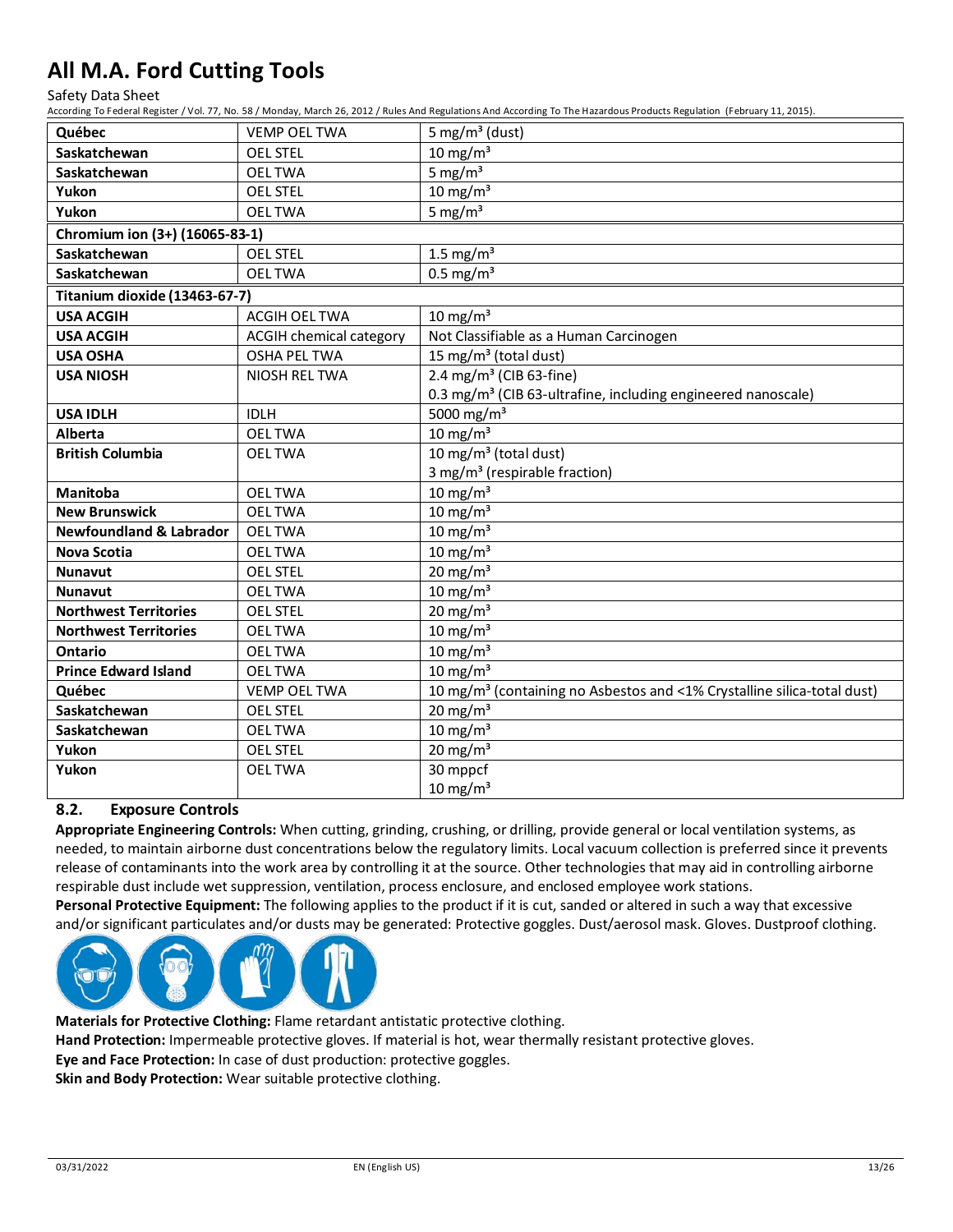Safety Data Sheet

According To Federal Register / Vol. 77, No. 58 / Monday, March 26, 2012 / Rules And Regulations And According To The Hazardous Products Regulation (February 11, 2015).

| Québec                             | <b>VEMP OEL TWA</b>            | 5 mg/m <sup>3</sup> (dust)                                                          |
|------------------------------------|--------------------------------|-------------------------------------------------------------------------------------|
| Saskatchewan                       | <b>OEL STEL</b>                | $10 \text{ mg/m}^3$                                                                 |
| Saskatchewan                       | <b>OELTWA</b>                  | 5 mg/ $m3$                                                                          |
| Yukon                              | <b>OEL STEL</b>                | $10 \text{ mg/m}^3$                                                                 |
| Yukon                              | <b>OELTWA</b>                  | 5 mg/ $m3$                                                                          |
| Chromium ion (3+) (16065-83-1)     |                                |                                                                                     |
| Saskatchewan                       | <b>OEL STEL</b>                | 1.5 mg/ $m3$                                                                        |
| Saskatchewan                       | <b>OELTWA</b>                  | $0.5$ mg/m <sup>3</sup>                                                             |
| Titanium dioxide (13463-67-7)      |                                |                                                                                     |
| <b>USA ACGIH</b>                   | <b>ACGIH OEL TWA</b>           | 10 mg/m $3$                                                                         |
| <b>USA ACGIH</b>                   | <b>ACGIH chemical category</b> | Not Classifiable as a Human Carcinogen                                              |
| <b>USA OSHA</b>                    | <b>OSHA PEL TWA</b>            | 15 mg/m <sup>3</sup> (total dust)                                                   |
| <b>USA NIOSH</b>                   | NIOSH REL TWA                  | 2.4 mg/m <sup>3</sup> (CIB 63-fine)                                                 |
|                                    |                                | 0.3 mg/m <sup>3</sup> (CIB 63-ultrafine, including engineered nanoscale)            |
| <b>USA IDLH</b>                    | <b>IDLH</b>                    | 5000 mg/m <sup>3</sup>                                                              |
| <b>Alberta</b>                     | <b>OELTWA</b>                  | $10 \text{ mg/m}^3$                                                                 |
| <b>British Columbia</b>            | <b>OEL TWA</b>                 | 10 mg/m $3$ (total dust)                                                            |
|                                    |                                | 3 mg/m <sup>3</sup> (respirable fraction)                                           |
| <b>Manitoba</b>                    | <b>OEL TWA</b>                 | $10 \text{ mg/m}^3$                                                                 |
| <b>New Brunswick</b>               | <b>OEL TWA</b>                 | $10 \text{ mg/m}^3$                                                                 |
| <b>Newfoundland &amp; Labrador</b> | <b>OEL TWA</b>                 | $10 \text{ mg/m}^3$                                                                 |
| <b>Nova Scotia</b>                 | <b>OELTWA</b>                  | $10 \text{ mg/m}^3$                                                                 |
| <b>Nunavut</b>                     | <b>OEL STEL</b>                | 20 mg/m $3$                                                                         |
| <b>Nunavut</b>                     | <b>OELTWA</b>                  | $10 \text{ mg/m}^3$                                                                 |
| <b>Northwest Territories</b>       | <b>OEL STEL</b>                | $20 \text{ mg/m}^3$                                                                 |
| <b>Northwest Territories</b>       | <b>OELTWA</b>                  | $10 \text{ mg/m}^3$                                                                 |
| <b>Ontario</b>                     | <b>OELTWA</b>                  | $10 \text{ mg/m}^3$                                                                 |
| <b>Prince Edward Island</b>        | <b>OELTWA</b>                  | $10 \text{ mg/m}^3$                                                                 |
| Québec                             | <b>VEMP OEL TWA</b>            | 10 mg/m <sup>3</sup> (containing no Asbestos and <1% Crystalline silica-total dust) |
| Saskatchewan                       | <b>OEL STEL</b>                | $20 \text{ mg/m}^3$                                                                 |
| Saskatchewan                       | <b>OELTWA</b>                  | $10 \text{ mg/m}^3$                                                                 |
| Yukon                              | <b>OEL STEL</b>                | 20 mg/m $3$                                                                         |
| Yukon                              | <b>OELTWA</b>                  | 30 mppcf                                                                            |
|                                    |                                | $10 \text{ mg/m}^3$                                                                 |

#### **8.2. Exposure Controls**

**Appropriate Engineering Controls:** When cutting, grinding, crushing, or drilling, provide general or local ventilation systems, as needed, to maintain airborne dust concentrations below the regulatory limits. Local vacuum collection is preferred since it prevents release of contaminants into the work area by controlling it at the source. Other technologies that may aid in controlling airborne respirable dust include wet suppression, ventilation, process enclosure, and enclosed employee work stations.

**Personal Protective Equipment:** The following applies to the product if it is cut, sanded or altered in such a way that excessive and/or significant particulates and/or dusts may be generated: Protective goggles. Dust/aerosol mask. Gloves. Dustproof clothing.



**Materials for Protective Clothing:** Flame retardant antistatic protective clothing.

**Hand Protection:** Impermeable protective gloves. If material is hot, wear thermally resistant protective gloves.

**Eye and Face Protection:** In case of dust production: protective goggles.

**Skin and Body Protection:** Wear suitable protective clothing.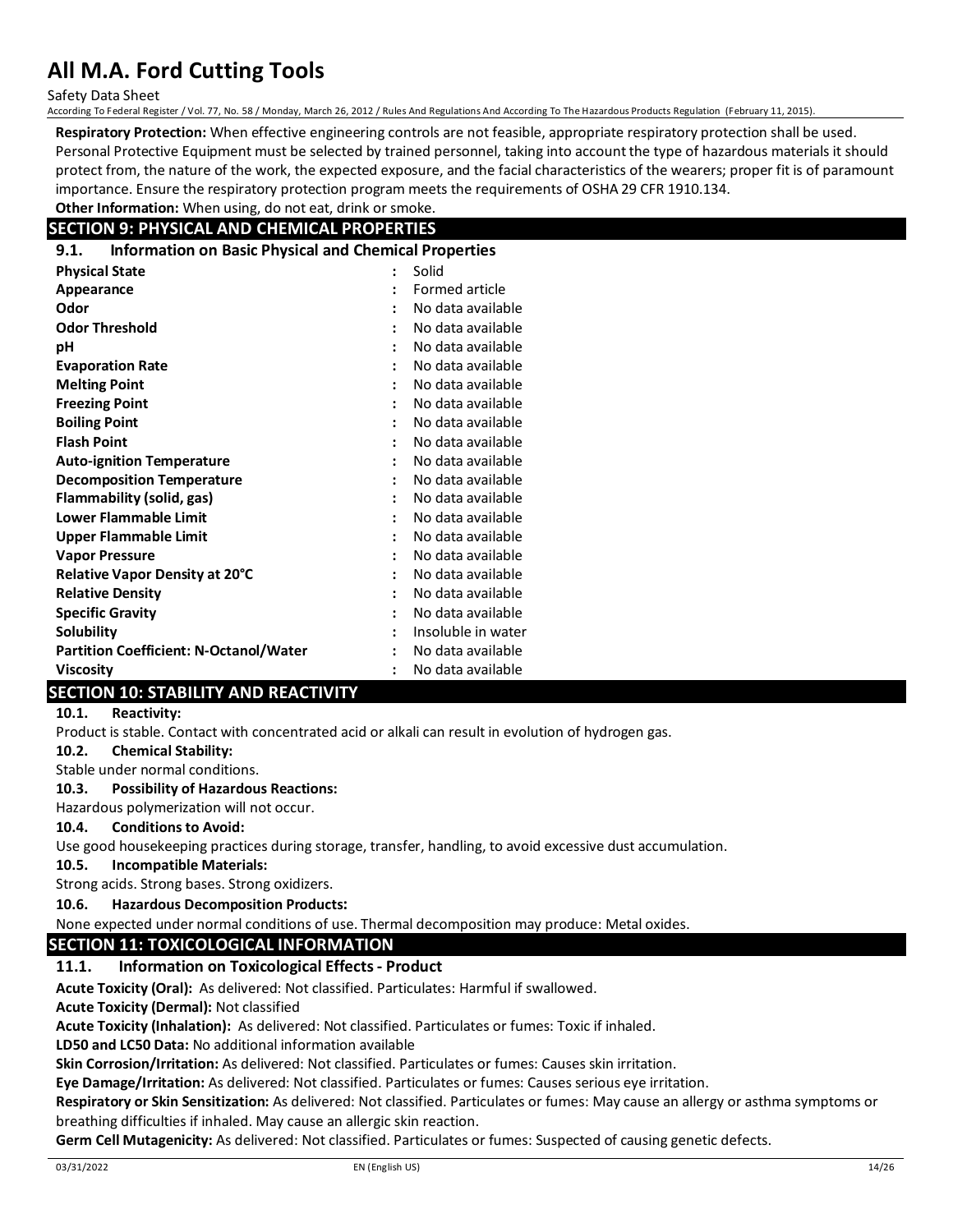Safety Data Sheet

According To Federal Register / Vol. 77, No. 58 / Monday, March 26, 2012 / Rules And Regulations And According To The Hazardous Products Regulation (February 11, 2015).

**Respiratory Protection:** When effective engineering controls are not feasible, appropriate respiratory protection shall be used. Personal Protective Equipment must be selected by trained personnel, taking into account the type of hazardous materials it should protect from, the nature of the work, the expected exposure, and the facial characteristics of the wearers; proper fit is of paramount importance. Ensure the respiratory protection program meets the requirements of OSHA 29 CFR 1910.134.

#### **Other Information:** When using, do not eat, drink or smoke. **SECTION 9: PHYSICAL AND CHEMICAL PROPERTIES**

| 9.1. |  |  |  | <b>Information on Basic Physical and Chemical Properties</b> |
|------|--|--|--|--------------------------------------------------------------|

| <b></b><br><b>INTERNATION OF DESIGN INVESTOR CHEMICAL FLOPETIES</b> |                      |                       |
|---------------------------------------------------------------------|----------------------|-----------------------|
| <b>Physical State</b>                                               | $\ddot{\phantom{a}}$ | Solid                 |
| Appearance                                                          | ÷                    | <b>Formed article</b> |
| Odor                                                                |                      | No data available     |
| <b>Odor Threshold</b>                                               | $\ddot{\phantom{a}}$ | No data available     |
| рH                                                                  | $\ddot{\phantom{a}}$ | No data available     |
| <b>Evaporation Rate</b>                                             |                      | No data available     |
| <b>Melting Point</b>                                                |                      | No data available     |
| <b>Freezing Point</b>                                               | $\ddot{\cdot}$       | No data available     |
| <b>Boiling Point</b>                                                |                      | No data available     |
| <b>Flash Point</b>                                                  | $\ddot{\cdot}$       | No data available     |
| <b>Auto-ignition Temperature</b>                                    | $\ddot{\cdot}$       | No data available     |
| <b>Decomposition Temperature</b>                                    |                      | No data available     |
| Flammability (solid, gas)                                           | $\ddot{\phantom{a}}$ | No data available     |
| <b>Lower Flammable Limit</b>                                        | $\ddot{\cdot}$       | No data available     |
| <b>Upper Flammable Limit</b>                                        |                      | No data available     |
| <b>Vapor Pressure</b>                                               | $\ddot{\cdot}$       | No data available     |
| Relative Vapor Density at 20°C                                      | $\ddot{\cdot}$       | No data available     |
| <b>Relative Density</b>                                             |                      | No data available     |
| <b>Specific Gravity</b>                                             | ÷                    | No data available     |
| Solubility                                                          | $\ddot{\phantom{a}}$ | Insoluble in water    |
| <b>Partition Coefficient: N-Octanol/Water</b>                       | $\ddot{\cdot}$       | No data available     |
| <b>Viscosity</b>                                                    |                      | No data available     |

# **SECTION 10: STABILITY AND REACTIVITY**

#### **10.1. Reactivity:**

Product is stable. Contact with concentrated acid or alkali can result in evolution of hydrogen gas.

**10.2. Chemical Stability:**

Stable under normal conditions.

#### **10.3. Possibility of Hazardous Reactions:**

Hazardous polymerization will not occur.

**10.4. Conditions to Avoid:**

Use good housekeeping practices during storage, transfer, handling, to avoid excessive dust accumulation.

#### **10.5. Incompatible Materials:**

Strong acids. Strong bases. Strong oxidizers.

**10.6. Hazardous Decomposition Products:**

None expected under normal conditions of use. Thermal decomposition may produce: Metal oxides.

### **SECTION 11: TOXICOLOGICAL INFORMATION**

#### **11.1. Information on Toxicological Effects - Product**

**Acute Toxicity (Oral):** As delivered: Not classified. Particulates: Harmful if swallowed.

**Acute Toxicity (Dermal):** Not classified

**Acute Toxicity (Inhalation):** As delivered: Not classified. Particulates or fumes: Toxic if inhaled.

**LD50 and LC50 Data:** No additional information available

**Skin Corrosion/Irritation:** As delivered: Not classified. Particulates or fumes: Causes skin irritation.

**Eye Damage/Irritation:** As delivered: Not classified. Particulates or fumes: Causes serious eye irritation.

**Respiratory or Skin Sensitization:** As delivered: Not classified. Particulates or fumes: May cause an allergy or asthma symptoms or breathing difficulties if inhaled. May cause an allergic skin reaction.

**Germ Cell Mutagenicity:** As delivered: Not classified. Particulates or fumes: Suspected of causing genetic defects.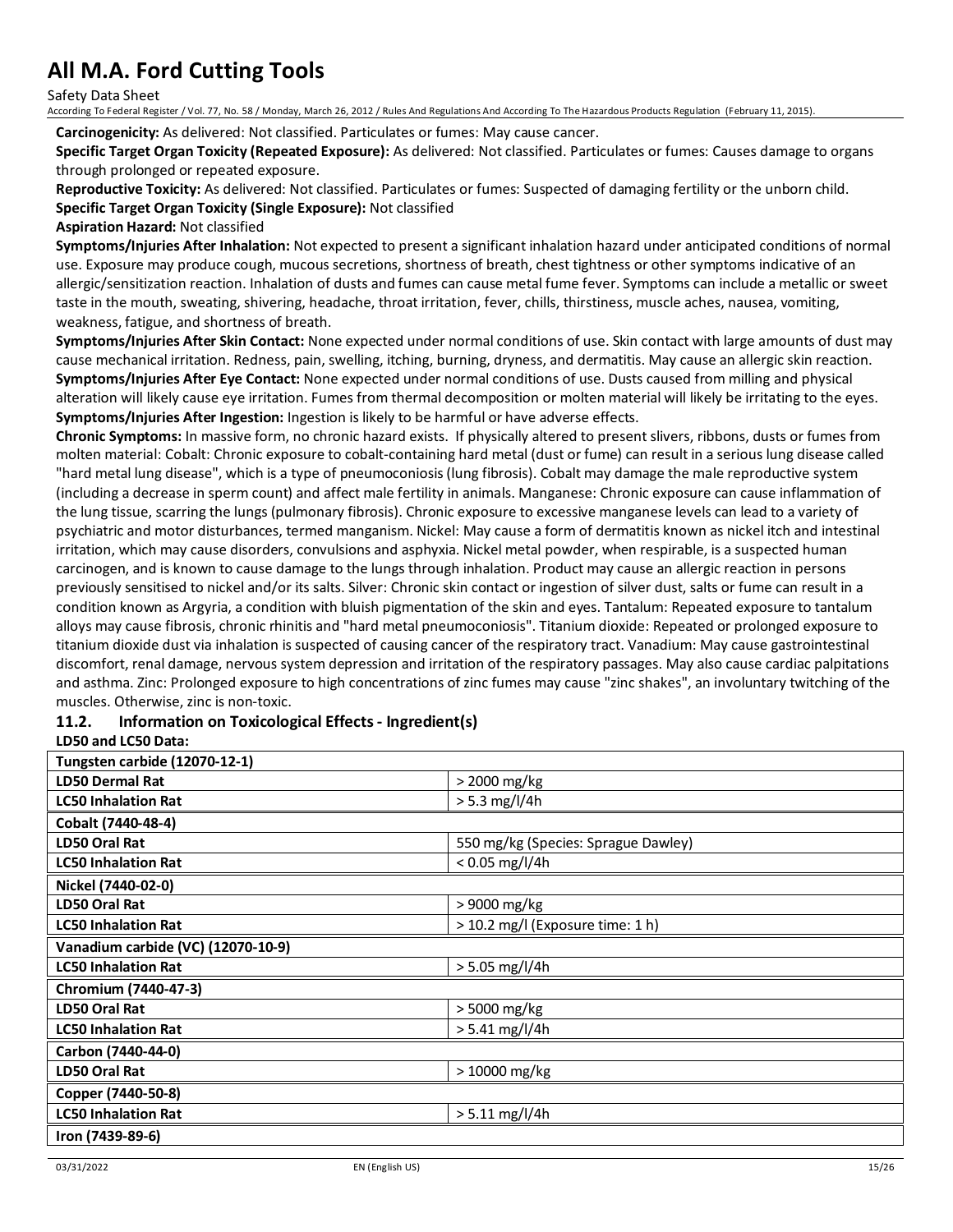Safety Data Sheet

According To Federal Register / Vol. 77, No. 58 / Monday, March 26, 2012 / Rules And Regulations And According To The Hazardous Products Regulation (February 11, 2015).

**Carcinogenicity:** As delivered: Not classified. Particulates or fumes: May cause cancer.

**Specific Target Organ Toxicity (Repeated Exposure):** As delivered: Not classified. Particulates or fumes: Causes damage to organs through prolonged or repeated exposure.

**Reproductive Toxicity:** As delivered: Not classified. Particulates or fumes: Suspected of damaging fertility or the unborn child. **Specific Target Organ Toxicity (Single Exposure):** Not classified

#### **Aspiration Hazard:** Not classified

**Symptoms/Injuries After Inhalation:** Not expected to present a significant inhalation hazard under anticipated conditions of normal use. Exposure may produce cough, mucous secretions, shortness of breath, chest tightness or other symptoms indicative of an allergic/sensitization reaction. Inhalation of dusts and fumes can cause metal fume fever. Symptoms can include a metallic or sweet taste in the mouth, sweating, shivering, headache, throat irritation, fever, chills, thirstiness, muscle aches, nausea, vomiting, weakness, fatigue, and shortness of breath.

**Symptoms/Injuries After Skin Contact:** None expected under normal conditions of use. Skin contact with large amounts of dust may cause mechanical irritation. Redness, pain, swelling, itching, burning, dryness, and dermatitis. May cause an allergic skin reaction. **Symptoms/Injuries After Eye Contact:** None expected under normal conditions of use. Dusts caused from milling and physical alteration will likely cause eye irritation. Fumes from thermal decomposition or molten material will likely be irritating to the eyes. **Symptoms/Injuries After Ingestion:** Ingestion is likely to be harmful or have adverse effects.

**Chronic Symptoms:** In massive form, no chronic hazard exists. If physically altered to present slivers, ribbons, dusts or fumes from molten material: Cobalt: Chronic exposure to cobalt-containing hard metal (dust or fume) can result in a serious lung disease called "hard metal lung disease", which is a type of pneumoconiosis (lung fibrosis). Cobalt may damage the male reproductive system (including a decrease in sperm count) and affect male fertility in animals. Manganese: Chronic exposure can cause inflammation of the lung tissue, scarring the lungs (pulmonary fibrosis). Chronic exposure to excessive manganese levels can lead to a variety of psychiatric and motor disturbances, termed manganism. Nickel: May cause a form of dermatitis known as nickel itch and intestinal irritation, which may cause disorders, convulsions and asphyxia. Nickel metal powder, when respirable, is a suspected human carcinogen, and is known to cause damage to the lungs through inhalation. Product may cause an allergic reaction in persons previously sensitised to nickel and/or its salts. Silver: Chronic skin contact or ingestion of silver dust, salts or fume can result in a condition known as Argyria, a condition with bluish pigmentation of the skin and eyes. Tantalum: Repeated exposure to tantalum alloys may cause fibrosis, chronic rhinitis and "hard metal pneumoconiosis". Titanium dioxide: Repeated or prolonged exposure to titanium dioxide dust via inhalation is suspected of causing cancer of the respiratory tract. Vanadium: May cause gastrointestinal discomfort, renal damage, nervous system depression and irritation of the respiratory passages. May also cause cardiac palpitations and asthma. Zinc: Prolonged exposure to high concentrations of zinc fumes may cause "zinc shakes", an involuntary twitching of the muscles. Otherwise, zinc is non-toxic.

### **11.2. Information on Toxicological Effects - Ingredient(s)**

#### **LD50 and LC50 Data:**

| <b>Tungsten carbide (12070-12-1)</b> |                                     |
|--------------------------------------|-------------------------------------|
| <b>LD50 Dermal Rat</b>               | > 2000 mg/kg                        |
| <b>LC50 Inhalation Rat</b>           | $> 5.3$ mg/l/4h                     |
| Cobalt (7440-48-4)                   |                                     |
| LD50 Oral Rat                        | 550 mg/kg (Species: Sprague Dawley) |
| <b>LC50 Inhalation Rat</b>           | $< 0.05$ mg/l/4h                    |
| Nickel (7440-02-0)                   |                                     |
| LD50 Oral Rat                        | > 9000 mg/kg                        |
| <b>LC50 Inhalation Rat</b>           | > 10.2 mg/l (Exposure time: 1 h)    |
| Vanadium carbide (VC) (12070-10-9)   |                                     |
| <b>LC50 Inhalation Rat</b>           | $> 5.05$ mg/l/4h                    |
| Chromium (7440-47-3)                 |                                     |
| LD50 Oral Rat                        | > 5000 mg/kg                        |
| <b>LC50 Inhalation Rat</b>           | $> 5.41$ mg/l/4h                    |
| Carbon (7440-44-0)                   |                                     |
| LD50 Oral Rat                        | > 10000 mg/kg                       |
| Copper (7440-50-8)                   |                                     |
| <b>LC50 Inhalation Rat</b>           | $> 5.11$ mg/l/4h                    |
| Iron (7439-89-6)                     |                                     |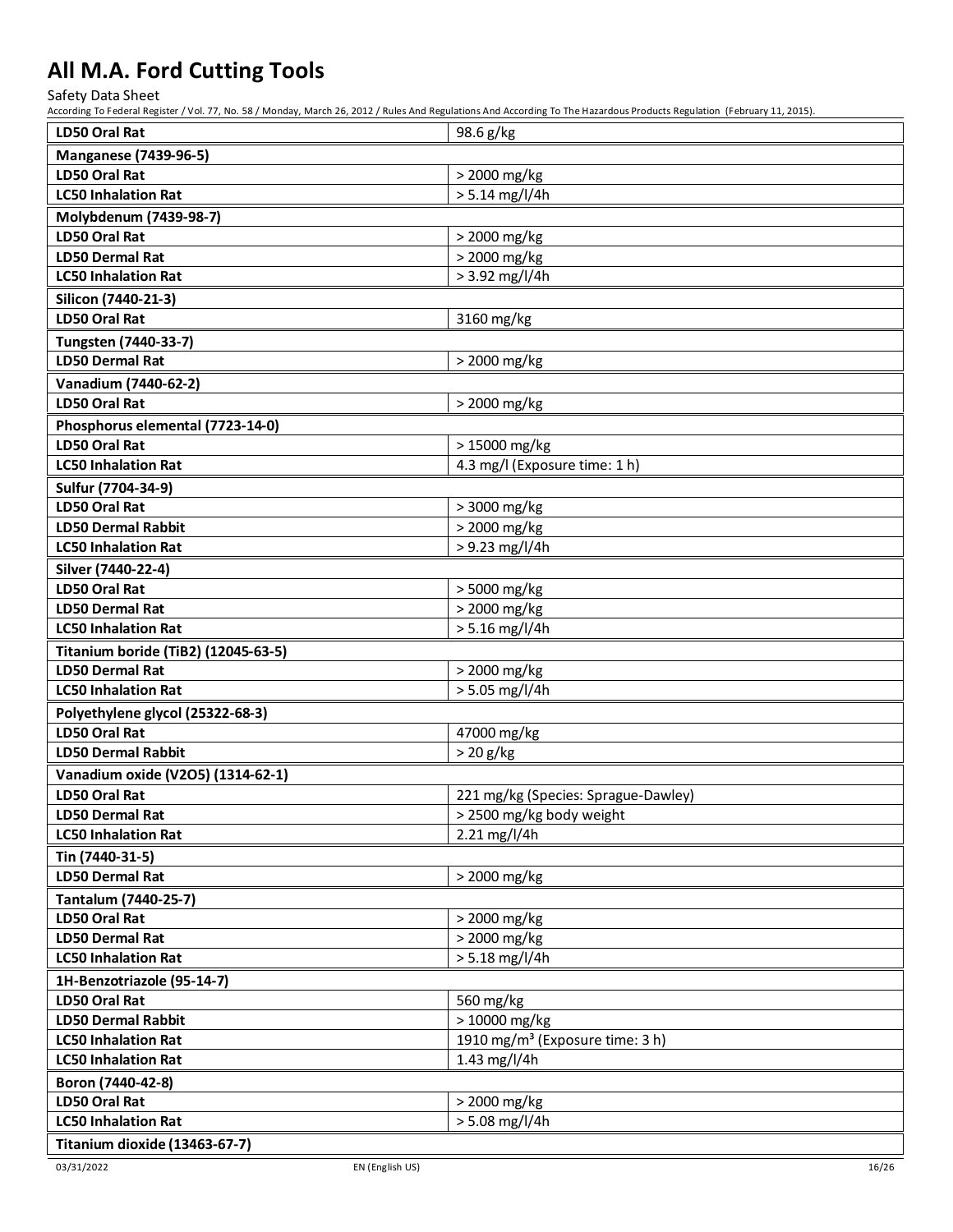Safety Data Sheet

| <b>LD50 Oral Rat</b>                       | 98.6 g/kg                                   |
|--------------------------------------------|---------------------------------------------|
| <b>Manganese (7439-96-5)</b>               |                                             |
| LD50 Oral Rat                              | > 2000 mg/kg                                |
| <b>LC50 Inhalation Rat</b>                 | $> 5.14$ mg/l/4h                            |
| Molybdenum (7439-98-7)                     |                                             |
| LD50 Oral Rat                              | > 2000 mg/kg                                |
| <b>LD50 Dermal Rat</b>                     | > 2000 mg/kg                                |
| <b>LC50 Inhalation Rat</b>                 | $> 3.92$ mg/l/4h                            |
| Silicon (7440-21-3)                        |                                             |
| <b>LD50 Oral Rat</b>                       | 3160 mg/kg                                  |
| Tungsten (7440-33-7)                       |                                             |
| <b>LD50 Dermal Rat</b>                     | > 2000 mg/kg                                |
| Vanadium (7440-62-2)                       |                                             |
| <b>LD50 Oral Rat</b>                       | > 2000 mg/kg                                |
| Phosphorus elemental (7723-14-0)           |                                             |
| LD50 Oral Rat                              | > 15000 mg/kg                               |
| <b>LC50 Inhalation Rat</b>                 | 4.3 mg/l (Exposure time: 1 h)               |
| Sulfur (7704-34-9)                         |                                             |
| LD50 Oral Rat                              | > 3000 mg/kg                                |
| <b>LD50 Dermal Rabbit</b>                  | > 2000 mg/kg                                |
| <b>LC50 Inhalation Rat</b>                 | > 9.23 mg/l/4h                              |
| Silver (7440-22-4)                         |                                             |
| LD50 Oral Rat                              | > 5000 mg/kg                                |
| <b>LD50 Dermal Rat</b>                     | > 2000 mg/kg                                |
| <b>LC50 Inhalation Rat</b>                 | $> 5.16$ mg/l/4h                            |
| <b>Titanium boride (TiB2) (12045-63-5)</b> |                                             |
| <b>LD50 Dermal Rat</b>                     | > 2000 mg/kg                                |
| <b>LC50 Inhalation Rat</b>                 | > 5.05 mg/l/4h                              |
| Polyethylene glycol (25322-68-3)           |                                             |
| <b>LD50 Oral Rat</b>                       | 47000 mg/kg                                 |
| <b>LD50 Dermal Rabbit</b>                  | $>20$ g/kg                                  |
| Vanadium oxide (V2O5) (1314-62-1)          |                                             |
| <b>LD50 Oral Rat</b>                       | 221 mg/kg (Species: Sprague-Dawley)         |
| <b>LD50 Dermal Rat</b>                     | > 2500 mg/kg body weight                    |
| <b>LC50 Inhalation Rat</b>                 | 2.21 mg/l/4h                                |
| Tin (7440-31-5)                            |                                             |
| <b>LD50 Dermal Rat</b>                     | > 2000 mg/kg                                |
| Tantalum (7440-25-7)                       |                                             |
| LD50 Oral Rat                              | > 2000 mg/kg                                |
| <b>LD50 Dermal Rat</b>                     | > 2000 mg/kg                                |
| <b>LC50 Inhalation Rat</b>                 | $> 5.18$ mg/l/4h                            |
| 1H-Benzotriazole (95-14-7)                 |                                             |
| LD50 Oral Rat                              | 560 mg/kg                                   |
| <b>LD50 Dermal Rabbit</b>                  | > 10000 mg/kg                               |
| <b>LC50 Inhalation Rat</b>                 | 1910 mg/m <sup>3</sup> (Exposure time: 3 h) |
| <b>LC50 Inhalation Rat</b>                 | 1.43 mg/l/4h                                |
| Boron (7440-42-8)                          |                                             |
| LD50 Oral Rat                              | > 2000 mg/kg                                |
| <b>LC50 Inhalation Rat</b>                 | $> 5.08$ mg/l/4h                            |
| Titanium dioxide (13463-67-7)              |                                             |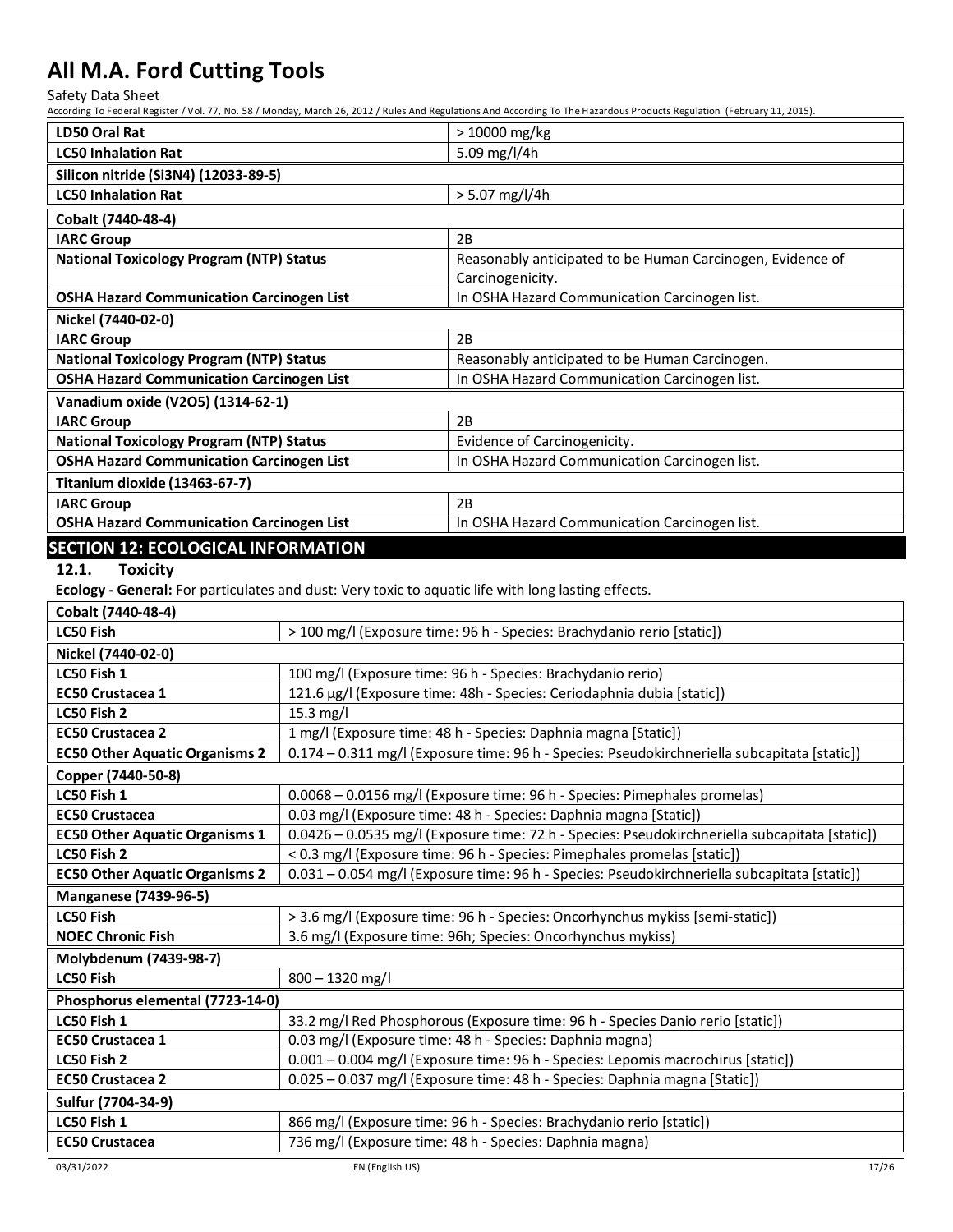Safety Data Sheet

| <b>LD50 Oral Rat</b>                                                                                |                                                                                                | > 10000 mg/kg                                                                 |  |
|-----------------------------------------------------------------------------------------------------|------------------------------------------------------------------------------------------------|-------------------------------------------------------------------------------|--|
| <b>LC50 Inhalation Rat</b>                                                                          |                                                                                                | 5.09 mg/l/4h                                                                  |  |
| Silicon nitride (Si3N4) (12033-89-5)                                                                |                                                                                                |                                                                               |  |
| <b>LC50 Inhalation Rat</b>                                                                          |                                                                                                | > 5.07 mg/l/4h                                                                |  |
| Cobalt (7440-48-4)                                                                                  |                                                                                                |                                                                               |  |
| <b>IARC Group</b>                                                                                   |                                                                                                | 2B                                                                            |  |
| <b>National Toxicology Program (NTP) Status</b>                                                     |                                                                                                | Reasonably anticipated to be Human Carcinogen, Evidence of                    |  |
|                                                                                                     |                                                                                                | Carcinogenicity.                                                              |  |
| <b>OSHA Hazard Communication Carcinogen List</b>                                                    |                                                                                                | In OSHA Hazard Communication Carcinogen list.                                 |  |
| Nickel (7440-02-0)                                                                                  |                                                                                                |                                                                               |  |
| <b>IARC Group</b>                                                                                   |                                                                                                | 2B                                                                            |  |
| <b>National Toxicology Program (NTP) Status</b>                                                     |                                                                                                | Reasonably anticipated to be Human Carcinogen.                                |  |
| <b>OSHA Hazard Communication Carcinogen List</b>                                                    |                                                                                                | In OSHA Hazard Communication Carcinogen list.                                 |  |
| Vanadium oxide (V2O5) (1314-62-1)                                                                   |                                                                                                |                                                                               |  |
| <b>IARC Group</b>                                                                                   |                                                                                                | 2B                                                                            |  |
| <b>National Toxicology Program (NTP) Status</b>                                                     |                                                                                                | Evidence of Carcinogenicity.                                                  |  |
| <b>OSHA Hazard Communication Carcinogen List</b>                                                    |                                                                                                | In OSHA Hazard Communication Carcinogen list.                                 |  |
| Titanium dioxide (13463-67-7)                                                                       |                                                                                                |                                                                               |  |
| <b>IARC Group</b>                                                                                   |                                                                                                | 2B                                                                            |  |
| <b>OSHA Hazard Communication Carcinogen List</b>                                                    |                                                                                                | In OSHA Hazard Communication Carcinogen list.                                 |  |
| <b>SECTION 12: ECOLOGICAL INFORMATION</b>                                                           |                                                                                                |                                                                               |  |
| 12.1.<br><b>Toxicity</b>                                                                            |                                                                                                |                                                                               |  |
| Ecology - General: For particulates and dust: Very toxic to aquatic life with long lasting effects. |                                                                                                |                                                                               |  |
| Cobalt (7440-48-4)                                                                                  |                                                                                                |                                                                               |  |
| <b>LC50 Fish</b>                                                                                    |                                                                                                | > 100 mg/l (Exposure time: 96 h - Species: Brachydanio rerio [static])        |  |
| Nickel (7440-02-0)                                                                                  |                                                                                                |                                                                               |  |
| LC50 Fish 1                                                                                         | 100 mg/l (Exposure time: 96 h - Species: Brachydanio rerio)                                    |                                                                               |  |
| <b>EC50 Crustacea 1</b>                                                                             |                                                                                                |                                                                               |  |
| LC50 Fish 2                                                                                         | 121.6 µg/l (Exposure time: 48h - Species: Ceriodaphnia dubia [static])<br>15.3 mg/l            |                                                                               |  |
| <b>EC50 Crustacea 2</b>                                                                             | 1 mg/l (Exposure time: 48 h - Species: Daphnia magna [Static])                                 |                                                                               |  |
| <b>EC50 Other Aquatic Organisms 2</b>                                                               | 0.174 - 0.311 mg/l (Exposure time: 96 h - Species: Pseudokirchneriella subcapitata [static])   |                                                                               |  |
| Copper (7440-50-8)                                                                                  |                                                                                                |                                                                               |  |
| LC50 Fish 1<br>0.0068 - 0.0156 mg/l (Exposure time: 96 h - Species: Pimephales promelas)            |                                                                                                |                                                                               |  |
| <b>EC50 Crustacea</b>                                                                               | 0.03 mg/l (Exposure time: 48 h - Species: Daphnia magna [Static])                              |                                                                               |  |
| <b>EC50 Other Aquatic Organisms 1</b>                                                               | 0.0426 - 0.0535 mg/l (Exposure time: 72 h - Species: Pseudokirchneriella subcapitata [static]) |                                                                               |  |
| LC50 Fish 2                                                                                         | < 0.3 mg/l (Exposure time: 96 h - Species: Pimephales promelas [static])                       |                                                                               |  |
| <b>EC50 Other Aquatic Organisms 2</b>                                                               | 0.031 - 0.054 mg/l (Exposure time: 96 h - Species: Pseudokirchneriella subcapitata [static])   |                                                                               |  |
| <b>Manganese (7439-96-5)</b>                                                                        |                                                                                                |                                                                               |  |
| LC50 Fish                                                                                           |                                                                                                | > 3.6 mg/l (Exposure time: 96 h - Species: Oncorhynchus mykiss [semi-static]) |  |
| <b>NOEC Chronic Fish</b>                                                                            | 3.6 mg/l (Exposure time: 96h; Species: Oncorhynchus mykiss)                                    |                                                                               |  |
| Molybdenum (7439-98-7)                                                                              |                                                                                                |                                                                               |  |
| <b>LC50 Fish</b>                                                                                    | 800 - 1320 mg/l                                                                                |                                                                               |  |
| Phosphorus elemental (7723-14-0)                                                                    |                                                                                                |                                                                               |  |
| LC50 Fish 1<br>33.2 mg/l Red Phosphorous (Exposure time: 96 h - Species Danio rerio [static])       |                                                                                                |                                                                               |  |
| EC50 Crustacea 1                                                                                    | 0.03 mg/l (Exposure time: 48 h - Species: Daphnia magna)                                       |                                                                               |  |
| LC50 Fish 2                                                                                         | 0.001 - 0.004 mg/l (Exposure time: 96 h - Species: Lepomis macrochirus [static])               |                                                                               |  |
| <b>EC50 Crustacea 2</b>                                                                             | 0.025 - 0.037 mg/l (Exposure time: 48 h - Species: Daphnia magna [Static])                     |                                                                               |  |
| Sulfur (7704-34-9)                                                                                  |                                                                                                |                                                                               |  |
| LC50 Fish 1                                                                                         |                                                                                                | 866 mg/l (Exposure time: 96 h - Species: Brachydanio rerio [static])          |  |
| <b>EC50 Crustacea</b>                                                                               |                                                                                                | 736 mg/l (Exposure time: 48 h - Species: Daphnia magna)                       |  |
|                                                                                                     |                                                                                                |                                                                               |  |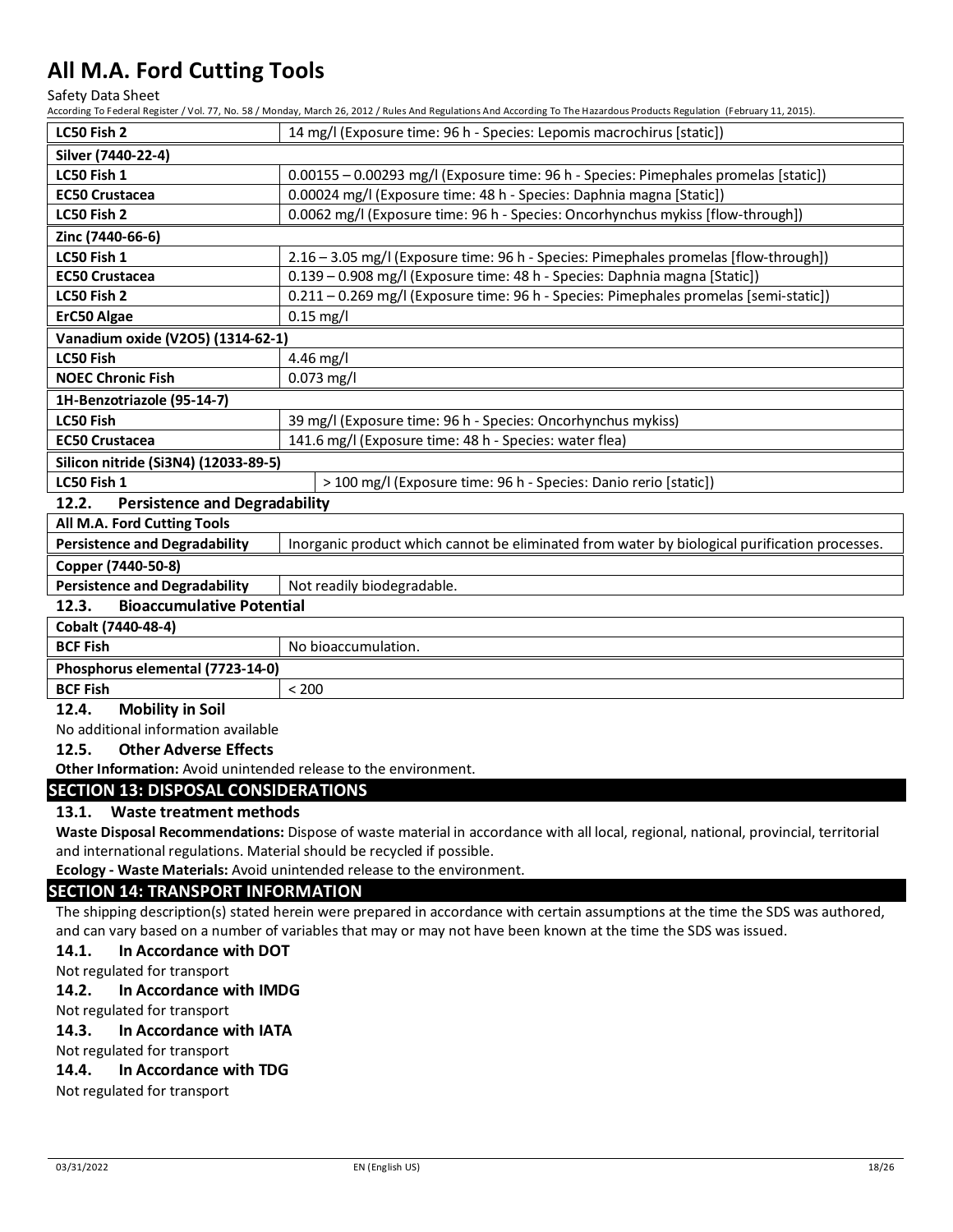Safety Data Sheet

According To Federal Register / Vol. 77, No. 58 / Monday, March 26, 2012 / Rules And Regulations And According To The Hazardous Products Regulation (February 11, 2015).

| ccording to react at Register $\prime$                                                                                              |                                                                                               |  |
|-------------------------------------------------------------------------------------------------------------------------------------|-----------------------------------------------------------------------------------------------|--|
| LC50 Fish 2                                                                                                                         | 14 mg/l (Exposure time: 96 h - Species: Lepomis macrochirus [static])                         |  |
| Silver (7440-22-4)                                                                                                                  |                                                                                               |  |
| LC50 Fish 1                                                                                                                         | 0.00155 - 0.00293 mg/l (Exposure time: 96 h - Species: Pimephales promelas [static])          |  |
| <b>EC50 Crustacea</b>                                                                                                               | 0.00024 mg/l (Exposure time: 48 h - Species: Daphnia magna [Static])                          |  |
| LC50 Fish 2                                                                                                                         | 0.0062 mg/l (Exposure time: 96 h - Species: Oncorhynchus mykiss [flow-through])               |  |
| Zinc (7440-66-6)                                                                                                                    |                                                                                               |  |
| LC50 Fish 1                                                                                                                         | 2.16 - 3.05 mg/l (Exposure time: 96 h - Species: Pimephales promelas [flow-through])          |  |
| <b>EC50 Crustacea</b>                                                                                                               | 0.139 - 0.908 mg/l (Exposure time: 48 h - Species: Daphnia magna [Static])                    |  |
| LC50 Fish 2                                                                                                                         | 0.211 - 0.269 mg/l (Exposure time: 96 h - Species: Pimephales promelas [semi-static])         |  |
| ErC50 Algae                                                                                                                         | $0.15$ mg/l                                                                                   |  |
| Vanadium oxide (V2O5) (1314-62-1)                                                                                                   |                                                                                               |  |
| LC50 Fish                                                                                                                           | 4.46 mg/l                                                                                     |  |
| <b>NOEC Chronic Fish</b>                                                                                                            | 0.073 mg/l                                                                                    |  |
| 1H-Benzotriazole (95-14-7)                                                                                                          |                                                                                               |  |
| LC50 Fish                                                                                                                           | 39 mg/l (Exposure time: 96 h - Species: Oncorhynchus mykiss)                                  |  |
| <b>EC50 Crustacea</b>                                                                                                               | 141.6 mg/l (Exposure time: 48 h - Species: water flea)                                        |  |
| Silicon nitride (Si3N4) (12033-89-5)                                                                                                |                                                                                               |  |
| LC50 Fish 1                                                                                                                         | > 100 mg/l (Exposure time: 96 h - Species: Danio rerio [static])                              |  |
| 12.2.<br><b>Persistence and Degradability</b>                                                                                       |                                                                                               |  |
| All M.A. Ford Cutting Tools                                                                                                         |                                                                                               |  |
| <b>Persistence and Degradability</b>                                                                                                | Inorganic product which cannot be eliminated from water by biological purification processes. |  |
| Copper (7440-50-8)                                                                                                                  |                                                                                               |  |
| <b>Persistence and Degradability</b>                                                                                                | Not readily biodegradable.                                                                    |  |
| 12.3.<br><b>Bioaccumulative Potential</b>                                                                                           |                                                                                               |  |
| Cobalt (7440-48-4)                                                                                                                  |                                                                                               |  |
| <b>BCF Fish</b>                                                                                                                     | No bioaccumulation.                                                                           |  |
| Phosphorus elemental (7723-14-0)                                                                                                    |                                                                                               |  |
| <b>BCF Fish</b>                                                                                                                     | < 200                                                                                         |  |
| 12.4.<br><b>Mobility in Soil</b>                                                                                                    |                                                                                               |  |
| No additional information available                                                                                                 |                                                                                               |  |
| 12.5.<br><b>Other Adverse Effects</b>                                                                                               |                                                                                               |  |
| Other Information: Avoid unintended release to the environment.                                                                     |                                                                                               |  |
| <b>SECTION 13: DISPOSAL CONSIDERATIONS</b>                                                                                          |                                                                                               |  |
| <b>Waste treatment methods</b><br>13.1.                                                                                             |                                                                                               |  |
| Waste Disposal Recommendations: Dispose of waste material in accordance with all local, regional, national, provincial, territorial |                                                                                               |  |
| and international regulations. Material should be recycled if possible.                                                             |                                                                                               |  |
|                                                                                                                                     | Ecology - Waste Materials: Avoid unintended release to the environment.                       |  |
| <b>SECTION 14: TRANSPORT INFORMATION</b>                                                                                            |                                                                                               |  |

The shipping description(s) stated herein were prepared in accordance with certain assumptions at the time the SDS was authored, and can vary based on a number of variables that may or may not have been known at the time the SDS was issued.

### **14.1. In Accordance with DOT**

Not regulated for transport

### **14.2. In Accordance with IMDG**

Not regulated for transport

### **14.3. In Accordance with IATA**

Not regulated for transport

### **14.4. In Accordance with TDG**

Not regulated for transport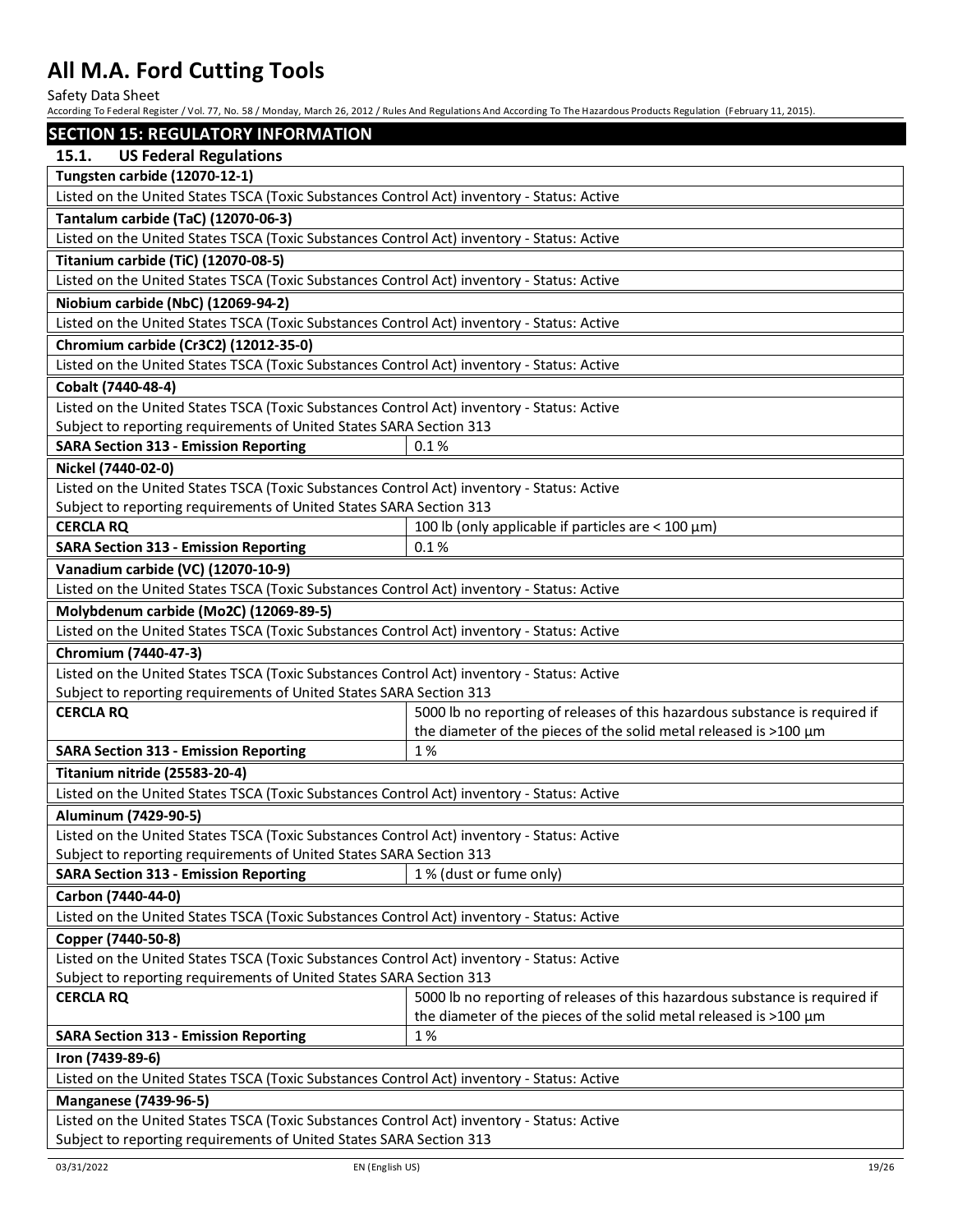Safety Data Sheet

| <b>SECTION 15: REGULATORY INFORMATION</b>                                                  |                                                                             |  |
|--------------------------------------------------------------------------------------------|-----------------------------------------------------------------------------|--|
| 15.1.<br><b>US Federal Regulations</b>                                                     |                                                                             |  |
| <b>Tungsten carbide (12070-12-1)</b>                                                       |                                                                             |  |
| Listed on the United States TSCA (Toxic Substances Control Act) inventory - Status: Active |                                                                             |  |
| Tantalum carbide (TaC) (12070-06-3)                                                        |                                                                             |  |
| Listed on the United States TSCA (Toxic Substances Control Act) inventory - Status: Active |                                                                             |  |
| <b>Titanium carbide (TiC) (12070-08-5)</b>                                                 |                                                                             |  |
| Listed on the United States TSCA (Toxic Substances Control Act) inventory - Status: Active |                                                                             |  |
| Niobium carbide (NbC) (12069-94-2)                                                         |                                                                             |  |
| Listed on the United States TSCA (Toxic Substances Control Act) inventory - Status: Active |                                                                             |  |
| Chromium carbide (Cr3C2) (12012-35-0)                                                      |                                                                             |  |
| Listed on the United States TSCA (Toxic Substances Control Act) inventory - Status: Active |                                                                             |  |
| Cobalt (7440-48-4)                                                                         |                                                                             |  |
| Listed on the United States TSCA (Toxic Substances Control Act) inventory - Status: Active |                                                                             |  |
| Subject to reporting requirements of United States SARA Section 313                        |                                                                             |  |
| <b>SARA Section 313 - Emission Reporting</b>                                               | 0.1%                                                                        |  |
| Nickel (7440-02-0)                                                                         |                                                                             |  |
| Listed on the United States TSCA (Toxic Substances Control Act) inventory - Status: Active |                                                                             |  |
| Subject to reporting requirements of United States SARA Section 313                        |                                                                             |  |
| <b>CERCLA RQ</b>                                                                           | 100 lb (only applicable if particles are $<$ 100 $\mu$ m)                   |  |
| <b>SARA Section 313 - Emission Reporting</b>                                               | 0.1%                                                                        |  |
| Vanadium carbide (VC) (12070-10-9)                                                         |                                                                             |  |
| Listed on the United States TSCA (Toxic Substances Control Act) inventory - Status: Active |                                                                             |  |
| Molybdenum carbide (Mo2C) (12069-89-5)                                                     |                                                                             |  |
| Listed on the United States TSCA (Toxic Substances Control Act) inventory - Status: Active |                                                                             |  |
| Chromium (7440-47-3)                                                                       |                                                                             |  |
| Listed on the United States TSCA (Toxic Substances Control Act) inventory - Status: Active |                                                                             |  |
| Subject to reporting requirements of United States SARA Section 313                        |                                                                             |  |
| <b>CERCLA RQ</b>                                                                           | 5000 lb no reporting of releases of this hazardous substance is required if |  |
|                                                                                            | the diameter of the pieces of the solid metal released is >100 µm           |  |
| <b>SARA Section 313 - Emission Reporting</b>                                               | 1%                                                                          |  |
| Titanium nitride (25583-20-4)                                                              |                                                                             |  |
| Listed on the United States TSCA (Toxic Substances Control Act) inventory - Status: Active |                                                                             |  |
| Aluminum (7429-90-5)                                                                       |                                                                             |  |
| Listed on the United States TSCA (Toxic Substances Control Act) inventory - Status: Active |                                                                             |  |
| Subject to reporting requirements of United States SARA Section 313                        |                                                                             |  |
| <b>SARA Section 313 - Emission Reporting</b>                                               | 1% (dust or fume only)                                                      |  |
| Carbon (7440-44-0)                                                                         |                                                                             |  |
| Listed on the United States TSCA (Toxic Substances Control Act) inventory - Status: Active |                                                                             |  |
| Copper (7440-50-8)                                                                         |                                                                             |  |
| Listed on the United States TSCA (Toxic Substances Control Act) inventory - Status: Active |                                                                             |  |
| Subject to reporting requirements of United States SARA Section 313                        |                                                                             |  |
| <b>CERCLA RQ</b>                                                                           | 5000 lb no reporting of releases of this hazardous substance is required if |  |
|                                                                                            | the diameter of the pieces of the solid metal released is >100 µm           |  |
| <b>SARA Section 313 - Emission Reporting</b>                                               | 1%                                                                          |  |
| Iron (7439-89-6)                                                                           |                                                                             |  |
| Listed on the United States TSCA (Toxic Substances Control Act) inventory - Status: Active |                                                                             |  |
| <b>Manganese (7439-96-5)</b>                                                               |                                                                             |  |
| Listed on the United States TSCA (Toxic Substances Control Act) inventory - Status: Active |                                                                             |  |
| Subject to reporting requirements of United States SARA Section 313                        |                                                                             |  |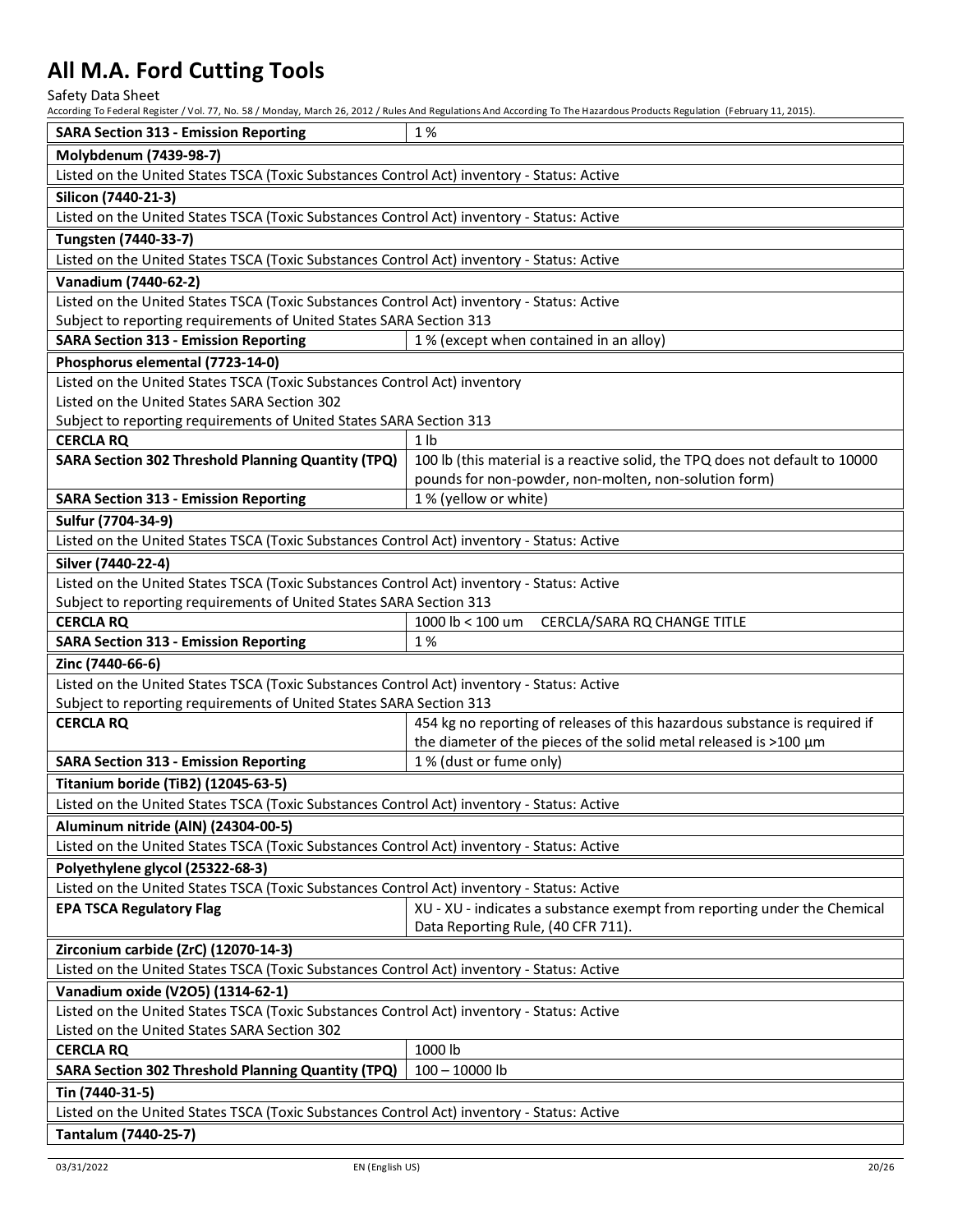Safety Data Sheet

| <b>SARA Section 313 - Emission Reporting</b>                                               | 1%                                                                           |  |
|--------------------------------------------------------------------------------------------|------------------------------------------------------------------------------|--|
| Molybdenum (7439-98-7)                                                                     |                                                                              |  |
| Listed on the United States TSCA (Toxic Substances Control Act) inventory - Status: Active |                                                                              |  |
| Silicon (7440-21-3)                                                                        |                                                                              |  |
| Listed on the United States TSCA (Toxic Substances Control Act) inventory - Status: Active |                                                                              |  |
| Tungsten (7440-33-7)                                                                       |                                                                              |  |
| Listed on the United States TSCA (Toxic Substances Control Act) inventory - Status: Active |                                                                              |  |
| Vanadium (7440-62-2)                                                                       |                                                                              |  |
| Listed on the United States TSCA (Toxic Substances Control Act) inventory - Status: Active |                                                                              |  |
| Subject to reporting requirements of United States SARA Section 313                        |                                                                              |  |
| <b>SARA Section 313 - Emission Reporting</b>                                               | 1% (except when contained in an alloy)                                       |  |
| Phosphorus elemental (7723-14-0)                                                           |                                                                              |  |
| Listed on the United States TSCA (Toxic Substances Control Act) inventory                  |                                                                              |  |
| Listed on the United States SARA Section 302                                               |                                                                              |  |
| Subject to reporting requirements of United States SARA Section 313                        |                                                                              |  |
| <b>CERCLA RQ</b>                                                                           | 1 <sub>1</sub>                                                               |  |
| <b>SARA Section 302 Threshold Planning Quantity (TPQ)</b>                                  | 100 lb (this material is a reactive solid, the TPQ does not default to 10000 |  |
|                                                                                            | pounds for non-powder, non-molten, non-solution form)                        |  |
| <b>SARA Section 313 - Emission Reporting</b>                                               | 1% (yellow or white)                                                         |  |
| Sulfur (7704-34-9)                                                                         |                                                                              |  |
| Listed on the United States TSCA (Toxic Substances Control Act) inventory - Status: Active |                                                                              |  |
| Silver (7440-22-4)                                                                         |                                                                              |  |
| Listed on the United States TSCA (Toxic Substances Control Act) inventory - Status: Active |                                                                              |  |
| Subject to reporting requirements of United States SARA Section 313                        |                                                                              |  |
| <b>CERCLA RQ</b>                                                                           | CERCLA/SARA RQ CHANGE TITLE<br>1000 lb $<$ 100 um                            |  |
| <b>SARA Section 313 - Emission Reporting</b>                                               | 1%                                                                           |  |
| Zinc (7440-66-6)                                                                           |                                                                              |  |
| Listed on the United States TSCA (Toxic Substances Control Act) inventory - Status: Active |                                                                              |  |
| Subject to reporting requirements of United States SARA Section 313                        |                                                                              |  |
| <b>CERCLA RQ</b>                                                                           | 454 kg no reporting of releases of this hazardous substance is required if   |  |
|                                                                                            | the diameter of the pieces of the solid metal released is >100 µm            |  |
| <b>SARA Section 313 - Emission Reporting</b>                                               | 1% (dust or fume only)                                                       |  |
| <b>Titanium boride (TiB2) (12045-63-5)</b>                                                 |                                                                              |  |
| Listed on the United States TSCA (Toxic Substances Control Act) inventory - Status: Active |                                                                              |  |
| Aluminum nitride (AIN) (24304-00-5)                                                        |                                                                              |  |
| Listed on the United States TSCA (Toxic Substances Control Act) inventory - Status: Active |                                                                              |  |
| Polyethylene glycol (25322-68-3)                                                           |                                                                              |  |
| Listed on the United States TSCA (Toxic Substances Control Act) inventory - Status: Active |                                                                              |  |
| <b>EPA TSCA Regulatory Flag</b>                                                            | XU - XU - indicates a substance exempt from reporting under the Chemical     |  |
|                                                                                            | Data Reporting Rule, (40 CFR 711).                                           |  |
| Zirconium carbide (ZrC) (12070-14-3)                                                       |                                                                              |  |
| Listed on the United States TSCA (Toxic Substances Control Act) inventory - Status: Active |                                                                              |  |
| Vanadium oxide (V2O5) (1314-62-1)                                                          |                                                                              |  |
| Listed on the United States TSCA (Toxic Substances Control Act) inventory - Status: Active |                                                                              |  |
| Listed on the United States SARA Section 302                                               |                                                                              |  |
| <b>CERCLA RQ</b>                                                                           | 1000 lb                                                                      |  |
| <b>SARA Section 302 Threshold Planning Quantity (TPQ)</b>                                  | $100 - 10000$ lb                                                             |  |
| Tin (7440-31-5)                                                                            |                                                                              |  |
| Listed on the United States TSCA (Toxic Substances Control Act) inventory - Status: Active |                                                                              |  |
| Tantalum (7440-25-7)                                                                       |                                                                              |  |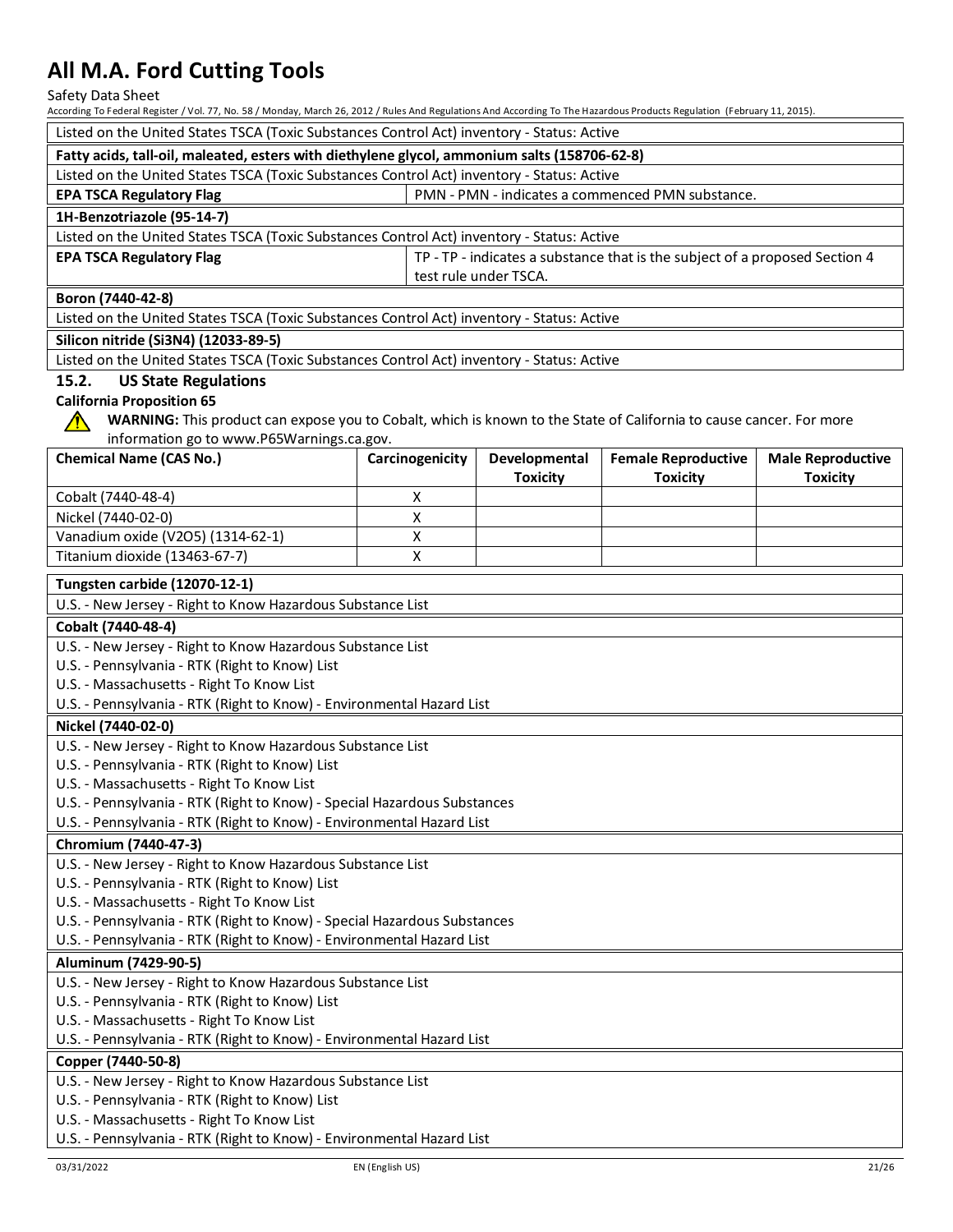Safety Data Sheet

| According To Federal Register / Vol. 77, No. 58 / Monday, March 26, 2012 / Rules And Regulations And According To The Hazardous Products Regulation (February 11, 2015). |                 |                       |                                                                             |                          |
|--------------------------------------------------------------------------------------------------------------------------------------------------------------------------|-----------------|-----------------------|-----------------------------------------------------------------------------|--------------------------|
| Listed on the United States TSCA (Toxic Substances Control Act) inventory - Status: Active                                                                               |                 |                       |                                                                             |                          |
| Fatty acids, tall-oil, maleated, esters with diethylene glycol, ammonium salts (158706-62-8)                                                                             |                 |                       |                                                                             |                          |
| Listed on the United States TSCA (Toxic Substances Control Act) inventory - Status: Active                                                                               |                 |                       |                                                                             |                          |
| PMN - PMN - indicates a commenced PMN substance.<br><b>EPA TSCA Regulatory Flag</b>                                                                                      |                 |                       |                                                                             |                          |
| 1H-Benzotriazole (95-14-7)                                                                                                                                               |                 |                       |                                                                             |                          |
| Listed on the United States TSCA (Toxic Substances Control Act) inventory - Status: Active                                                                               |                 |                       |                                                                             |                          |
|                                                                                                                                                                          |                 |                       |                                                                             |                          |
| <b>EPA TSCA Regulatory Flag</b>                                                                                                                                          |                 |                       | TP - TP - indicates a substance that is the subject of a proposed Section 4 |                          |
|                                                                                                                                                                          |                 | test rule under TSCA. |                                                                             |                          |
| Boron (7440-42-8)                                                                                                                                                        |                 |                       |                                                                             |                          |
| Listed on the United States TSCA (Toxic Substances Control Act) inventory - Status: Active                                                                               |                 |                       |                                                                             |                          |
| Silicon nitride (Si3N4) (12033-89-5)                                                                                                                                     |                 |                       |                                                                             |                          |
| Listed on the United States TSCA (Toxic Substances Control Act) inventory - Status: Active                                                                               |                 |                       |                                                                             |                          |
| 15.2.<br><b>US State Regulations</b>                                                                                                                                     |                 |                       |                                                                             |                          |
| <b>California Proposition 65</b>                                                                                                                                         |                 |                       |                                                                             |                          |
| WARNING: This product can expose you to Cobalt, which is known to the State of California to cause cancer. For more                                                      |                 |                       |                                                                             |                          |
| information go to www.P65Warnings.ca.gov.                                                                                                                                |                 |                       |                                                                             |                          |
| <b>Chemical Name (CAS No.)</b>                                                                                                                                           | Carcinogenicity | Developmental         | <b>Female Reproductive</b>                                                  | <b>Male Reproductive</b> |
|                                                                                                                                                                          |                 | <b>Toxicity</b>       | <b>Toxicity</b>                                                             | <b>Toxicity</b>          |
| Cobalt (7440-48-4)                                                                                                                                                       | Χ               |                       |                                                                             |                          |
| Nickel (7440-02-0)                                                                                                                                                       | X               |                       |                                                                             |                          |
| Vanadium oxide (V2O5) (1314-62-1)                                                                                                                                        | X               |                       |                                                                             |                          |
| Titanium dioxide (13463-67-7)                                                                                                                                            | X               |                       |                                                                             |                          |
|                                                                                                                                                                          |                 |                       |                                                                             |                          |
| <b>Tungsten carbide (12070-12-1)</b>                                                                                                                                     |                 |                       |                                                                             |                          |
| U.S. - New Jersey - Right to Know Hazardous Substance List                                                                                                               |                 |                       |                                                                             |                          |
| Cobalt (7440-48-4)                                                                                                                                                       |                 |                       |                                                                             |                          |
| U.S. - New Jersey - Right to Know Hazardous Substance List                                                                                                               |                 |                       |                                                                             |                          |
| U.S. - Pennsylvania - RTK (Right to Know) List                                                                                                                           |                 |                       |                                                                             |                          |
| U.S. - Massachusetts - Right To Know List                                                                                                                                |                 |                       |                                                                             |                          |
| U.S. - Pennsylvania - RTK (Right to Know) - Environmental Hazard List                                                                                                    |                 |                       |                                                                             |                          |
| Nickel (7440-02-0)                                                                                                                                                       |                 |                       |                                                                             |                          |
| U.S. - New Jersey - Right to Know Hazardous Substance List                                                                                                               |                 |                       |                                                                             |                          |
| U.S. - Pennsylvania - RTK (Right to Know) List                                                                                                                           |                 |                       |                                                                             |                          |
| U.S. - Massachusetts - Right To Know List                                                                                                                                |                 |                       |                                                                             |                          |
| U.S. - Pennsylvania - RTK (Right to Know) - Special Hazardous Substances                                                                                                 |                 |                       |                                                                             |                          |
| U.S. - Pennsylvania - RTK (Right to Know) - Environmental Hazard List                                                                                                    |                 |                       |                                                                             |                          |
| Chromium (7440-47-3)                                                                                                                                                     |                 |                       |                                                                             |                          |
| U.S. - New Jersey - Right to Know Hazardous Substance List                                                                                                               |                 |                       |                                                                             |                          |
|                                                                                                                                                                          |                 |                       |                                                                             |                          |
| U.S. - Pennsylvania - RTK (Right to Know) List                                                                                                                           |                 |                       |                                                                             |                          |
| U.S. - Massachusetts - Right To Know List                                                                                                                                |                 |                       |                                                                             |                          |
| U.S. - Pennsylvania - RTK (Right to Know) - Special Hazardous Substances                                                                                                 |                 |                       |                                                                             |                          |
| U.S. - Pennsylvania - RTK (Right to Know) - Environmental Hazard List                                                                                                    |                 |                       |                                                                             |                          |
| Aluminum (7429-90-5)                                                                                                                                                     |                 |                       |                                                                             |                          |
| U.S. - New Jersey - Right to Know Hazardous Substance List                                                                                                               |                 |                       |                                                                             |                          |
| U.S. - Pennsylvania - RTK (Right to Know) List<br>U.S. - Massachusetts - Right To Know List                                                                              |                 |                       |                                                                             |                          |
| U.S. - Pennsylvania - RTK (Right to Know) - Environmental Hazard List                                                                                                    |                 |                       |                                                                             |                          |
|                                                                                                                                                                          |                 |                       |                                                                             |                          |
| Copper (7440-50-8)                                                                                                                                                       |                 |                       |                                                                             |                          |
| U.S. - New Jersey - Right to Know Hazardous Substance List                                                                                                               |                 |                       |                                                                             |                          |
| U.S. - Pennsylvania - RTK (Right to Know) List                                                                                                                           |                 |                       |                                                                             |                          |
| U.S. - Massachusetts - Right To Know List                                                                                                                                |                 |                       |                                                                             |                          |
| U.S. - Pennsylvania - RTK (Right to Know) - Environmental Hazard List                                                                                                    |                 |                       |                                                                             |                          |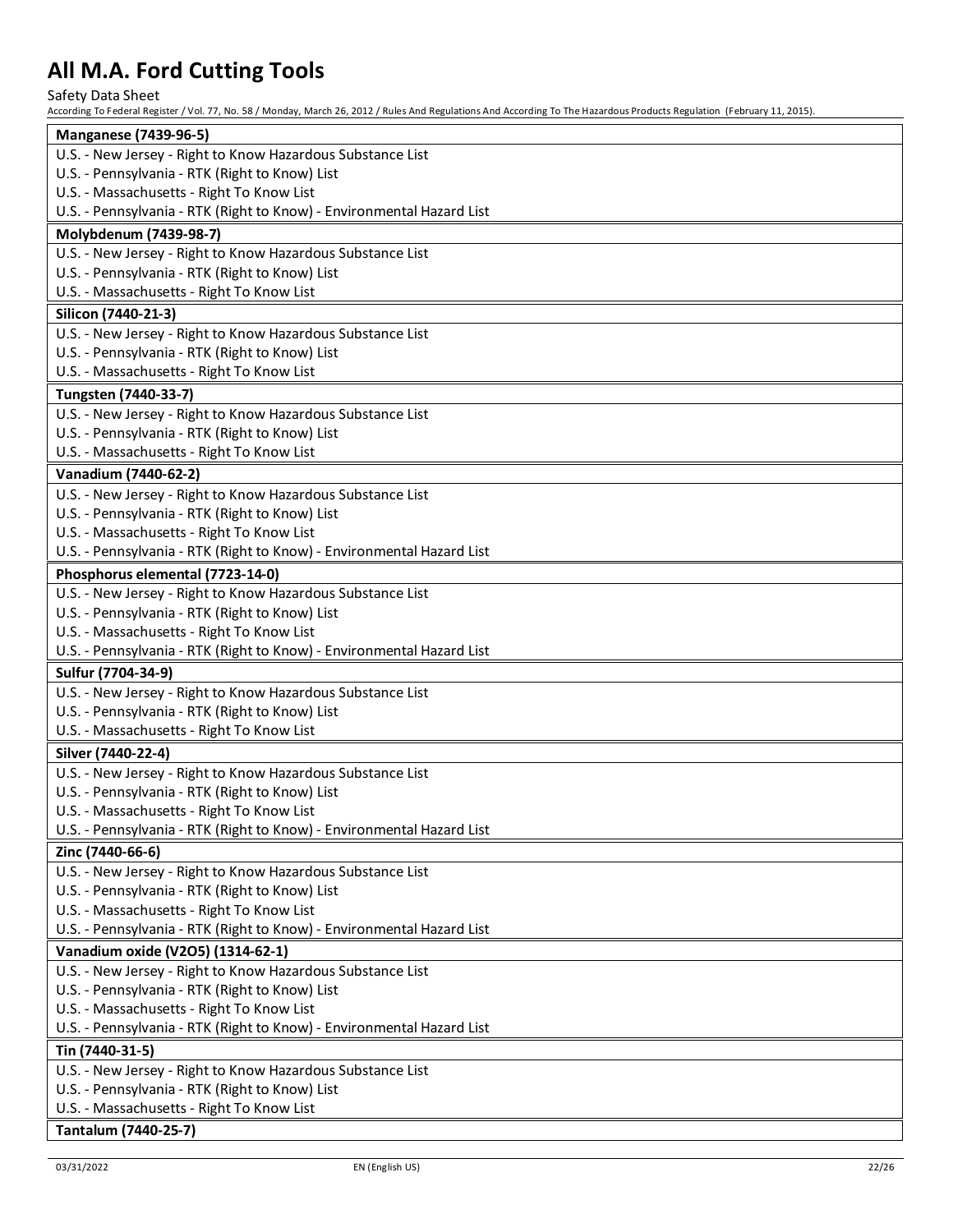Safety Data Sheet

| <b>Manganese (7439-96-5)</b>                                          |
|-----------------------------------------------------------------------|
| U.S. - New Jersey - Right to Know Hazardous Substance List            |
| U.S. - Pennsylvania - RTK (Right to Know) List                        |
| U.S. - Massachusetts - Right To Know List                             |
| U.S. - Pennsylvania - RTK (Right to Know) - Environmental Hazard List |
| Molybdenum (7439-98-7)                                                |
| U.S. - New Jersey - Right to Know Hazardous Substance List            |
| U.S. - Pennsylvania - RTK (Right to Know) List                        |
| U.S. - Massachusetts - Right To Know List                             |
| Silicon (7440-21-3)                                                   |
| U.S. - New Jersey - Right to Know Hazardous Substance List            |
| U.S. - Pennsylvania - RTK (Right to Know) List                        |
| U.S. - Massachusetts - Right To Know List                             |
| Tungsten (7440-33-7)                                                  |
| U.S. - New Jersey - Right to Know Hazardous Substance List            |
| U.S. - Pennsylvania - RTK (Right to Know) List                        |
| U.S. - Massachusetts - Right To Know List                             |
| Vanadium (7440-62-2)                                                  |
| U.S. - New Jersey - Right to Know Hazardous Substance List            |
| U.S. - Pennsylvania - RTK (Right to Know) List                        |
| U.S. - Massachusetts - Right To Know List                             |
| U.S. - Pennsylvania - RTK (Right to Know) - Environmental Hazard List |
| Phosphorus elemental (7723-14-0)                                      |
| U.S. - New Jersey - Right to Know Hazardous Substance List            |
| U.S. - Pennsylvania - RTK (Right to Know) List                        |
| U.S. - Massachusetts - Right To Know List                             |
| U.S. - Pennsylvania - RTK (Right to Know) - Environmental Hazard List |
| Sulfur (7704-34-9)                                                    |
| U.S. - New Jersey - Right to Know Hazardous Substance List            |
| U.S. - Pennsylvania - RTK (Right to Know) List                        |
| U.S. - Massachusetts - Right To Know List                             |
| Silver (7440-22-4)                                                    |
| U.S. - New Jersey - Right to Know Hazardous Substance List            |
| U.S. - Pennsylvania - RTK (Right to Know) List                        |
| U.S. - Massachusetts - Right To Know List                             |
| U.S. - Pennsylvania - RTK (Right to Know) - Environmental Hazard List |
| Zinc (7440-66-6)                                                      |
| U.S. - New Jersey - Right to Know Hazardous Substance List            |
| U.S. - Pennsylvania - RTK (Right to Know) List                        |
| U.S. - Massachusetts - Right To Know List                             |
| U.S. - Pennsylvania - RTK (Right to Know) - Environmental Hazard List |
| Vanadium oxide (V2O5) (1314-62-1)                                     |
| U.S. - New Jersey - Right to Know Hazardous Substance List            |
| U.S. - Pennsylvania - RTK (Right to Know) List                        |
| U.S. - Massachusetts - Right To Know List                             |
| U.S. - Pennsylvania - RTK (Right to Know) - Environmental Hazard List |
| Tin (7440-31-5)                                                       |
| U.S. - New Jersey - Right to Know Hazardous Substance List            |
| U.S. - Pennsylvania - RTK (Right to Know) List                        |
| U.S. - Massachusetts - Right To Know List                             |
| Tantalum (7440-25-7)                                                  |
|                                                                       |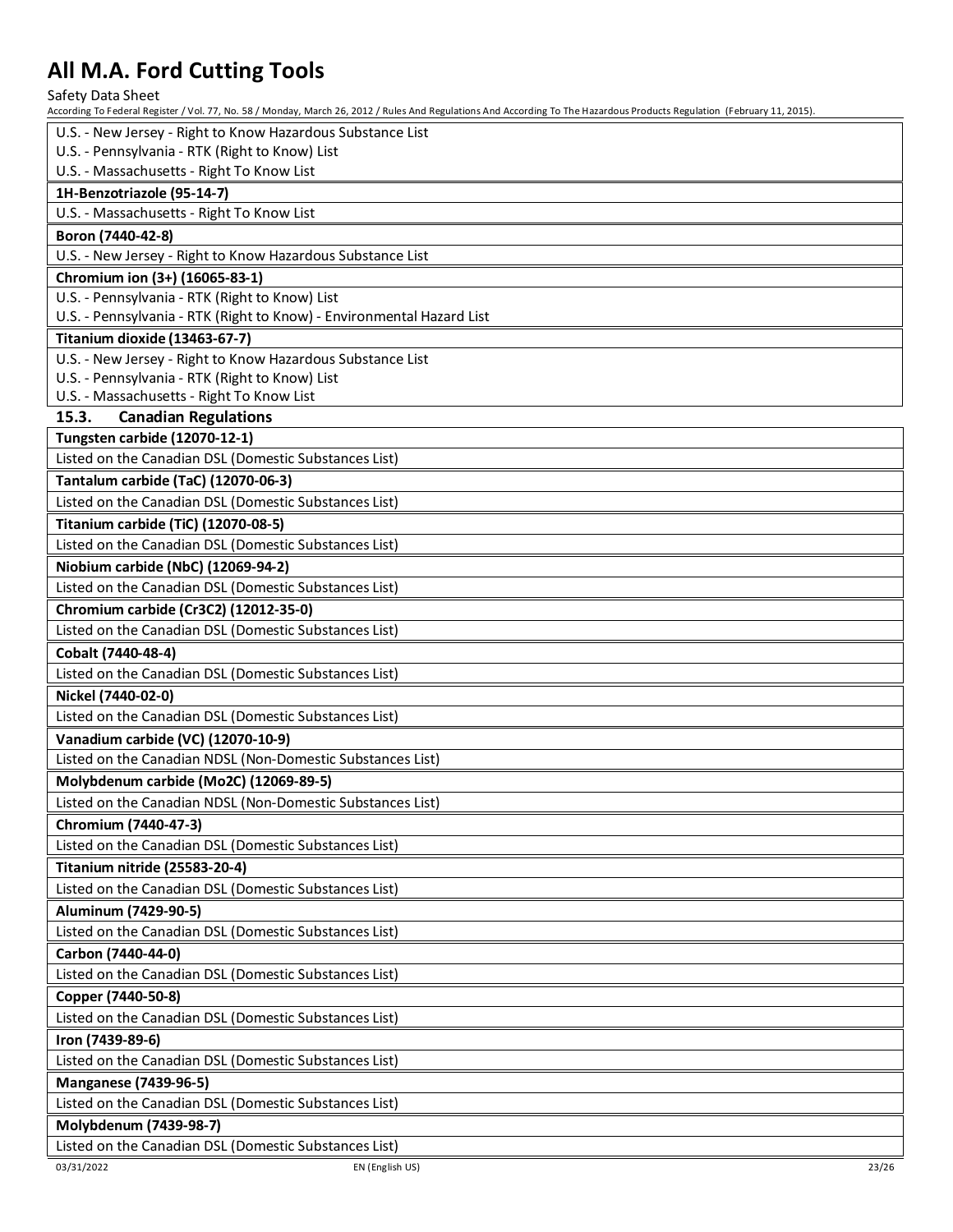Safety Data Sheet

| U.S. - New Jersey - Right to Know Hazardous Substance List            |
|-----------------------------------------------------------------------|
| U.S. - Pennsylvania - RTK (Right to Know) List                        |
| U.S. - Massachusetts - Right To Know List                             |
| 1H-Benzotriazole (95-14-7)                                            |
| U.S. - Massachusetts - Right To Know List                             |
| Boron (7440-42-8)                                                     |
| U.S. - New Jersey - Right to Know Hazardous Substance List            |
| Chromium ion (3+) (16065-83-1)                                        |
| U.S. - Pennsylvania - RTK (Right to Know) List                        |
| U.S. - Pennsylvania - RTK (Right to Know) - Environmental Hazard List |
| Titanium dioxide (13463-67-7)                                         |
| U.S. - New Jersey - Right to Know Hazardous Substance List            |
| U.S. - Pennsylvania - RTK (Right to Know) List                        |
| U.S. - Massachusetts - Right To Know List                             |
| 15.3.<br><b>Canadian Regulations</b>                                  |
| Tungsten carbide (12070-12-1)                                         |
| Listed on the Canadian DSL (Domestic Substances List)                 |
| Tantalum carbide (TaC) (12070-06-3)                                   |
| Listed on the Canadian DSL (Domestic Substances List)                 |
| Titanium carbide (TiC) (12070-08-5)                                   |
| Listed on the Canadian DSL (Domestic Substances List)                 |
| Niobium carbide (NbC) (12069-94-2)                                    |
| Listed on the Canadian DSL (Domestic Substances List)                 |
| Chromium carbide (Cr3C2) (12012-35-0)                                 |
| Listed on the Canadian DSL (Domestic Substances List)                 |
| Cobalt (7440-48-4)                                                    |
| Listed on the Canadian DSL (Domestic Substances List)                 |
| Nickel (7440-02-0)                                                    |
| Listed on the Canadian DSL (Domestic Substances List)                 |
| Vanadium carbide (VC) (12070-10-9)                                    |
| Listed on the Canadian NDSL (Non-Domestic Substances List)            |
| Molybdenum carbide (Mo2C) (12069-89-5)                                |
| Listed on the Canadian NDSL (Non-Domestic Substances List)            |
| Chromium (7440-47-3)                                                  |
| Listed on the Canadian DSL (Domestic Substances List)                 |
| Titanium nitride (25583-20-4)                                         |
| Listed on the Canadian DSL (Domestic Substances List)                 |
| Aluminum (7429-90-5)                                                  |
| Listed on the Canadian DSL (Domestic Substances List)                 |
| Carbon (7440-44-0)                                                    |
| Listed on the Canadian DSL (Domestic Substances List)                 |
| Copper (7440-50-8)                                                    |
| Listed on the Canadian DSL (Domestic Substances List)                 |
| Iron (7439-89-6)                                                      |
| Listed on the Canadian DSL (Domestic Substances List)                 |
| <b>Manganese (7439-96-5)</b>                                          |
| Listed on the Canadian DSL (Domestic Substances List)                 |
| Molybdenum (7439-98-7)                                                |
| Listed on the Canadian DSL (Domestic Substances List)                 |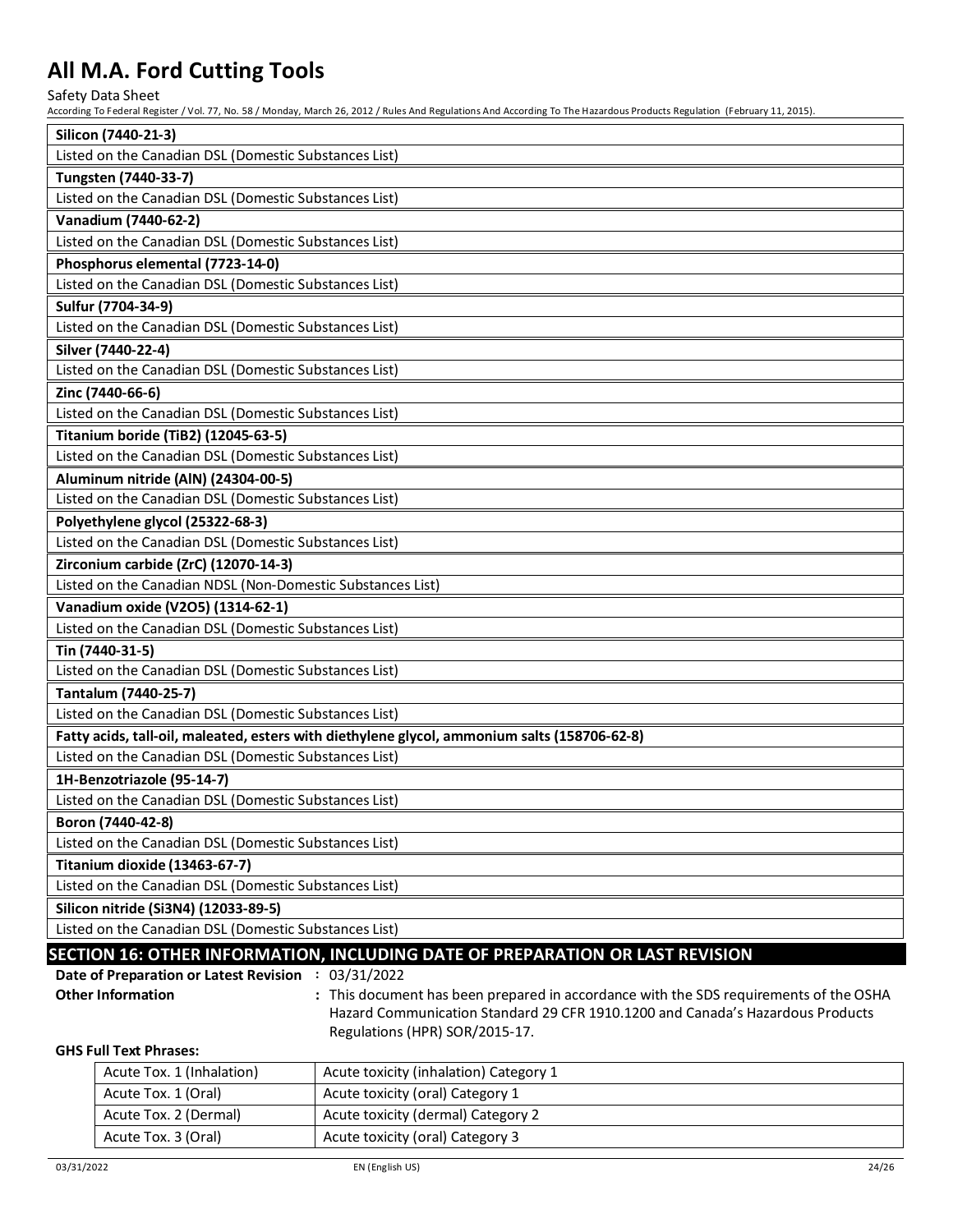Safety Data Sheet

According To Federal Register / Vol. 77, No. 58 / Monday, March 26, 2012 / Rules And Regulations And According To The Hazardous Products Regulation (February 11, 2015).

| Silicon (7440-21-3)                                                                                               |
|-------------------------------------------------------------------------------------------------------------------|
| Listed on the Canadian DSL (Domestic Substances List)                                                             |
| Tungsten (7440-33-7)                                                                                              |
| Listed on the Canadian DSL (Domestic Substances List)                                                             |
| Vanadium (7440-62-2)                                                                                              |
| Listed on the Canadian DSL (Domestic Substances List)                                                             |
| Phosphorus elemental (7723-14-0)                                                                                  |
| Listed on the Canadian DSL (Domestic Substances List)                                                             |
| Sulfur (7704-34-9)                                                                                                |
| Listed on the Canadian DSL (Domestic Substances List)                                                             |
| Silver (7440-22-4)                                                                                                |
| Listed on the Canadian DSL (Domestic Substances List)                                                             |
| Zinc (7440-66-6)                                                                                                  |
| Listed on the Canadian DSL (Domestic Substances List)                                                             |
| <b>Titanium boride (TiB2) (12045-63-5)</b>                                                                        |
| Listed on the Canadian DSL (Domestic Substances List)                                                             |
| Aluminum nitride (AIN) (24304-00-5)                                                                               |
| Listed on the Canadian DSL (Domestic Substances List)                                                             |
| Polyethylene glycol (25322-68-3)                                                                                  |
| Listed on the Canadian DSL (Domestic Substances List)                                                             |
| Zirconium carbide (ZrC) (12070-14-3)                                                                              |
| Listed on the Canadian NDSL (Non-Domestic Substances List)                                                        |
| Vanadium oxide (V2O5) (1314-62-1)                                                                                 |
| Listed on the Canadian DSL (Domestic Substances List)                                                             |
| Tin (7440-31-5)                                                                                                   |
| Listed on the Canadian DSL (Domestic Substances List)                                                             |
| Tantalum (7440-25-7)                                                                                              |
| Listed on the Canadian DSL (Domestic Substances List)                                                             |
| Fatty acids, tall-oil, maleated, esters with diethylene glycol, ammonium salts (158706-62-8)                      |
| Listed on the Canadian DSL (Domestic Substances List)                                                             |
| 1H-Benzotriazole (95-14-7)                                                                                        |
| Listed on the Canadian DSL (Domestic Substances List)                                                             |
| Boron (7440-42-8)                                                                                                 |
| Listed on the Canadian DSL (Domestic Substances List)                                                             |
| Titanium dioxide (13463-67-7)                                                                                     |
| Listed on the Canadian DSL (Domestic Substances List)                                                             |
| Silicon nitride (Si3N4) (12033-89-5)                                                                              |
| Listed on the Canadian DSL (Domestic Substances List)                                                             |
| SECTION 16: OTHER INFORMATION, INCLUDING DATE OF PREPARATION OR LAST REVISION                                     |
| Date of Preparation or Latest Revision : 03/31/2022                                                               |
| <b>Other Information</b><br>: This document has been prepared in accordance with the SDS requirements of the OSHA |
| Hazard Communication Standard 29 CFR 1910.1200 and Canada's Hazardous Products<br>Regulations (HPR) SOR/2015-17.  |

#### **GHS Full Text Phrases:**

| Acute Tox. 1 (Inhalation) | Acute toxicity (inhalation) Category 1 |
|---------------------------|----------------------------------------|
| Acute Tox. 1 (Oral)       | Acute toxicity (oral) Category 1       |
| Acute Tox. 2 (Dermal)     | Acute toxicity (dermal) Category 2     |
| Acute Tox. 3 (Oral)       | Acute toxicity (oral) Category 3       |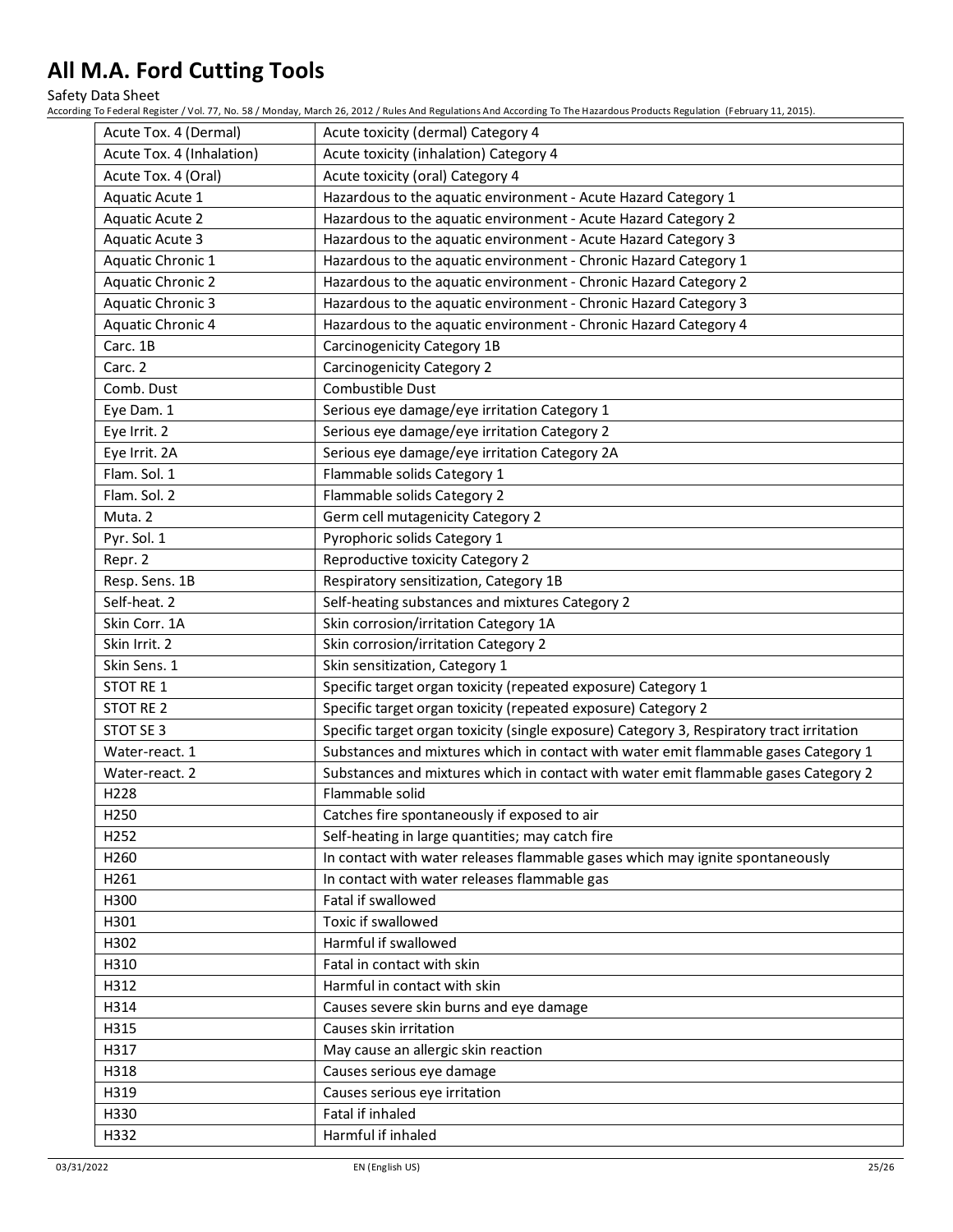Safety Data Sheet

| Acute Tox. 4 (Dermal)     | Acute toxicity (dermal) Category 4                                                        |
|---------------------------|-------------------------------------------------------------------------------------------|
| Acute Tox. 4 (Inhalation) | Acute toxicity (inhalation) Category 4                                                    |
| Acute Tox. 4 (Oral)       | Acute toxicity (oral) Category 4                                                          |
| Aquatic Acute 1           | Hazardous to the aquatic environment - Acute Hazard Category 1                            |
| Aquatic Acute 2           | Hazardous to the aquatic environment - Acute Hazard Category 2                            |
| Aquatic Acute 3           | Hazardous to the aquatic environment - Acute Hazard Category 3                            |
| Aquatic Chronic 1         | Hazardous to the aquatic environment - Chronic Hazard Category 1                          |
| <b>Aquatic Chronic 2</b>  | Hazardous to the aquatic environment - Chronic Hazard Category 2                          |
| <b>Aquatic Chronic 3</b>  | Hazardous to the aquatic environment - Chronic Hazard Category 3                          |
| Aquatic Chronic 4         | Hazardous to the aquatic environment - Chronic Hazard Category 4                          |
| Carc. 1B                  | <b>Carcinogenicity Category 1B</b>                                                        |
| Carc. 2                   | <b>Carcinogenicity Category 2</b>                                                         |
| Comb. Dust                | Combustible Dust                                                                          |
| Eye Dam. 1                | Serious eye damage/eye irritation Category 1                                              |
| Eye Irrit. 2              | Serious eye damage/eye irritation Category 2                                              |
| Eye Irrit. 2A             | Serious eye damage/eye irritation Category 2A                                             |
| Flam. Sol. 1              | Flammable solids Category 1                                                               |
| Flam. Sol. 2              | Flammable solids Category 2                                                               |
| Muta. 2                   | Germ cell mutagenicity Category 2                                                         |
| Pyr. Sol. 1               | Pyrophoric solids Category 1                                                              |
| Repr. 2                   | Reproductive toxicity Category 2                                                          |
| Resp. Sens. 1B            | Respiratory sensitization, Category 1B                                                    |
| Self-heat. 2              | Self-heating substances and mixtures Category 2                                           |
| Skin Corr. 1A             | Skin corrosion/irritation Category 1A                                                     |
| Skin Irrit. 2             | Skin corrosion/irritation Category 2                                                      |
| Skin Sens. 1              | Skin sensitization, Category 1                                                            |
| STOT RE 1                 | Specific target organ toxicity (repeated exposure) Category 1                             |
| STOT RE 2                 | Specific target organ toxicity (repeated exposure) Category 2                             |
| STOT SE 3                 | Specific target organ toxicity (single exposure) Category 3, Respiratory tract irritation |
| Water-react. 1            | Substances and mixtures which in contact with water emit flammable gases Category 1       |
| Water-react. 2            | Substances and mixtures which in contact with water emit flammable gases Category 2       |
| H228                      | Flammable solid                                                                           |
| H <sub>250</sub>          | Catches fire spontaneously if exposed to air                                              |
| H252                      | Self-heating in large quantities; may catch fire                                          |
| H260                      | In contact with water releases flammable gases which may ignite spontaneously             |
| H261                      | In contact with water releases flammable gas                                              |
| H300                      | Fatal if swallowed                                                                        |
| H301                      | Toxic if swallowed                                                                        |
| H302                      | Harmful if swallowed                                                                      |
| H310                      | Fatal in contact with skin                                                                |
| H312                      | Harmful in contact with skin                                                              |
| H314                      | Causes severe skin burns and eye damage                                                   |
| H315                      | Causes skin irritation                                                                    |
| H317                      | May cause an allergic skin reaction                                                       |
| H318                      | Causes serious eye damage                                                                 |
| H319                      | Causes serious eye irritation                                                             |
| H330                      | Fatal if inhaled                                                                          |
| H332                      | Harmful if inhaled                                                                        |
|                           |                                                                                           |